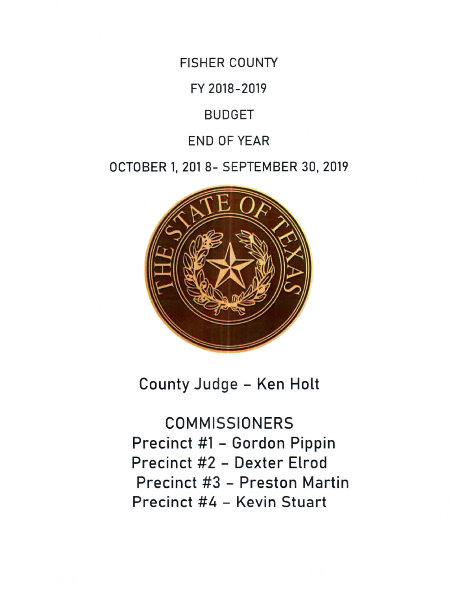**FISHER COUNTY** 

FY 2018-2019

**BUDGET** 

**END OF YEAR** 

OCTOBER 1, 201 8- SEPTEMBER 30, 2019



County Judge - Ken Holt

**COMMISSIONERS** Precinct #1 - Gordon Pippin Precinct #2 - Dexter Elrod Precinct #3 - Preston Martin Precinct #4 - Kevin Stuart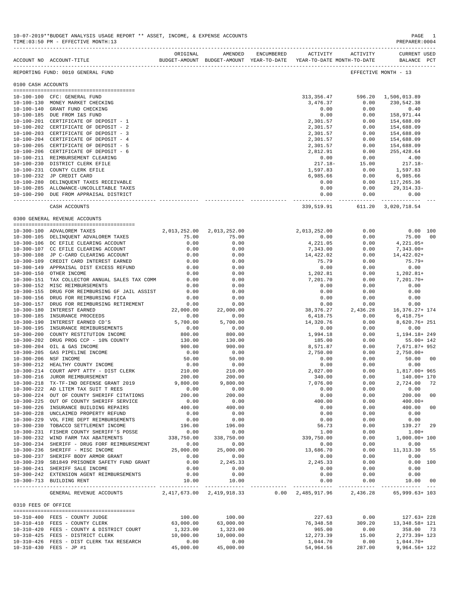|                     | ACCOUNT NO ACCOUNT-TITLE                                                          | ORIGINAL                  | BUDGET-AMOUNT BUDGET-AMOUNT YEAR-TO-DATE YEAR-TO-DATE MONTH-TO-DATE | AMENDED ENCUMBERED | ACTIVITY ACTIVITY    |                                      | <b>CURRENT USED</b><br>BALANCE PCT |    |
|---------------------|-----------------------------------------------------------------------------------|---------------------------|---------------------------------------------------------------------|--------------------|----------------------|--------------------------------------|------------------------------------|----|
|                     | REPORTING FUND: 0010 GENERAL FUND                                                 |                           |                                                                     |                    |                      |                                      | EFFECTIVE MONTH - 13               |    |
| 0100 CASH ACCOUNTS  |                                                                                   |                           |                                                                     |                    |                      |                                      |                                    |    |
|                     | 10-100-100 CFC: GENERAL FUND                                                      |                           |                                                                     |                    |                      | 313, 356. 47 596. 20 1, 506, 013. 89 |                                    |    |
|                     | 10-100-130 MONEY MARKET CHECKING                                                  |                           |                                                                     |                    | 3,476.37             | 0.00                                 | 230,542.38                         |    |
|                     | 10-100-140 GRANT FUND CHECKING                                                    |                           |                                                                     |                    | 0.00                 | 0.00                                 | 0.40                               |    |
|                     | 10-100-185 DUE FROM I&S FUND<br>10-100-201 CERTIFICATE OF DEPOSIT - 1             |                           |                                                                     |                    | 0.00<br>2,301.57     | 0.00<br>0.00                         | 158,971.44<br>154,688.09           |    |
|                     | 10-100-202 CERTIFICATE OF DEPOSIT - 2                                             |                           |                                                                     |                    | 2,301.57             | 0.00                                 | 154,688.09                         |    |
|                     | 10-100-203 CERTIFICATE OF DEPOSIT - 3                                             |                           |                                                                     |                    | 2,301.57             | 0.00                                 | 154,688.09                         |    |
|                     | 10-100-204 CERTIFICATE OF DEPOSIT - 4                                             |                           |                                                                     |                    | 2,301.57             | 0.00                                 | 154,688.09                         |    |
|                     | 10-100-205 CERTIFICATE OF DEPOSIT - 5<br>10-100-206 CERTIFICATE OF DEPOSIT - 6    |                           |                                                                     |                    | 2,301.57<br>2,812.91 | 0.00<br>0.00                         | 154,688.09<br>255,428.64           |    |
|                     | 10-100-211 REIMBURSEMENT CLEARING                                                 |                           |                                                                     |                    | 0.00                 | 0.00                                 | 4.00                               |    |
|                     | 10-100-230 DISTRICT CLERK EFILE                                                   |                           |                                                                     |                    | $217.18-$            | 15.00                                | $217.18-$                          |    |
|                     | 10-100-231 COUNTY CLERK EFILE                                                     |                           |                                                                     |                    | 1,597.83             | 0.00                                 | 1,597.83                           |    |
|                     | 10-100-232 JP CREDIT CARD                                                         |                           |                                                                     |                    | 6,985.66             | 0.00                                 | 6,985.66                           |    |
|                     | 10-100-280 DELINQUENT TAXES RECEIVABLE<br>10-100-285 ALLOWANCE-UNCOLLETABLE TAXES |                           |                                                                     |                    | 0.00<br>0.00         | 0.00                                 | $0.00$ 117,265.36<br>29,314.33-    |    |
|                     | 10-100-290 DUE FROM APPRAISAL DISTRICT                                            |                           |                                                                     |                    | 0.00                 | 0.00                                 | 0.00                               |    |
|                     | CASH ACCOUNTS                                                                     |                           |                                                                     |                    |                      | 339,519.91 611.20 3,020,718.54       |                                    |    |
|                     |                                                                                   |                           |                                                                     |                    |                      |                                      |                                    |    |
|                     | 0300 GENERAL REVENUE ACCOUNTS                                                     |                           |                                                                     |                    |                      |                                      |                                    |    |
|                     | 10-300-100 ADVALOREM TAXES                                                        | 2,013,252.00 2,013,252.00 |                                                                     |                    | 2,013,252.00         | 0.00                                 | $0.00$ 100                         |    |
|                     | 10-300-105 DELINQUENT ADVALOREM TAXES                                             | 75.00                     | 75.00                                                               |                    | 0.00                 | 0.00                                 | 75.00 00                           |    |
|                     | 10-300-106 DC EFILE CLEARING ACCOUNT<br>10-300-107 CC EFILE CLEARING ACCOUNT      | 0.00<br>0.00              | 0.00<br>0.00                                                        |                    | 4,221.05<br>7,343.00 | 0.00<br>0.00                         | 4,221.05+<br>$7,343.00+$           |    |
|                     | 10-300-108 JP C-CARD CLEARING ACCOUNT                                             | 0.00                      | 0.00                                                                |                    | 14,422.02            | 0.00                                 | 14,422.02+                         |    |
|                     | 10-300-109 CREDIT CARD INTEREST EARNED                                            | 0.00                      | 0.00                                                                |                    | 75.79                | 0.00                                 | 75.79+                             |    |
|                     | 10-300-149 APPRAISAL DIST EXCESS REFUND                                           | 0.00                      | 0.00                                                                |                    | 0.00                 | 0.00                                 | 0.00                               |    |
|                     | 10-300-150 OTHER INCOME                                                           | 0.00                      | 0.00                                                                |                    | 1,202.81             | 0.00                                 | $1,202.81+$                        |    |
|                     | 10-300-151 TAX COLLECTOR ANNUAL SALES TAX COMM                                    | 0.00                      | 0.00                                                                |                    | 7,201.70             | 0.00                                 | $7,201.70+$                        |    |
|                     | 10-300-152 MISC REIMBURSEMENTS<br>10-300-155 DRUG FOR REIMBURSING GF JAIL ASSIST  | 0.00<br>0.00              | 0.00<br>0.00                                                        |                    | 0.00<br>0.00         | 0.00<br>0.00                         | 0.00<br>0.00                       |    |
|                     | 10-300-156 DRUG FOR REIMBURSING FICA                                              | 0.00                      | 0.00                                                                |                    | 0.00                 | 0.00                                 | 0.00                               |    |
|                     | 10-300-157 DRUG FOR REIMBURSING RETIREMENT                                        | 0.00                      | 0.00                                                                |                    | 0.00                 | 0.00                                 | 0.00                               |    |
|                     | 10-300-180 INTEREST EARNED                                                        | 22,000.00                 | 22,000.00                                                           |                    | 38,376.27            | 2,436.28                             | 16,376.27+ 174                     |    |
|                     | 10-300-185 INSURANCE PROCEEDS                                                     | 0.00                      | 0.00                                                                |                    | 6,418.75             | 0.00                                 | $6,418.75+$                        |    |
|                     | 10-300-190 INTEREST EARNED CD'S                                                   | 5,700.00                  | 5,700.00                                                            |                    | 14,320.76            | 0.00                                 | 8,620.76+ 251                      |    |
|                     | 10-300-195 INSURANCE REMIBURSEMENTS                                               | 0.00<br>800.00            | 0.00                                                                |                    | 0.00                 | 0.00                                 | 0.00                               |    |
|                     | 10-300-200 COUNTY RESTITUTION INCOME<br>10-300-202 DRUG PROG CCP - 10% COUNTY     | 130.00                    | 800.00<br>130.00                                                    |                    | 1,994.18<br>185.00   | 0.00<br>0.00                         | 1,194.18+249<br>$55.00 + 142$      |    |
|                     | 10-300-204 OIL & GAS INCOME                                                       | 900.00                    | 900.00                                                              |                    | 8,571.87             | 0.00                                 | 7,671.87+ 952                      |    |
|                     | 10-300-205 GAS PIPELINE INCOME                                                    | 0.00                      | 0.00                                                                |                    | 2,750.00             | 0.00                                 | $2,750.00+$                        |    |
|                     | 10-300-206 NSF INCOME                                                             | 50.00                     | 50.00                                                               |                    | 0.00                 | 0.00                                 | 50.00 00                           |    |
|                     | 10-300-212 HEALTHY COUNTY INCOME                                                  | 0.00                      | 0.00                                                                |                    | 0.00                 | 0.00                                 | 0.00                               |    |
|                     | 10-300-214 COURT APPT ATTY - DIST CLERK                                           | 210.00                    | 210.00                                                              |                    | 2,027.00             | 0.00                                 | 1,817.00+ 965                      |    |
|                     | 10-300-216 JUROR REIMBURSEMENT<br>10-300-218 TX-TF-IND DEFENSE GRANT 2019         | 200.00<br>9,800.00        | 200.00<br>9,800.00                                                  |                    | 340.00<br>7,076.00   | 0.00<br>0.00                         | 140.00+ 170<br>2,724.00 72         |    |
|                     | 10-300-222 AD LITEM TAX SUIT T REES                                               | 0.00                      | 0.00                                                                |                    | 0.00                 | 0.00                                 | 0.00                               |    |
|                     | 10-300-224 OUT OF COUNTY SHERIFF CITATIONS                                        | 200.00                    | 200.00                                                              |                    | 0.00                 | 0.00                                 | 200.00                             | 00 |
|                     | 10-300-225 OUT OF COUNTY SHERIFF SERVICE                                          | 0.00                      | 0.00                                                                |                    | 400.00               | 0.00                                 | $400.00+$                          |    |
|                     | 10-300-226 INSURANCE BUILDING REPAIRS                                             | 400.00                    | 400.00                                                              |                    | 0.00                 | 0.00                                 | 400.00                             | 00 |
|                     | 10-300-228 UNCLAIMED PROPERTY REFUND                                              | 0.00                      | 0.00                                                                |                    | 0.00                 | 0.00                                 | 0.00                               |    |
|                     | 10-300-229 VOL FIRE DEPT REIMBURSEMENTS<br>10-300-230 TOBACCO SETTLEMENT INCOME   | 0.00<br>196.00            | 0.00<br>196.00                                                      |                    | 0.00<br>56.73        | 0.00<br>0.00                         | 0.00<br>139.27                     | 29 |
|                     | 10-300-231 FISHER COUNTY SHERIFF'S POSSE                                          | 0.00                      | 0.00                                                                |                    | 1.00                 | 0.00                                 | $1.00+$                            |    |
|                     | 10-300-232 WIND FARM TAX ABATEMENTS                                               | 338,750.00                | 338,750.00                                                          |                    | 339,750.00           | 0.00                                 | $1,000.00+100$                     |    |
|                     | 10-300-234 SHERIFF - DRUG FORF REIMBURSEMENT                                      | 0.00                      | 0.00                                                                |                    | 0.00                 | 0.00                                 | 0.00                               |    |
|                     | 10-300-236 SHERIFF - MISC INCOME                                                  | 25,000.00                 | 25,000.00                                                           |                    | 13,686.70            | 0.00                                 | 11,313.30 55                       |    |
|                     | 10-300-237 SHERIFF BODY ARMOR GRANT                                               | 0.00                      | 0.00                                                                |                    | 0.00                 | 0.00                                 | 0.00                               |    |
|                     | 10-300-239 SB1849 PRISONER SAFETY FUND GRANT<br>10-300-241 SHERIFF SALE INCOME    | 0.00<br>0.00              | 2,245.33<br>0.00                                                    |                    | 2,245.33<br>0.00     | 0.00<br>0.00                         | 0.00 100<br>0.00                   |    |
|                     | 10-300-242 EXTENSION AGENT REIMBURSEMENTS                                         | 0.00                      | 0.00                                                                |                    | 0.00                 | 0.00                                 | 0.00                               |    |
|                     | 10-300-713 BUILDING RENT                                                          | 10.00                     | 10.00                                                               |                    | 0.00                 | 0.00                                 | 10.00 00                           |    |
|                     | GENERAL REVENUE ACCOUNTS $2,417,673.00$ $2,419,918.33$ 0.00 $2,485,917.96$        |                           |                                                                     |                    | ------------- .      |                                      | 2,436.28 65,999.63+103             |    |
| 0310 FEES OF OFFICE |                                                                                   |                           |                                                                     |                    |                      |                                      |                                    |    |
|                     |                                                                                   |                           |                                                                     |                    | 227.63               | 0.00                                 |                                    |    |
|                     | 10-310-400 FEES - COUNTY JUDGE<br>10-310-410 FEES - COUNTY CLERK                  | 100.00<br>63,000.00       | 100.00<br>63,000.00                                                 |                    | 76,348.58            | 309.20                               | $127.63 + 228$<br>13, 348. 58+ 121 |    |
|                     | 10-310-420 FEES - COUNTY & DISTRICT COURT                                         | 1,323.00                  | 1,323.00                                                            |                    | 965.00               | 0.00                                 | 358.00 73                          |    |
|                     | 10-310-425 FEES - DISTRICT CLERK                                                  | 10,000.00                 | 10,000.00                                                           |                    | 12, 273.39           | 15.00                                | 2, 273.39+ 123                     |    |
|                     | 10-310-426 FEES - DIST CLERK TAX RESEARCH                                         | 0.00                      | 0.00                                                                |                    | 1,044.70             | 0.00                                 | $1,044.70+$                        |    |
|                     | 10-310-430 FEES - JP #1                                                           | 45,000.00                 | 45,000.00                                                           |                    | 54,964.56            | 287.00                               | 9,964.56+ 122                      |    |

-------------------------------------------------------------------------------------------------------------------------------------------

10-07-2019\*\*BUDGET ANALYSIS USAGE REPORT \*\* ASSET, INCOME, & EXPENSE ACCOUNTS PAGE 1 TIME:03:50 PM - EFFECTIVE MONTH:13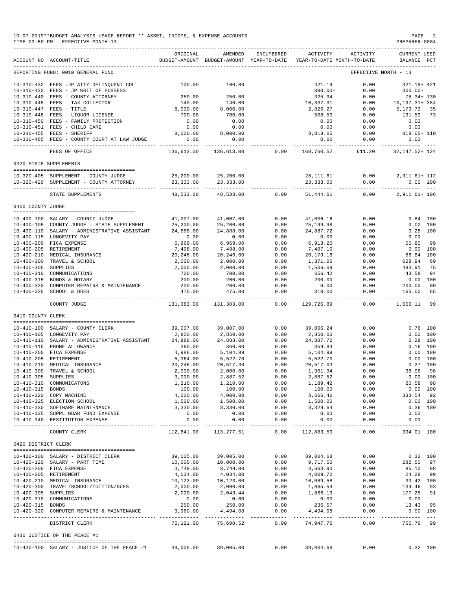|                     | 10-07-2019**BUDGET ANALYSIS USAGE REPORT ** ASSET, INCOME, & EXPENSE ACCOUNTS<br>PAGE<br>PREPARER: 0004<br>TIME: 03:50 PM - EFFECTIVE MONTH: 13 |                             |                                                     |                   |                            |                                        |                                        |               |  |  |  |
|---------------------|-------------------------------------------------------------------------------------------------------------------------------------------------|-----------------------------|-----------------------------------------------------|-------------------|----------------------------|----------------------------------------|----------------------------------------|---------------|--|--|--|
|                     | ACCOUNT NO ACCOUNT-TITLE                                                                                                                        | ORIGINAL                    | AMENDED<br>BUDGET-AMOUNT BUDGET-AMOUNT YEAR-TO-DATE | ENCUMBERED        | ACTIVITY                   | ACTIVITY<br>YEAR-TO-DATE MONTH-TO-DATE | <b>CURRENT USED</b><br>BALANCE PCT     |               |  |  |  |
|                     | REPORTING FUND: 0010 GENERAL FUND                                                                                                               |                             |                                                     |                   |                            |                                        | EFFECTIVE MONTH - 13                   |               |  |  |  |
|                     | 10-310-432 FEES -JP ATTY DELINQUENT COL                                                                                                         | 100.00                      | 100.00                                              |                   | 421.19                     | 0.00                                   | 321.19+ 421                            |               |  |  |  |
|                     | 10-310-433 FEES - JP WRIT OF POSSESS                                                                                                            |                             |                                                     |                   | $300.00 -$                 | 0.00                                   | $300.00 -$                             |               |  |  |  |
|                     | 10-310-440 FEES - COUNTY ATTORNEY                                                                                                               | 250.00                      | 250.00                                              |                   | 325.34                     | 0.00                                   | 75.34+ 130                             |               |  |  |  |
|                     | 10-310-445 FEES - TAX COLLECTOR<br>10-310-447 FEES - TITLE                                                                                      | 140.00<br>8,000.00          | 140.00<br>8,000.00                                  |                   | 10,337.31<br>2,826.27      | 0.00<br>0.00                           | 10,197.31+ 384<br>5,173.73             | 35            |  |  |  |
|                     | 10-310-448 FEES - LIQUOR LICENSE                                                                                                                | 700.00                      | 700.00                                              |                   | 508.50                     | 0.00                                   | 191.50                                 | 73            |  |  |  |
|                     | 10-310-450 FEES - FAMILY PROTECTION                                                                                                             | 0.00                        | 0.00                                                |                   | 0.00                       | 0.00                                   | 0.00                                   |               |  |  |  |
|                     | 10-310-451 FEES - CHILD CARE                                                                                                                    | 0.00                        | 0.00                                                |                   | 0.00                       | 0.00                                   | 0.00                                   |               |  |  |  |
|                     | 10-310-455 FEES - SHERIFF<br>10-310-465 FEES - COUNTY COURT AT LAW JUDGE                                                                        | 8,000.00<br>0.00            | 8,000.00<br>0.00                                    |                   | 8,818.05<br>0.00           | 0.00<br>0.00                           | $818.05 + 110$<br>0.00                 |               |  |  |  |
|                     | FEES OF OFFICE                                                                                                                                  | ----------<br>136,613.00    | 136,613.00                                          | 0.00              | ---------<br>168,760.52    | ------------<br>611.20                 | ________________<br>32, 147. 52+ 124   |               |  |  |  |
|                     | 0320 STATE SUPPLEMENTS                                                                                                                          |                             |                                                     |                   |                            |                                        |                                        |               |  |  |  |
|                     |                                                                                                                                                 |                             |                                                     |                   |                            |                                        |                                        |               |  |  |  |
|                     | 10-320-405 SUPPLEMENT - COUNTY JUDGE<br>10-320-420 SUPPLEMENT - COUNTY ATTORNEY                                                                 | 25,200.00<br>23, 333.00     | 25,200.00<br>23,333.00                              |                   | 28,111.61<br>23,333.00     | 0.00<br>0.00                           | 2,911.61+ 112<br>0.00 100              |               |  |  |  |
|                     | STATE SUPPLEMENTS                                                                                                                               | ----------                  |                                                     |                   |                            | ------------ ------------              | .                                      |               |  |  |  |
| 0400 COUNTY JUDGE   |                                                                                                                                                 | 48,533.00                   | 48,533.00                                           | 0.00              | 51,444.61                  | 0.00                                   | 2,911.61+ 106                          |               |  |  |  |
|                     |                                                                                                                                                 |                             |                                                     |                   |                            |                                        |                                        |               |  |  |  |
|                     | 10-400-100 SALARY - COUNTY JUDGE                                                                                                                | 41,007.00                   | 41,007.00                                           | 0.00              | 41,006.16                  | 0.00                                   | $0.84$ 100                             |               |  |  |  |
|                     | 10-400-105 COUNTY JUDGE - STATE SUPPLEMENT                                                                                                      | 25,200.00                   | 25,200.00                                           | 0.00              | 25, 199.98                 | 0.00                                   | $0.02$ 100                             |               |  |  |  |
|                     | 10-400-110 SALARY - ADMINISTRATIVE ASSISTANT                                                                                                    | 24,888.00                   | 24,888.00                                           | 0.00              | 24,887.72                  | 0.00                                   | $0.28$ 100                             |               |  |  |  |
|                     | 10-400-115 LONGEVITY PAY<br>10-400-200 FICA EXPENSE                                                                                             | 0.00                        | 0.00                                                | 0.00<br>0.00      | 0.00<br>6,913.20           | 0.00<br>0.00                           | 0.00<br>55.80                          | 99            |  |  |  |
|                     | 10-400-205 RETIREMENT                                                                                                                           | 6,969.00<br>7,498.00        | 6,969.00<br>7,498.00                                | 0.00              | 7,497.10                   | 0.00                                   | 0.90 100                               |               |  |  |  |
|                     | 10-400-210 MEDICAL INSURANCE                                                                                                                    | 20,246.00                   | 20,246.00                                           | 0.00              | 20,179.16                  | 0.00                                   | 66.84 100                              |               |  |  |  |
|                     | 10-400-300 TRAVEL & SCHOOL                                                                                                                      | 2,000.00                    | 2,000.00                                            | 0.00              | 1,371.06                   | 0.00                                   | 628.94                                 | 69            |  |  |  |
| 10-400-305 SUPPLIES |                                                                                                                                                 | 2,000.00                    | 2,000.00                                            | 0.00              | 1,506.09                   | 0.00                                   | 493.91                                 | 75            |  |  |  |
|                     | 10-400-310 COMMUNICATIONS                                                                                                                       | 700.00                      | 700.00                                              | 0.00              | 656.42                     | 0.00                                   | 43.58                                  | 94            |  |  |  |
|                     | 10-400-315 BONDS & NOTARY<br>10-400-320 COMPUTER REPAIRS & MAINTENANCE                                                                          | 200.00<br>200.00            | 200.00<br>200.00                                    | 0.00<br>0.00      | 200.00<br>0.00             | 0.00<br>0.00                           | $0.00$ 100<br>200.00                   | 00            |  |  |  |
|                     | 10-400-325 SCHOOL & DUES                                                                                                                        | 475.00                      | 475.00                                              | 0.00              | 310.00                     | 0.00                                   | 165.00                                 | 65            |  |  |  |
|                     | COUNTY JUDGE                                                                                                                                    | -------------<br>131,383.00 | ______________<br>131,383.00                        | -------<br>0.00   | ------------<br>129,726.89 | . _ _ _ _ _ _ _ _ _ _<br>0.00          | . _ _ _ _ _ _ _ _ _ _ _<br>1,656.11 99 | $\frac{1}{2}$ |  |  |  |
| 0410 COUNTY CLERK   |                                                                                                                                                 |                             |                                                     |                   |                            |                                        |                                        |               |  |  |  |
|                     | 10-410-100 SALARY - COUNTY CLERK                                                                                                                | 39,007.00                   | 39,007.00                                           | 0.00              | 39,006.24                  | 0.00                                   | $0.76$ 100                             |               |  |  |  |
|                     | 10-410-105 LONGEVITY PAY                                                                                                                        | 2,850.00                    | 2,850.00                                            | 0.00              | 2,850.00                   | 0.00                                   | 0.00 100                               |               |  |  |  |
|                     | 10-410-110 SALARY - ADMINISTRATIVE ASSISTANT                                                                                                    | 24,888.00                   | 24,888.00                                           | 0.00              | 24,887.72                  | 0.00                                   | $0.28$ 100                             |               |  |  |  |
|                     | 10-410-115 PHONE ALLOWANCE                                                                                                                      | 360.00                      | 360.00                                              | 0.00              | 359.84                     | 0.00                                   | $0.16$ 100                             |               |  |  |  |
|                     | 10-410-200 FICA EXPENSE                                                                                                                         | 4,986.00                    | 5,104.99                                            | 0.00              | 5,104.99                   | 0.00                                   | 0.00 100                               |               |  |  |  |
|                     | 10-410-205 RETIREMENT                                                                                                                           | 5,364.00                    | 5,522.70                                            | 0.00              | 5,522.70                   | 0.00                                   | 0.00 100                               |               |  |  |  |
|                     | 10-410-210 MEDICAL INSURANCE<br>10-410-300 TRAVEL & SCHOOL                                                                                      | 20,246.00<br>2,000.00       | 20,517.30<br>2,000.00                               | 0.00<br>0.00      | 20,517.03<br>1,961.94      | 0.00<br>0.00                           | $0.27$ 100<br>38.06 98                 |               |  |  |  |
| 10-410-305 SUPPLIES |                                                                                                                                                 | 3,000.00                    | 2,887.52                                            | 0.00              | 2,887.52                   | 0.00                                   | $0.00$ 100                             |               |  |  |  |
|                     | 10-410-310 COMMUNICATONS                                                                                                                        | 1,210.00                    | 1,210.00                                            | 0.00              | 1,189.42                   | 0.00                                   | 20.58 98                               |               |  |  |  |
| 10-410-315 BONDS    |                                                                                                                                                 | 100.00                      | 100.00                                              | 0.00              | 100.00                     | 0.00                                   | $0.00$ 100                             |               |  |  |  |
|                     | 10-410-320 COPY MACHINE                                                                                                                         | 4,000.00                    | 4,000.00                                            | 0.00              | 3,666.46                   | 0.00                                   | 333.54 92                              |               |  |  |  |
|                     | 10-410-325 ELECTION SCHOOL                                                                                                                      | 1,500.00                    | 1,500.00                                            | 0.00              | 1,500.00                   | 0.00                                   | $0.00$ 100                             |               |  |  |  |
|                     | 10-410-330 SOFTWARE MAINTENANCE<br>10-410-335 SUPPL GUAR FUND EXPENSE                                                                           | 3,330.00<br>0.00            | 3,330.00<br>0.00                                    | 0.00<br>0.00      | 3,329.64<br>0.00           | 0.00<br>0.00                           | $0.36$ 100<br>0.00                     |               |  |  |  |
|                     | 10-410-340 RESTITUTION EXPENSE                                                                                                                  | 0.00<br>---------           | 0.00                                                | 0.00<br>$- - - -$ | 0.00                       | 0.00                                   | 0.00<br>$- - - - - - -$                |               |  |  |  |
|                     | COUNTY CLERK                                                                                                                                    | 112,841.00                  | 113,277.51                                          | 0.00              | 112,883.50                 | 0.00                                   | 394.01 100                             |               |  |  |  |
| 0420 DISTRICT CLERK |                                                                                                                                                 |                             |                                                     |                   |                            |                                        |                                        |               |  |  |  |
|                     | 10-420-100 SALARY - DISTRICT CLERK                                                                                                              | 39,005.00                   | 39,005.00                                           | 0.00              | 39,004.68                  | 0.00                                   | $0.32$ 100                             |               |  |  |  |
|                     | 10-420-120 SALARY - PART TIME                                                                                                                   | 10,000.00                   | 10,000.00                                           | 0.00              | 9,717.50                   | 0.00                                   | 282.50 97                              |               |  |  |  |
|                     | 10-420-200 FICA EXPENSE                                                                                                                         | 3,749.00                    | 3,749.00                                            | 0.00              | 3,663.90                   | 0.00                                   | 85.10 98                               |               |  |  |  |
|                     | 10-420-205 RETIREMENT                                                                                                                           | 4,034.00                    | 4,034.00                                            | 0.00              | 4,009.72                   | 0.00                                   | 24.28                                  | 99            |  |  |  |
|                     | 10-420-210 MEDICAL INSURANCE                                                                                                                    | 10,123.00                   | 10,123.00                                           | 0.00              | 10,089.58                  | 0.00                                   | 33.42 100                              |               |  |  |  |
| 10-420-305 SUPPLIES | 10-420-300 TRAVEL/SCHOOL/TUITION/DUES                                                                                                           | 2,000.00<br>2,000.00        | 2,000.00<br>2,043.44                                | 0.00              | 1,865.54<br>1,866.19       | 0.00<br>0.00                           | 134.46 93<br>177.25 91                 |               |  |  |  |
|                     | 10-420-310 COMMUNICATIONS                                                                                                                       | 0.00                        | 0.00                                                | 0.00<br>0.00      | 0.00                       | 0.00                                   | 0.00                                   |               |  |  |  |
| 10-420-315 BONDS    |                                                                                                                                                 | 250.00                      | 250.00                                              | 0.00              | 236.57                     | 0.00                                   | 13.43 95                               |               |  |  |  |
|                     | 10-420-320 COMPUTER REPAIRS & MAINTENANCE<br>-----------------------                                                                            | 3,960.00<br>----------      | 4,494.08<br>-------------                           | 0.00<br>------    | 4,494.08<br>---------- -   | 0.00<br>-----------                    | $0.00$ 100<br>------- ---              |               |  |  |  |
|                     | DISTRICT CLERK                                                                                                                                  | 75,121.00                   | 75,698.52                                           | 0.00              | 74,947.76                  | 0.00                                   | 750.76 99                              |               |  |  |  |
|                     | 0430 JUSTICE OF THE PEACE #1                                                                                                                    |                             |                                                     |                   |                            |                                        |                                        |               |  |  |  |
|                     | 10-430-100 SALARY - JUSTICE OF THE PEACE #1                                                                                                     | 39,005.00                   | 39,005.00                                           | 0.00              | 39,004.68                  | 0.00                                   | $0.32$ 100                             |               |  |  |  |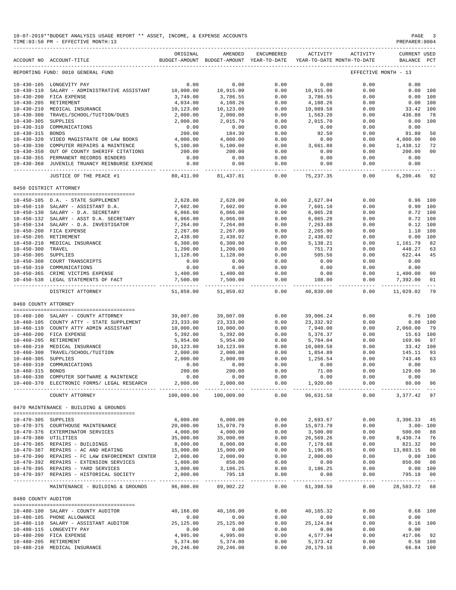|                        | 10-07-2019**BUDGET ANALYSIS USAGE REPORT ** ASSET, INCOME, & EXPENSE ACCOUNTS<br>TIME: 03:50 PM - EFFECTIVE MONTH: 13                 |                             |                                                                                |                      |                                                         |                    | PAGE<br>PREPARER: 0004                | 3             |
|------------------------|---------------------------------------------------------------------------------------------------------------------------------------|-----------------------------|--------------------------------------------------------------------------------|----------------------|---------------------------------------------------------|--------------------|---------------------------------------|---------------|
|                        | --------------------------------<br>ACCOUNT NO ACCOUNT-TITLE                                                                          | ORIGINAL                    | AMENDED<br>BUDGET-AMOUNT BUDGET-AMOUNT YEAR-TO-DATE YEAR-TO-DATE MONTH-TO-DATE | ENCUMBERED           | ACTIVITY                                                | ACTIVITY           | <b>CURRENT USED</b><br>BALANCE PCT    |               |
|                        | REPORTING FUND: 0010 GENERAL FUND                                                                                                     |                             |                                                                                |                      |                                                         |                    | EFFECTIVE MONTH - 13                  |               |
|                        | 10-430-105 LONGEVITY PAY                                                                                                              | 0.00                        | 0.00                                                                           | 0.00                 | 0.00                                                    | 0.00               | 0.00                                  |               |
|                        | 10-430-110 SALARY - ADMINISTRATIVE ASSISTANT                                                                                          | 10,000.00                   | 10,915.00                                                                      | 0.00                 | 10,915.00                                               | 0.00               | 0.00 100                              |               |
|                        | 10-430-200 FICA EXPENSE                                                                                                               | 3,749.00                    | 3,786.55                                                                       | 0.00                 | 3,786.55                                                | 0.00               | 0.00 100                              |               |
| 10-430-205 RETIREMENT  |                                                                                                                                       | 4,034.00                    | 4,108.26                                                                       | 0.00                 | 4,108.26                                                | 0.00               | $0.00$ 100                            |               |
|                        | 10-430-210 MEDICAL INSURANCE                                                                                                          | 10,123.00                   | 10,123.00                                                                      | 0.00                 | 10,089.58                                               | 0.00               | 33.42 100                             |               |
|                        | 10-430-300 TRAVEL/SCHOOL/TUITION/DUES                                                                                                 | 2,000.00                    | 2,000.00                                                                       | 0.00                 | 1,563.20                                                | 0.00               | 436.80                                | 78            |
| 10-430-305 SUPPLIES    |                                                                                                                                       | 2,000.00                    | 2,015.70                                                                       | 0.00                 | 2,015.70                                                | 0.00               | $0.00$ 100                            |               |
|                        | 10-430-310 COMMUNICATIONS                                                                                                             | 0.00                        | 0.00                                                                           | 0.00                 | 0.00                                                    | 0.00               | 0.00                                  |               |
| 10-430-315 BONDS       | 10-430-320 VIDEO MAGISTRATE OR LAW BOOKS                                                                                              | 200.00<br>4,000.00          | $184.30$<br>4,000.00                                                           | 0.00                 | 92.50                                                   | 0.00               | 91.80                                 | 50            |
|                        | 10-430-330 COMPUTER REPAIRS & MAINTENCE                                                                                               | 5,100.00                    | 5,100.00                                                                       | 0.00<br>0.00         | 0.00<br>3,661.88                                        | 0.00<br>0.00       | 4,000.00 00<br>1,438.12               | 72            |
|                        | 10-430-350 OUT OF COUNTY SHERIFF CITATIONS                                                                                            | 200.00                      | 200.00                                                                         | 0.00                 | 0.00                                                    | 0.00               | 200.00                                | 00            |
|                        | 10-430-355 PERMANENT RECORDS BINDERS                                                                                                  | 0.00                        | 0.00                                                                           | 0.00                 | 0.00                                                    | 0.00               | 0.00                                  |               |
|                        | 10-430-360 JUVENILE TRUANCY REINBURSE EXPENSE<br>-------------------------------                                                      | 0.00                        | 0.00                                                                           | 0.00                 | 0.00<br>----------- -                                   | 0.00               | 0.00<br>------------                  |               |
|                        | JUSTICE OF THE PEACE #1                                                                                                               | ------------ -<br>80,411.00 | .<br>81,437.81                                                                 | _____________        | $0.00$ 75,237.35                                        | . <u>.</u><br>0.00 | 6,200.46                              | 92            |
| 0450 DISTRICT ATTORNEY |                                                                                                                                       |                             |                                                                                |                      |                                                         |                    |                                       |               |
|                        |                                                                                                                                       |                             |                                                                                |                      |                                                         |                    |                                       |               |
|                        | 10-450-105 D.A. - STATE SUPPLEMENT                                                                                                    | 2,628.00                    | 2,628.00                                                                       | 0.00                 | 2.627.04                                                | 0.00               | $0.96$ 100                            |               |
|                        | 10-450-110 SALARY - ASSISTANT D.A.                                                                                                    | 7,602.00                    | 7,602.00                                                                       | 0.00                 | 7,601.10                                                | 0.00               | 0.90 100                              |               |
|                        | 10-450-130 SALARY - D.A. SECRETARY                                                                                                    | 6.066.00                    | 6,066.00                                                                       | 0.00                 | 6,065.28                                                | 0.00               | $0.72$ 100                            |               |
|                        | 10-450-132 SALARY - ASST D.A. SECRETARY<br>10-450-134 SALARY - D.A. INVESTIGATOR                                                      | 6,066.00<br>7,264.00        | 6,066.00<br>7,264.00                                                           | 0.00<br>0.00         | 6,065.28<br>7,263.88                                    | 0.00<br>0.00       | $0.72$ 100<br>$0.12$ 100              |               |
|                        | 10-450-200 FICA EXPENSE                                                                                                               | 2,267.00                    | 2,267.00                                                                       | 0.00                 | 2,265.90                                                | 0.00               | 1.10 100                              |               |
|                        | 10-450-205 RETIREMENT                                                                                                                 | 2,438.00                    | 2,438.02                                                                       | 0.00                 | 2,438.02                                                | 0.00               | 0.00 100                              |               |
|                        |                                                                                                                                       | 6,300.00                    | 6,300.00                                                                       | 0.00                 | 5,138.21                                                | 0.00               | 1,161.79                              | 82            |
|                        | 10-450-210 MEDICAL INSURANCE<br>10-450-300 TRAVEL<br>10-450-305 SUPPLIES<br>10-450-308 COURT TRANSCRIPTS<br>10-450-310 COMMUNICATIONS | 1,200.00                    | 1,200.00                                                                       | 0.00                 | 751.73                                                  | 0.00               | 448.27                                | 63            |
|                        |                                                                                                                                       | 1,128.00                    | 1,128.00                                                                       | 0.00                 | 505.56                                                  | 0.00               | 622.44                                | 45            |
|                        |                                                                                                                                       | 0.00                        | 0.00                                                                           | 0.00                 | 0.00                                                    | 0.00               | 0.00                                  |               |
|                        | 10-450-310 COMMUNICATIONS                                                                                                             | 0.00                        | $0.00$<br>1,400.00                                                             | 0.00                 | 0.00                                                    | 0.00               | 0.00                                  |               |
|                        | 10-450-365 CRIME VICTIMS EXPENSE                                                                                                      | 1,400.00                    |                                                                                | 0.00                 | 0.00                                                    | 0.00               | 1,400.00 00                           |               |
|                        | 10-450-538 LEGAL STATEMENTS OF FACT                                                                                                   | 7,500.00<br>. <u>.</u>      | 7,500.00                                                                       | 0.00<br>------------ | 108.00                                                  | 0.00               | 7,392.00<br>---------- -------------- | 01<br>$- - -$ |
|                        | DISTRICT ATTORNEY                                                                                                                     | 51,859.00                   | 51,859.02                                                                      | 0.00                 | 40,830.00                                               | 0.00               | 11,029.02                             | 79            |
| 0460 COUNTY ATTORNEY   |                                                                                                                                       |                             |                                                                                |                      |                                                         |                    |                                       |               |
|                        | 10-460-100 SALARY - COUNTY ATTORNEY                                                                                                   | 39,007.00                   | 39,007.00                                                                      | 0.00                 | 39,006.24                                               | 0.00               | $0.76$ 100                            |               |
|                        | 10-460-105 COUNTY ATTY - STATE SUPPLEMENT                                                                                             | 23,333.00                   | 23, 333.00                                                                     | 0.00                 | 23,332.92                                               | 0.00               | $0.08$ 100                            |               |
|                        | 10-460-110 COUNTY ATTY ADMIN ASSISTANT                                                                                                | 10,000.00                   | 10,000.00                                                                      | 0.00                 | 7,940.00                                                | 0.00               | 2,060.00                              | 79            |
|                        | 10-460-200 FICA EXPENSE                                                                                                               | 5,392.00                    | 5,392.00                                                                       | 0.00                 | 5,376.37                                                | 0.00               | 15.63 100                             |               |
| 10-460-205 RETIREMENT  |                                                                                                                                       | 5,954.00                    | 5,954.00                                                                       | 0.00                 | 5,784.04                                                | 0.00               | 169.96 97                             |               |
|                        | 10-460-210 MEDICAL INSURANCE                                                                                                          | 10,123.00                   | 10,123.00                                                                      | 0.00                 | 10,00 <sub>2</sub> .<br>1,854.89<br><sup>1</sup> 256.54 | 0.00               | 33.42 100                             |               |
|                        | 10-460-300 TRAVEL/SCHOOL/TUITION                                                                                                      | 2,000.00                    | 2,000.00                                                                       | 0.00                 |                                                         | 0.00               | 145.11                                | 93            |
| 10-460-305 SUPPLIES    |                                                                                                                                       | 2,000.00                    | 2,000.00                                                                       | 0.00                 |                                                         | 0.00               | 743.46 63                             |               |
| $10 - 460 - 310$       | COMMUNICATIONS                                                                                                                        | 0.00                        | 0.00                                                                           | 0.00                 | 0.00                                                    | 0.00               | 0.00                                  |               |
| 10-460-315 BONDS       |                                                                                                                                       | 200.00                      | 200.00                                                                         | 0.00                 | 71.00                                                   | 0.00               | 129.00                                | 36            |
|                        | 10-460-330 COMPUTER SOFTWARE & MAINTENCE<br>10-460-370 ELECTRONIC FORMS/ LEGAL RESEARCH                                               | 0.00<br>2,000.00            | 0.00<br>2,000.00                                                               | 0.00<br>0.00         | 0.00<br>1,920.00                                        | 0.00<br>0.00       | 0.00<br>80.00                         | 96            |
|                        |                                                                                                                                       | ---------                   |                                                                                | $- - - - -$          | ----------                                              | $- - - - -$        | -------- ---                          |               |
|                        | COUNTY ATTORNEY                                                                                                                       | 100,009.00                  | 100,009.00                                                                     | 0.00                 | 96,631.58                                               | 0.00               | 3,377.42 97                           |               |
|                        | 0470 MAINTENANCE - BUILDING & GROUNDS                                                                                                 |                             |                                                                                |                      |                                                         |                    |                                       |               |
| 10-470-305 SUPPLIES    |                                                                                                                                       | 6,000.00                    | 6,000.00                                                                       | 0.00                 | 2,693.67                                                | 0.00               | 3,306.33 45                           |               |
|                        | 10-470-375 COURTHOUSE MAINTENANCE                                                                                                     | 20,000.00                   | 15,070.79                                                                      | 0.00                 | 15,073.79                                               | 0.00               | $3.00 - 100$                          |               |
|                        | 10-470-376 EXTERMINATOR SERVICES                                                                                                      | 4,000.00                    | 4,000.00                                                                       | 0.00                 | 3,500.00                                                | 0.00               | 500.00 88                             |               |
| 10-470-380 UTILITIES   |                                                                                                                                       | 35,000.00                   | 35,000.00                                                                      | 0.00                 | 26,569.26                                               | 0.00               | 8,430.74 76                           |               |
|                        | 10-470-385 REPAIRS - BUILDINGS                                                                                                        | 8,000.00                    | 8,000.00                                                                       | 0.00                 | 7,178.68                                                | 0.00               | 821.32                                | 90            |
|                        | 10-470-387 REPAIRS - AC AND HEATING                                                                                                   | 15,000.00                   | 15,000.00                                                                      | 0.00                 | 1,196.85                                                | 0.00               | 13,803.15 08                          |               |
|                        | 10-470-390 REPAIRS - FC LAW ENFORCEMENT CENTER                                                                                        | 2,000.00                    | 2,000.00                                                                       | 0.00                 | 2,000.00                                                | 0.00               | $0.00$ 100                            |               |
|                        | 10-470-392 REPAIRS - EXTENSION SERVICES                                                                                               | 1,000.00                    | 850.00                                                                         | 0.00                 | 0.00                                                    | 0.00               | 850.00 00                             |               |
|                        | 10-470-395 REPAIRS - YARD SERVICES                                                                                                    | 3,000.00                    | 3,186.25                                                                       | 0.00                 | 3,186.25                                                | 0.00               | $0.00$ 100<br>795.18 00               |               |
|                        | 10-470-397 REPAIRS - HISTORICAL SOCIETY                                                                                               | 2,000.00                    | 795.18<br>------------                                                         | 0.00<br>.            | 0.00<br>- - - - - - - - - <sup>-</sup>                  | 0.00<br>--------   |                                       |               |
|                        | MAINTENANCE - BUILDING & GROUNDS                                                                                                      | 96,000.00                   | 89,902.22                                                                      | 0.00                 | 61,398.50                                               | 0.00               | 28,503.72 68                          |               |
| 0480 COUNTY AUDITOR    |                                                                                                                                       |                             |                                                                                |                      |                                                         |                    |                                       |               |
|                        | 10-480-100 SALARY - COUNTY AUDITOR                                                                                                    | 40,166.00                   | 40,166.00                                                                      | 0.00                 | 40,165.32                                               | 0.00               |                                       | $0.68$ 100    |
|                        | 10-480-105 PHONE ALLOWANCE                                                                                                            | 0.00                        | 0.00                                                                           | 0.00                 | 0.00                                                    | 0.00               | 0.00                                  |               |
|                        | 10-480-110 SALARY - ASSISTANT AUDITOR                                                                                                 | 25,125.00                   | 25,125.00                                                                      | 0.00                 | 25, 124.84                                              | 0.00               |                                       | $0.16$ 100    |
|                        | 10-480-115 LONGEVITY PAY<br>10-480-200 FICA EXPENSE                                                                                   | 0.00<br>4,995.00            | 0.00<br>4,995.00                                                               | 0.00<br>0.00         | 0.00<br>4,577.94                                        | 0.00<br>0.00       | 0.00<br>417.06                        | 92            |
| 10-480-205 RETIREMENT  |                                                                                                                                       | 5,374.00                    | 5,374.00                                                                       | 0.00                 | 5,373.42                                                | 0.00               | $0.58$ 100                            |               |
|                        | 10-480-210 MEDICAL INSURANCE                                                                                                          | 20,246.00                   | 20,246.00                                                                      | 0.00                 | 20,179.16                                               | 0.00               | 66.84 100                             |               |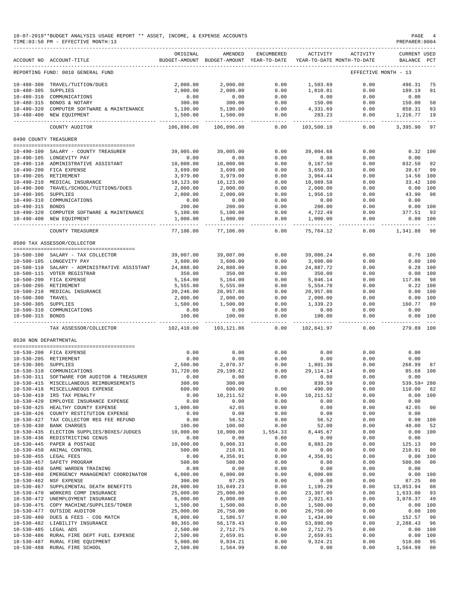|                                      | TIME:03:50 PM - EFFECTIVE MONTH:13           |                |                                                     |                   |                                        |              | PREPARER: 0004                 |                |
|--------------------------------------|----------------------------------------------|----------------|-----------------------------------------------------|-------------------|----------------------------------------|--------------|--------------------------------|----------------|
|                                      | ACCOUNT NO ACCOUNT-TITLE                     | ORIGINAL       | AMENDED<br>BUDGET-AMOUNT BUDGET-AMOUNT YEAR-TO-DATE | ENCUMBERED        | ACTIVITY<br>YEAR-TO-DATE MONTH-TO-DATE | ACTIVITY     | <b>CURRENT USED</b><br>BALANCE | $_{\rm PCT}$   |
|                                      | REPORTING FUND: 0010 GENERAL FUND            |                |                                                     |                   |                                        |              | EFFECTIVE MONTH - 13           |                |
| $10 - 480 - 300$                     | TRAVEL/TUITION/DUES                          | 2,000.00       | 2,000.00                                            | 0.00              | 1,503.69                               | 0.00         | 496.31                         | 75             |
| $10 - 480 - 305$                     | SUPPLIES                                     | 2,000.00       | 2,000.00                                            | 0.00              | 1,810.81                               | 0.00         | 189.19                         | 91             |
|                                      | 10-480-310 COMMUNICATIONS                    | 0.00           | 0.00                                                | 0.00              | 0.00                                   | 0.00         | 0.00                           |                |
| 10-480-315                           | BONDS & NOTARY                               | 300.00         | 300.00                                              | 0.00              | 150.00                                 | 0.00         | 150.00                         | 50             |
| $10 - 480 - 320$                     | COMPUTER SOFTWARE & MAINTENANCE              | 5,190.00       | 5,190.00                                            | 0.00              | 4,331.69                               | 0.00         | 858.31                         | 83             |
| $10 - 480 - 400$                     | NEW EQUIPMENT                                | 1,500.00       | 1,500.00                                            | 0.00<br>$- - - -$ | 283.23                                 | 0.00         | 1,216.77                       | 19<br>$- - -$  |
|                                      | COUNTY AUDITOR                               | 106,896.00     | 106,896.00                                          | 0.00              | 103,500.10                             | 0.00         | 3,395.90                       | 97             |
| 0490 COUNTY TREASURER                |                                              |                |                                                     |                   |                                        |              |                                |                |
|                                      | 10-490-100 SALARY - COUNTY TREASURER         | 39,005.00      | 39,005.00                                           | 0.00              | 39,004.68                              | 0.00         |                                | 0.32 100       |
|                                      | 10-490-105 LONGEVITY PAY                     | 0.00           | 0.00                                                | 0.00              | 0.00                                   | 0.00         | 0.00                           |                |
|                                      | 10-490-110 ADMINISTRATIVE ASSISTANT          | 10,000.00      | 10,000.00                                           | 0.00              | 9,167.50                               | 0.00         | 832.50                         | 92             |
| $10 - 490 - 200$                     | FICA EXPENSE                                 | 3,699.00       | 3,699.00                                            | 0.00              | 3,659.33                               | 0.00         | 39.67                          | 99             |
|                                      | 10-490-205 RETIREMENT                        | 3,979.00       | 3,979.00                                            | 0.00              | 3,964.44                               | 0.00         | 14.56 100                      |                |
|                                      | 10-490-210 MEDICAL INSURANCE                 | 10,123.00      | 10,123.00                                           | 0.00              | 10,089.58                              | 0.00         | 33.42                          | 100            |
| $10 - 490 - 300$                     | TRAVEL/SCHOOL/TUITIONS/DUES                  | 2,000.00       | 2,000.00                                            | 0.00              | 2,000.00                               | 0.00         | 0.00                           | 100            |
| $10 - 490 - 305$                     | SUPPLIES                                     | 2,000.00       | 2,000.00                                            | 0.00              | 1,956.10                               | 0.00         | 43.90                          | 98             |
| $10 - 490 - 310$                     | COMMUNICATIONS                               | 0.00           | 0.00                                                | 0.00              | 0.00                                   | 0.00         | 0.00                           |                |
| $10 - 490 - 315$                     | <b>BONDS</b>                                 | 200.00         | 200.00                                              | 0.00              | 200.00                                 | 0.00         | 0.00                           | 100            |
| $10 - 490 - 320$                     | COMPUTER SOFTWARE & MAINTENANCE              | 5,100.00       | 5,100.00                                            | 0.00              | 4,722.49                               | 0.00         | 377.51                         | 93             |
|                                      | 10-490-400 NEW EQUIPMENT                     | 1,000.00       | 1,000.00                                            | 0.00<br>$- - - -$ | 1,000.00                               | 0.00         | 0.00                           | 100            |
|                                      | COUNTY TREASURER                             | 77,106.00      | 77,106.00                                           | 0.00              | 75,764.12                              | 0.00         | 1,341.88                       | 98             |
|                                      | 0500 TAX ASSESSOR/COLLECTOR                  |                |                                                     |                   |                                        |              |                                |                |
|                                      |                                              |                |                                                     |                   |                                        |              |                                |                |
|                                      | 10-500-100 SALARY - TAX COLLECTOR            | 39,007.00      | 39,007.00                                           | 0.00              | 39,006.24                              | 0.00         | 0.76                           | 100            |
|                                      | 10-500-105 LONGEVITY PAY                     | 3,600.00       | 3,600.00                                            | 0.00              | 3,600.00                               | 0.00         | 0.00                           | 100            |
|                                      | 10-500-110 SALARY - ADMINISTRATIVE ASSISTANT | 24,888.00      | 24,888.00                                           | 0.00              | 24,887.72                              | 0.00         | 0.28                           | 100            |
|                                      | 10-500-115 VOTER REGISTRAR                   | 350.00         | 350.00                                              | 0.00              | 350.00                                 | 0.00         | 0.00                           | 100            |
|                                      | 10-500-200 FICA EXPENSE                      | 5,164.00       | 5,164.00                                            | 0.00              | 5,046.14                               | 0.00         | 117.86                         | 98             |
|                                      | 10-500-205 RETIREMENT                        | 5,555.00       | 5,555.00                                            | 0.00              | 5,554.78                               | 0.00         | 0.22                           | 100            |
| 10-500-210                           | MEDICAL INSURANCE                            | 20,246.00      | 20,957.86                                           | 0.00              | 20,957.86                              | 0.00         | 0.00                           | 100            |
| $10 - 500 - 300$                     | TRAVEL                                       | 2,000.00       | 2,000.00                                            | 0.00              | 2,000.00                               | 0.00         | 0.00                           | 100            |
| $10 - 500 - 305$                     | SUPPLIES                                     | 1,500.00       | 1,500.00                                            | 0.00              | 1,339.23                               | 0.00         | 160.77                         | 89             |
| $10 - 500 - 310$<br>$10 - 500 - 315$ | COMMUNICATIONS<br><b>BONDS</b>               | 0.00<br>100.00 | 0.00<br>100.00                                      | 0.00<br>0.00      | 0.00<br>100.00                         | 0.00<br>0.00 | 0.00<br>0.00                   | 100            |
|                                      | TAX ASSESSOR/COLLECTOR                       | 102,410.00     | 103,121.86                                          | 0.00              | 102,841.97                             | 0.00         | 279.89 100                     |                |
|                                      |                                              |                |                                                     |                   |                                        |              |                                |                |
| 0530 NON DEPARTMENTAL                |                                              |                |                                                     |                   |                                        |              |                                |                |
|                                      | 10-530-200 FICA EXPENSE                      | 0.00           | 0.00                                                | 0.00              | 0.00                                   | 0.00         | 0.00                           |                |
|                                      | 10-530-205 RETIREMENT                        | 0.00           | 0.00                                                | 0.00              | 0.00                                   | 0.00         | 0.00                           |                |
| $10 - 530 - 305$                     | SUPPLIES                                     | 2,500.00       | 2,070.37                                            | 0.00              | 1,801.38                               | 0.00         | 268.99                         | 87             |
| $10 - 530 - 310$                     | COMMUNICATIONS                               | 31,720.00      | 29, 199.82                                          | 0.00              | 29, 114. 14                            | 0.00         | 85.68                          | 100            |
|                                      | 10-530-311 SOFTWARE FOR AUDITOR & TREASURER  | 0.00           | 0.00                                                | 0.00              | 0.00                                   | 0.00         | 0.00                           |                |
|                                      | 10-530-415 MISCELLANEOUS REIMBURSEMENTS      | 300.00         | 300.00                                              |                   | 839.59                                 | 0.00         | 539.59+ 280                    |                |
|                                      | 10-530-418 MISCELLANEOUS EXPENSE             | 600.00         | 600.00                                              | 0.00              | 490.00                                 | 0.00         | 110.00                         | 82             |
| $10 - 530 - 419$                     | IRS TAX PENALTY                              | 0.00           | 10, 211.52                                          | 0.00              | 10, 211.52                             | 0.00         |                                | 0.00 100       |
| $10 - 530 - 420$                     | EMPLOYEE INSURANCE EXPENSE                   | 0.00           | 0.00                                                | 0.00              | 0.00                                   | 0.00         | 0.00                           |                |
| $10 - 530 - 425$                     | HEALTHY COUNTY EXPENSE                       | 1,000.00       | 42.05                                               | 0.00              | 0.00                                   | 0.00         | 42.05                          | 00             |
|                                      | 10-530-426 COUNTY RESTITUTION EXPENSE        | 0.00           | 0.00                                                | 0.00              | 0.00                                   | 0.00         | 0.00                           |                |
| $10 - 530 - 427$                     | TAX COLLECTOR REG FEE REFUND                 | 0.00           | 56.52                                               | 0.00              | 56.52                                  | 0.00         | 0.00                           | 100            |
| $10 - 530 - 430$                     | <b>BANK CHARGES</b>                          | 100.00         | 100.00                                              | 0.00              | 52.00                                  | 0.00         | 48.00                          | 52             |
|                                      | 10-530-435 ELECTION SUPPLIES/BOXES/JUDGES    | 10,000.00      | 10,000.00                                           | 1,554.33          | 8,445.67                               | 0.00         | 0.00                           | 100            |
| $10 - 530 - 436$                     | REDISTRICTING CENUS                          | 0.00           | 0.00                                                | 0.00              | 0.00                                   | 0.00         | 0.00                           |                |
| $10 - 530 - 445$                     | PAPER & POSTAGE                              | 10,000.00      | 9,008.33                                            | 0.00              | 8,883.20                               | 0.00         | 125.13                         | 99             |
| $10 - 530 - 450$                     | ANIMAL CONTROL                               | 500.00         | 210.91                                              | 0.00              | 0.00                                   | 0.00         | 210.91                         | 00             |
| $10 - 530 - 455$                     | LEGAL FEES                                   | 0.00           | 4,356.91                                            | 0.00              | 4,356.91                               | 0.00         |                                | 0.00 100       |
| $10 - 530 - 457$                     | SAFETY PROGRAM                               | 500.00         | 500.00                                              | 0.00              | 0.00                                   | 0.00         | 500.00                         | 0 <sub>0</sub> |
| $10 - 530 - 458$                     | GAME WARDEN TRAINING                         | 0.00           | 0.00                                                | 0.00              | 0.00                                   | 0.00         | 0.00                           |                |
| $10 - 530 - 460$                     | EMERGENCY MANAGEMENT COORDINATOR             | 6,000.00       | 6,000.00                                            | 0.00              | 6,000.00                               | 0.00         |                                | 0.00 100       |
|                                      | 10-530-462 NSF EXPENSE                       | 300.00         | 87.25                                               | 0.00              | 0.00                                   | 0.00         | 87.25                          | 00             |
| $10 - 530 - 467$                     | SUPPLEMENTAL DEATH BENEFITS                  | 28,000.00      | 15,049.23                                           | 0.00              | 1,195.29                               | 0.00         | 13,853.94                      | 08             |
| $10 - 530 - 470$                     | WORKERS COMP INSURANCE                       | 25,000.00      | 25,000.00                                           | 0.00              | 23,367.00                              | 0.00         | 1,633.00                       | 93             |
|                                      | 10-530-472 UNEMPLOYMENT INSURANCE            | 6,000.00       | 6,000.00                                            | 0.00              | 2,921.63                               | 0.00         | 3,078.37                       | 49             |
| $10 - 530 - 475$                     | COPY MACHINE/SUPPLIES/TONER                  | 1,500.00       | 1,500.00                                            | 0.00              | 1,500.00                               | 0.00         | 0.00                           | 100            |
| $10 - 530 - 477$                     | OUTSIDE AUDITOR                              | 25,000.00      | 26,750.00                                           | 0.00              | 26,750.00                              | 0.00         |                                | 0.00 100       |
|                                      | 10-530-480 DUES & FEES - COG MATCH           | 6,000.00       | 1,586.57                                            | 0.00              | 1,434.00                               | 0.00         | 152.57                         | 90             |
|                                      | 10-530-482 LIABILITY INSURANCE               | 80,365.00      | 56, 178. 43                                         | 0.00              | 53,890.00                              | 0.00         | 2,288.43                       | 96             |
| 10-530-485 LEGAL ADS                 |                                              | 2,500.00       | 2,712.75                                            | 0.00              | 2,712.75                               | 0.00         | 0.00                           | 100            |
| $10 - 530 - 486$                     | RURAL FIRE DEPT FUEL EXPENSE                 | 2,500.00       | 2,659.01                                            | 0.00              | 2,659.01                               | 0.00         |                                | 0.00 100       |
| $10 - 530 - 487$                     | RURAL FIRE EQUIPMENT                         | 5,000.00       | 9,834.21                                            | 0.00              | 9,324.21                               | 0.00         | 510.00                         | 95             |
| $10 - 530 - 488$                     | RURAL FIRE SCHOOL                            | 2,500.00       | 1,564.99                                            | 0.00              | 0.00                                   | 0.00         | 1,564.99                       | 00             |

10-07-2019\*\*BUDGET ANALYSIS USAGE REPORT \*\* ASSET, INCOME, & EXPENSE ACCOUNTS PAGE 4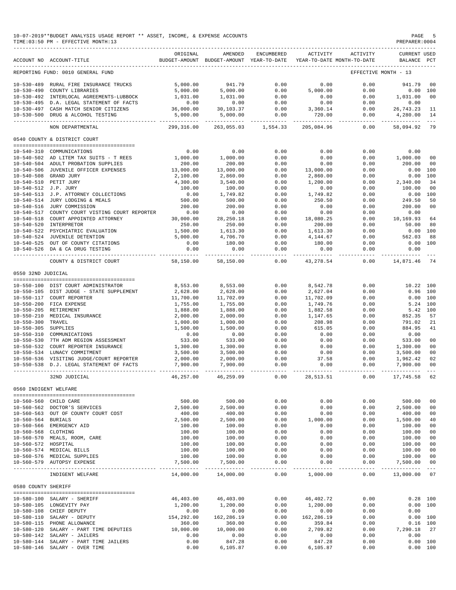|                       | 10-07-2019**BUDGET ANALYSIS USAGE REPORT ** ASSET, INCOME, & EXPENSE ACCOUNTS<br>TIME: 03:50 PM - EFFECTIVE MONTH: 13 |                           |                                                                                |                                     |                      |                                    | PREPARER: 0004                     | PAGE 5     |
|-----------------------|-----------------------------------------------------------------------------------------------------------------------|---------------------------|--------------------------------------------------------------------------------|-------------------------------------|----------------------|------------------------------------|------------------------------------|------------|
|                       | ACCOUNT NO ACCOUNT-TITLE                                                                                              | ORIGINAL                  | AMENDED<br>BUDGET-AMOUNT BUDGET-AMOUNT YEAR-TO-DATE YEAR-TO-DATE MONTH-TO-DATE | ENCUMBERED                          | ACTIVITY             | ACTIVITY                           | <b>CURRENT USED</b><br>BALANCE PCT |            |
|                       | REPORTING FUND: 0010 GENERAL FUND                                                                                     |                           |                                                                                |                                     |                      |                                    | EFFECTIVE MONTH - 13               |            |
|                       | 10-530-489 RURAL FIRE INSURANCE TRUCKS                                                                                | 5,000.00                  | 941.79                                                                         | 0.00                                | 0.00                 | 0.00                               | 941.79                             | - 00       |
|                       | 10-530-490 COUNTY LIBRARIES                                                                                           | 5,000.00                  | 5,000.00                                                                       | 0.00                                | 5,000.00             | 0.00                               |                                    | 0.00 100   |
|                       | 10-530-492 INTERLOCAL AGREEMENTS-LUBBOCK                                                                              | 1,031.00                  | 1,031.00                                                                       | 0.00                                | 0.00                 | 0.00                               | 1,031.00                           | 00         |
|                       | 10-530-495 D.A. LEGAL STATEMENT OF FACTS                                                                              | 0.00                      | 0.00                                                                           | 0.00                                | 0.00                 | 0.00                               | 0.00                               |            |
|                       | 10-530-497 CASH MATCH SENIOR CITIZENS                                                                                 | 36,000.00                 | 30,103.37                                                                      | 0.00                                | 3,360.14             | 0.00                               | 26,743.23                          | - 11       |
|                       | 10-530-500 DRUG & ALCOHOL TESTING                                                                                     | 5,000.00                  | 5,000.00                                                                       | 0.00                                | 720.00               | 0.00                               | 4,280.00 14                        |            |
|                       | NON DEPARTMENTAL                                                                                                      | 299,316.00                |                                                                                | 263,055.03 1,554.33                 | 205,084.96           | 0.00                               | 58,094.92                          | 79         |
|                       | 0540 COUNTY & DISTRICT COURT                                                                                          |                           |                                                                                |                                     |                      |                                    |                                    |            |
|                       | 10-540-310 COMMUNICATIONS                                                                                             | 0.00                      | 0.00                                                                           | 0.00                                | 0.00                 | 0.00                               | 0.00                               |            |
|                       | 10-540-502 AD LITEM TAX SUITS - T REES                                                                                | 1,000.00                  | 1,000.00                                                                       | 0.00                                | 0.00                 | 0.00                               | 1,000.00                           | 00         |
|                       | 10-540-504 ADULT PROBATION SUPPLIES                                                                                   | 200.00                    | 200.00                                                                         | 0.00                                | 0.00                 | 0.00                               | 200.00                             | - 00       |
|                       | 10-540-506 JUVENILE OFFICER EXPENSES                                                                                  | 13,000.00                 | 13,000.00                                                                      | 0.00                                | 13,000.00            | 0.00                               | 0.00 100                           |            |
|                       | 10-540-508 GRAND JURY                                                                                                 | 2,100.00                  | 2,860.00                                                                       | 0.00                                | 2,860.00             | 0.00                               | 0.00                               | 100        |
|                       | 10-540-510 PETIT JURY                                                                                                 | 4,300.00                  | 3,540.00                                                                       | 0.00                                | 1,200.00             | 0.00                               | 2,340.00                           | 34         |
| 10-540-512 J.P. JURY  |                                                                                                                       | 100.00                    | 100.00                                                                         | 0.00                                | 0.00                 | 0.00                               | 100.00                             | 00         |
|                       | 10-540-513 J.P. ATTORNEY COLLECTIONS                                                                                  | 0.00                      | 1,749.82                                                                       | 0.00                                | 1,749.82             | 0.00                               | $0.00$ 100                         |            |
|                       | 10-540-514 JURY LODGING & MEALS                                                                                       | 500.00                    | 500.00                                                                         | 0.00                                | 250.50               | 0.00                               | 249.50                             | 50         |
|                       | 10-540-516 JURY COMMISSION                                                                                            | 200.00                    | 200.00                                                                         | 0.00                                | 0.00                 | 0.00                               | 200.00                             | 00         |
|                       | 10-540-517 COUNTY COURT VISTING COURT REPORTER                                                                        | 0.00                      | 0.00                                                                           | 0.00                                | 0.00                 | 0.00                               | 0.00                               |            |
|                       | 10-540-518 COURT APPOINTED ATTORNEY                                                                                   | 30,000.00                 | 28, 250. 18                                                                    | 0.00                                | 18,080.25            | 0.00                               | 10,169.93<br>50.00                 | 64         |
|                       | 10-540-520 INTERPRETOR<br>10-540-522 PSYCHIATRIC EVALUATION                                                           | 250.00<br>1,500.00        | 250.00<br>1,613.30                                                             | 0.00<br>0.00                        | 200.00<br>1,613.30   | 0.00<br>0.00                       | $0.00$ 100                         | 80         |
|                       | 10-540-524 JUVENILE DETENTION                                                                                         | 5,000.00                  | 4,706.70                                                                       | 0.00                                | 4,144.67             | 0.00                               | 562.03                             | 88         |
|                       | 10-540-524 JOVENILE DEIENIION<br>10-540-525 OUT OF COUNTY CITATIONS                                                   | 0.00                      | 180.00                                                                         | 0.00                                | 180.00               | 0.00                               | $0.00$ 100                         |            |
|                       | 10-540-526 DA & CA DRUG TESTING                                                                                       | 0.00                      | 0.00                                                                           | 0.00                                | 0.00                 | 0.00                               | 0.00                               |            |
|                       | COUNTY & DISTRICT COURT                                                                                               | ------------<br>58,150.00 | 58,150.00                                                                      | ------------- -------------<br>0.00 | 43,278.54            | ------------ -------------<br>0.00 | -------------<br>14,871.46         | 74         |
| 0550 32ND JUDICIAL    |                                                                                                                       |                           |                                                                                |                                     |                      |                                    |                                    |            |
|                       |                                                                                                                       |                           |                                                                                |                                     |                      |                                    |                                    |            |
|                       | 10-550-100 DIST COURT ADMINISTRATOR                                                                                   | 8,553.00                  | 8,553.00                                                                       | 0.00                                | 8,542.78             | 0.00                               | 10.22 100                          |            |
|                       | 10-550-105 DIST JUDGE - STATE SUPPLEMENT                                                                              | 2,628.00                  | 2,628.00                                                                       | 0.00                                | 2,627.04             | 0.00                               | $0.96$ 100                         |            |
|                       | 10-550-117 COURT REPORTER<br>10-550-200 FICA EXPENSE                                                                  | 11,700.00                 | 11,702.09                                                                      | 0.00<br>0.00                        | 11,702.09            | 0.00                               | 0.00 100<br>5.24 100               |            |
|                       | 10-550-205 RETIREMENT                                                                                                 | 1,755.00<br>1,888.00      | 1,755.00<br>1,888.00                                                           | 0.00                                | 1,749.76<br>1,882.58 | 0.00<br>0.00                       | 5.42 100                           |            |
|                       | 10-550-210 MEDICAL INSURANCE                                                                                          | 2,000.00                  | 2,000.00                                                                       | 0.00                                | 1,147.65             | 0.00                               | 852.35                             | 57         |
| 10-550-300 TRAVEL     |                                                                                                                       | 1,000.00                  | 1,000.00                                                                       | 0.00                                | 208.98               | 0.00                               | 791.02                             | 21         |
| 10-550-305 SUPPLIES   |                                                                                                                       | 1,500.00                  | 1,500.00                                                                       | 0.00                                | 615.05               | 0.00                               | 884.95                             | 41         |
|                       | 10-550-310 COMMUNICATIONS                                                                                             | 0.00                      | 0.00                                                                           | 0.00                                | 0.00                 | 0.00                               | 0.00                               |            |
|                       | 10-550-530 7TH ADM REGION ASSESSMENT                                                                                  | 533.00                    | 533.00                                                                         | 0.00                                | 0.00                 | 0.00                               | 533.00                             | 00         |
|                       | 10-550-532 COURT REPORTER INSURANCE                                                                                   | 1,300.00                  | 1,300.00                                                                       | 0.00                                | 0.00                 | 0.00                               | 1,300.00                           | 00         |
|                       | 10-550-534 LUNACY COMMITMENT                                                                                          | 3,500.00                  | 3,500.00                                                                       | 0.00                                | 0.00                 | 0.00                               | 3,500.00                           | 00         |
|                       | 10-550-536 VISITING JUDGE/COURT REPORTER                                                                              | 2,000.00                  | 2,000.00                                                                       | 0.00                                | 37.58                | 0.00                               | 1,962.42                           | 02         |
|                       | 10-550-538 D.J. LEGAL STATEMENT OF FACTS                                                                              | 7,900.00                  | 7,900.00                                                                       | 0.00                                | 0.00                 | 0.00                               | 7,900.00                           | 00         |
|                       | 32ND JUDICIAL                                                                                                         |                           | 46,257.00 46,259.09 0.00 28,513.51                                             |                                     |                      |                                    | $0.00$ 17,745.58 62                |            |
| 0560 INDIGENT WELFARE |                                                                                                                       |                           |                                                                                |                                     |                      |                                    |                                    |            |
|                       | 10-560-560 CHILD CARE                                                                                                 | 500.00                    | 500.00                                                                         | 0.00                                | 0.00                 | 0.00                               | 500.00                             | 00         |
|                       | 10-560-562 DOCTOR'S SERVICES                                                                                          | 2,500.00                  | 2,500.00                                                                       | 0.00                                | 0.00                 | 0.00                               | 2,500.00                           | 00         |
|                       | 10-560-563 OUT OF COUNTY COURT COST                                                                                   | 400.00                    | 400.00                                                                         | 0.00                                | 0.00                 | 0.00                               | 400.00                             | 00         |
| 10-560-564 BURIALS    |                                                                                                                       | 2,500.00                  | 2,500.00                                                                       | 0.00                                | 1,000.00             | 0.00                               | 1,500.00                           | 40         |
|                       | 10-560-566 EMERGENCY AID                                                                                              | 100.00                    |                                                                                | 0.00                                | 0.00                 | 0.00                               | 100.00                             | 00         |
| 10-560-568 CLOTHING   |                                                                                                                       | 100.00                    | 100.00<br>100.00                                                               | 0.00                                | 0.00                 | 0.00                               | 100.00                             | 00         |
|                       | 10-560-570 MEALS, ROOM, CARE                                                                                          | 100.00                    | 100.00                                                                         | 0.00                                | 0.00                 | 0.00                               | 100.00                             | 00         |
| 10-560-572 HOSPITAL   |                                                                                                                       | 100.00                    | 100.00<br>100.00                                                               | 0.00                                | 0.00                 | 0.00                               | 100.00<br>100.00                   | 00         |
|                       | 10-560-574 MEDICAL BILLS                                                                                              | 100.00                    |                                                                                | 0.00                                | 0.00                 | 0.00                               |                                    | 00         |
|                       | 10-560-576 MEDICAL SUPPLIES                                                                                           | 100.00                    | 100.00                                                                         | 0.00                                | 0.00                 | 0.00                               | 100.00 00                          |            |
|                       | 10-560-579 AUTOPSY EXPENSE                                                                                            | 7,500.00                  | 7,500.00                                                                       | 0.00                                | 0.00                 | 0.00                               | 7,500.00                           | 00         |
|                       | ------------------------<br>INDIGENT WELFARE                                                                          |                           | $14,000.00$ $14,000.00$ $0.00$ $1,000.00$                                      |                                     |                      |                                    | $0.00$ 13,000.00 07                |            |
| 0580 COUNTY SHERIFF   |                                                                                                                       |                           |                                                                                |                                     |                      |                                    |                                    |            |
|                       |                                                                                                                       |                           |                                                                                |                                     |                      |                                    |                                    |            |
|                       | 10-580-100 SALARY - SHERIFF                                                                                           | 46,403.00                 | 46,403.00                                                                      | 0.00                                | 46,402.72            | 0.00                               |                                    | $0.28$ 100 |
|                       | 10-580-105 LONGEVITY PAY                                                                                              | 1,200.00                  | 1,200.00                                                                       | 0.00                                | 1,200.00             | 0.00                               |                                    | 0.00 100   |
|                       | 10-580-108 CHIEF DEPUTY                                                                                               | 0.00                      | 0.00                                                                           | 0.00                                | 0.00                 | 0.00                               | 0.00                               |            |
|                       | 10-580-110 SALARY - DEPUTY                                                                                            | 154,292.00                | 162,286.19                                                                     | 0.00                                | 162,286.19           | 0.00                               |                                    | 0.00 100   |
|                       | 10-580-115 PHONE ALLOWANCE                                                                                            | 360.00                    | 360.00                                                                         | 0.00                                | 359.84               | 0.00                               |                                    | $0.16$ 100 |
|                       | $10-580-120$ SALARY - PART TIME DEPUTIES $10,000.00$                                                                  |                           | 10,000.00                                                                      | 0.00                                | 2,709.82             | 0.00                               | 7,290.18 27<br>0.00                |            |
|                       | 10-580-142 SALARY - JAILERS<br>10-580-144 SALARY - PART TIME JAILERS                                                  | 0.00<br>0.00              | 0.00<br>847.28                                                                 | 0.00<br>0.00                        | 0.00<br>847.28       | 0.00<br>0.00                       |                                    | 0.00 100   |
|                       | 10-580-146 SALARY - OVER TIME                                                                                         | 0.00                      | 6,105.87                                                                       | 0.00                                | 6,105.87             | 0.00                               | 0.00 100                           |            |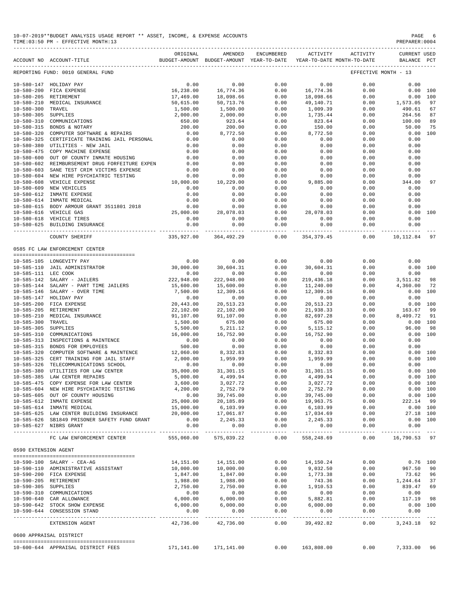|                                      |                                                                | ORIGINAL               | AMENDED                                                                                                                                                                                                                                                                                                                                                  | ENCUMBERED        | ACTIVITY              | <b>ACTIVITY</b>                                     | <b>CURRENT USED</b>      |          |
|--------------------------------------|----------------------------------------------------------------|------------------------|----------------------------------------------------------------------------------------------------------------------------------------------------------------------------------------------------------------------------------------------------------------------------------------------------------------------------------------------------------|-------------------|-----------------------|-----------------------------------------------------|--------------------------|----------|
|                                      | ACCOUNT NO ACCOUNT-TITLE                                       |                        | BUDGET-AMOUNT BUDGET-AMOUNT YEAR-TO-DATE                                                                                                                                                                                                                                                                                                                 |                   |                       | YEAR-TO-DATE MONTH-TO-DATE                          | <b>BALANCE</b>           | PCT      |
|                                      | REPORTING FUND: 0010 GENERAL FUND                              |                        |                                                                                                                                                                                                                                                                                                                                                          |                   |                       |                                                     | EFFECTIVE MONTH - 13     |          |
|                                      | 10-580-147 HOLIDAY PAY                                         | 0.00                   | 0.00                                                                                                                                                                                                                                                                                                                                                     | 0.00              | 0.00                  | 0.00                                                | 0.00                     |          |
| $10 - 580 - 200$                     | FICA EXPENSE                                                   | 16,238.00              | 16,774.36                                                                                                                                                                                                                                                                                                                                                | 0.00              | 16,774.36             | 0.00                                                | 0.00                     | 100      |
| $10 - 580 - 205$                     | RETIREMENT                                                     | 17,469.00              | 18,098.66                                                                                                                                                                                                                                                                                                                                                | 0.00              | 18,098.66             | 0.00                                                | 0.00                     | 100      |
| $10 - 580 - 210$                     | MEDICAL INSURANCE                                              | 50,615.00              | 50,713.76                                                                                                                                                                                                                                                                                                                                                | 0.00              | 49,140.71             | 0.00                                                | 1,573.05                 | 97       |
| $10 - 580 - 300$                     | TRAVEL                                                         | 1,500.00               | 1,500.00                                                                                                                                                                                                                                                                                                                                                 | 0.00              | 1,009.39              | 0.00                                                | 490.61                   | 67       |
| $10 - 580 - 305$                     | SUPPLIES                                                       | 2,000.00               | 2,000.00                                                                                                                                                                                                                                                                                                                                                 | 0.00              | 1,735.44              | 0.00                                                | 264.56                   | 87       |
| $10 - 580 - 310$                     | COMMUNICATIONS<br>BONDS & NOTARY                               | 650.00                 | 923.64                                                                                                                                                                                                                                                                                                                                                   | 0.00<br>0.00      | 823.64                | 0.00                                                | 100.00<br>50.00          | 89<br>75 |
| $10 - 580 - 315$<br>$10 - 580 - 320$ | COMPUTER SOFTWARE & REPAIRS                                    | 200.00<br>0.00         | 200.00<br>8,772.50                                                                                                                                                                                                                                                                                                                                       | 0.00              | 150.00<br>8,772.50    | 0.00<br>0.00                                        | 0.00 100                 |          |
| $10 - 580 - 325$                     | CERTIFICATE TRAINING JAIL PERSONAL                             | 0.00                   | 0.00                                                                                                                                                                                                                                                                                                                                                     | 0.00              | 0.00                  | 0.00                                                | 0.00                     |          |
| $10 - 580 - 380$                     | UTILITIES - NEW JAIL                                           | 0.00                   | 0.00                                                                                                                                                                                                                                                                                                                                                     | 0.00              | 0.00                  | 0.00                                                | 0.00                     |          |
| $10 - 580 - 475$                     | COPY MACHINE EXPENSE                                           | 0.00                   | 0.00                                                                                                                                                                                                                                                                                                                                                     | 0.00              | 0.00                  | 0.00                                                | 0.00                     |          |
| $10 - 580 - 600$                     | OUT OF COUNTY INMATE HOUSING                                   | 0.00                   | 0.00                                                                                                                                                                                                                                                                                                                                                     | 0.00              | 0.00                  | 0.00                                                | 0.00                     |          |
| $10 - 580 - 602$                     | REIMBURSEMENT DRUG FORFEITURE EXPEN                            | 0.00                   | 0.00                                                                                                                                                                                                                                                                                                                                                     | 0.00              | 0.00                  | 0.00                                                | 0.00                     |          |
| $10 - 580 - 603$                     | SANE TEST CRIM VICTIMS EXPENSE                                 | 0.00                   | 0.00                                                                                                                                                                                                                                                                                                                                                     | 0.00              | 0.00                  | 0.00                                                | 0.00                     |          |
| $10 - 580 - 604$                     | NEW HIRE PSYCHIATRIC TESTING                                   | 0.00                   | 0.00                                                                                                                                                                                                                                                                                                                                                     | 0.00              | 0.00                  | 0.00                                                | 0.00                     |          |
| $10 - 580 - 608$                     | VEHICLE EXPENSE                                                | 10,000.00              | 10,229.00                                                                                                                                                                                                                                                                                                                                                | 0.00              | 9,885.00              | 0.00                                                | 344.00                   | 97       |
| $10 - 580 - 609$                     | NEW VEHICLES                                                   | 0.00                   | 0.00                                                                                                                                                                                                                                                                                                                                                     | 0.00              | 0.00                  | 0.00                                                | 0.00                     |          |
| $10 - 580 - 612$                     | INMATE EXPENSE                                                 | 0.00                   | 0.00                                                                                                                                                                                                                                                                                                                                                     | 0.00              | 0.00                  | 0.00                                                | 0.00                     |          |
| $10 - 580 - 614$                     | INMATE MEDICAL                                                 | 0.00                   | 0.00                                                                                                                                                                                                                                                                                                                                                     | 0.00              | 0.00                  | 0.00                                                | 0.00                     |          |
|                                      | 10-580-615 BODY ARMOUR GRANT 3511801 2018                      | 0.00                   | 0.00                                                                                                                                                                                                                                                                                                                                                     | 0.00              | 0.00                  | 0.00                                                | 0.00                     |          |
|                                      | 10-580-616 VEHICLE GAS                                         | 25,000.00              | 28,078.03                                                                                                                                                                                                                                                                                                                                                | 0.00              | 28,078.03             | 0.00                                                | 0.00                     | 100      |
|                                      | 10-580-618 VEHICLE TIRES                                       | 0.00                   | 0.00                                                                                                                                                                                                                                                                                                                                                     | 0.00              | 0.00                  | 0.00                                                | 0.00                     |          |
|                                      | 10-580-625 BUILDING INSURANCE                                  | 0.00                   | 0.00                                                                                                                                                                                                                                                                                                                                                     | 0.00              | 0.00                  | 0.00                                                | 0.00                     |          |
|                                      | COUNTY SHERIFF                                                 | 335,927.00             | 364,492.29                                                                                                                                                                                                                                                                                                                                               | $- - - -$<br>0.00 | .<br>354,379.45       | $- - - - -$<br>0.00                                 | -----------<br>10,112.84 | 97       |
|                                      | 0585 FC LAW ENFORCEMENT CENTER                                 |                        |                                                                                                                                                                                                                                                                                                                                                          |                   |                       |                                                     |                          |          |
|                                      | --------------------------------------                         |                        |                                                                                                                                                                                                                                                                                                                                                          |                   |                       |                                                     |                          |          |
|                                      | 10-585-105 LONGEVITY PAY                                       | 0.00                   | 0.00                                                                                                                                                                                                                                                                                                                                                     | 0.00              | 0.00                  | 0.00                                                | 0.00                     |          |
|                                      | 10-585-110 JAIL ADMINISTRATOR                                  | 30,000.00              | 30,604.31                                                                                                                                                                                                                                                                                                                                                | 0.00              | 30,604.31             | 0.00                                                |                          | 0.00 100 |
| 10-585-111 LEC COOK                  |                                                                | 0.00                   | 0.00                                                                                                                                                                                                                                                                                                                                                     | 0.00              | 0.00                  | 0.00                                                | 0.00                     |          |
|                                      | 10-585-142 SALARY - JAILERS                                    | 222,948.00             | 222,948.00                                                                                                                                                                                                                                                                                                                                               | 0.00              | 219, 436.18           | 0.00                                                | 3,511.82                 | 98       |
|                                      | 10-585-144 SALARY - PART TIME JAILERS                          | 15,600.00              | 15,600.00                                                                                                                                                                                                                                                                                                                                                | 0.00              | 11,240.00             | 0.00                                                | 4,360.00                 | - 72     |
|                                      | 10-585-146 SALARY - OVER TIME                                  | 7,500.00               | 12,309.16                                                                                                                                                                                                                                                                                                                                                | 0.00              | 12,309.16             | 0.00                                                | 0.00                     | 100      |
|                                      | 10-585-147 HOLIDAY PAY                                         | 0.00                   | 0.00                                                                                                                                                                                                                                                                                                                                                     | 0.00              | 0.00                  | 0.00                                                | 0.00                     |          |
| $10 - 585 - 200$                     | FICA EXPENSE                                                   | 20,443.00              | 20,513.23                                                                                                                                                                                                                                                                                                                                                | 0.00              | 20,513.23             | 0.00                                                | 0.00                     | 100      |
|                                      | 10-585-205 RETIREMENT                                          | 22,102.00              | 22,102.00                                                                                                                                                                                                                                                                                                                                                | 0.00              | 21,938.33             | 0.00                                                | 163.67                   | 99       |
| $10 - 585 - 210$                     | MEDICAL INSURANCE                                              | 91,107.00              | 91,107.00                                                                                                                                                                                                                                                                                                                                                | 0.00              | 82,697.28             | 0.00                                                | 8,409.72                 | 91       |
| $10 - 585 - 300$                     | TRAVEL                                                         | 1,500.00               | 675.00                                                                                                                                                                                                                                                                                                                                                   | 0.00              | 675.00                | 0.00                                                | 0.00 100                 |          |
| 10-585-305 SUPPLIES                  |                                                                | 5,500.00               | 5, 211.12                                                                                                                                                                                                                                                                                                                                                | 0.00              | 5, 115. 12            | 0.00                                                | 96.00                    | 98       |
| $10 - 585 - 310$                     | COMMUNICATIONS                                                 | 16,000.00              | 16,752.90                                                                                                                                                                                                                                                                                                                                                | 0.00              | 16,752.90             | 0.00                                                | 0.00                     | 100      |
|                                      | 10-585-313 INSPECTIONS & MAINTENCE                             | 0.00                   | 0.00                                                                                                                                                                                                                                                                                                                                                     | 0.00              | 0.00                  | 0.00                                                | 0.00                     |          |
|                                      | 10-585-315 BONDS FOR EMPLOYEES                                 | 500.00                 | 0.00                                                                                                                                                                                                                                                                                                                                                     | 0.00              | 0.00                  | 0.00                                                | 0.00                     |          |
| $10 - 585 - 320$                     | COMPUTER SOFTWARE & MAINTENCE                                  | 12,060.00              | 8,332.83                                                                                                                                                                                                                                                                                                                                                 | 0.00              | 8,332.83              | 0.00                                                | 0.00                     | 100      |
|                                      | 10-585-325 CERT TRAINING FOR JAIL STAFF                        | 2,000.00               | 1,959.99                                                                                                                                                                                                                                                                                                                                                 | 0.00              | 1,959.99              | 0.00                                                | 0.00                     | 100      |
| $10 - 585 - 326$                     | TELECOMMUNICATIONS SCHOOL                                      | 0.00                   | 0.00                                                                                                                                                                                                                                                                                                                                                     | 0.00              | 0.00                  | 0.00                                                | 0.00                     |          |
| $10 - 585 - 380$                     | UTILITIES FOR LAW CENTER                                       | 35,000.00              | 31, 301.15                                                                                                                                                                                                                                                                                                                                               | 0.00              | 31,301.15             | 0.00                                                | 0.00                     | 100      |
|                                      | 10-585-385 LAW CENTER REPAIRS                                  | 5,000.00               | 4,499.94                                                                                                                                                                                                                                                                                                                                                 | 0.00              | 4,499.94              | 0.00                                                | 0.00 100                 |          |
|                                      | 10-585-475 COPY EXPENSE FOR LAW CENTER                         | 3,600.00               |                                                                                                                                                                                                                                                                                                                                                          |                   |                       | 0.00                                                | 0.00 100                 |          |
|                                      | 10-585-604 NEW HIRE PSYCHIATRIC TESTING                        | 4,200.00               |                                                                                                                                                                                                                                                                                                                                                          |                   |                       | 0.00                                                | $0.00$ 100               |          |
|                                      | 10-585-605 OUT OF COUNTY HOUSING                               |                        | $0.00$ 39,745.00                                                                                                                                                                                                                                                                                                                                         |                   |                       | $\begin{array}{c} 0.00 \\ 0.00 \\ 0.00 \end{array}$ | 0.00 100                 |          |
|                                      | 10-585-612 INMATE EXPENSE                                      | 25,000.00              |                                                                                                                                                                                                                                                                                                                                                          |                   |                       | 0.00                                                | 222.14 99                |          |
|                                      | 10-585-614 INMATE MEDICAL                                      | 15,000.00              |                                                                                                                                                                                                                                                                                                                                                          |                   |                       | 0.00                                                | 0.00 100                 |          |
|                                      | 10-585-625 LAW CENTER BUILDING INSURANCE                       |                        | 20,000.00 17,061.87                                                                                                                                                                                                                                                                                                                                      |                   |                       | 0.00                                                | 27.18 100                |          |
|                                      | 10-585-626 SB1849 PRISONER SAFETY FUND GRANT                   | 0.00                   |                                                                                                                                                                                                                                                                                                                                                          |                   |                       | 0.00                                                | 0.00 100                 |          |
|                                      | 10-585-627 NIBRS GRANT                                         | 0.00                   | $\begin{array}{cccccc} & . & . & . & . & . & . & . & . & . & . & .\\ & & & & & & 3\,,027\,,72\,\\ \mathbf{59}\,,745\,,00 & & & & 0\,,00 & & 2\,,752\,,79\,\\ \mathbf{20}\,,185\,,89 & & & & 0\,,00 & & 19\,,963\,,75\,\\ \mathbf{6}\,,103\,,99 & & & & 0\,,00 & & 6\,,103\,,99\,\\ \mathbf{17}\,,061\,,87 & & & & 0\,,00 & & 17\,,034\,,69\,\\ \mathbf{$ |                   |                       | 0.00                                                | 0.00                     |          |
|                                      | FC LAW ENFORCEMENT CENTER                                      | 555,060.00             | 575,039.22                                                                                                                                                                                                                                                                                                                                               | 0.00              | 558,248.69            |                                                     | $0.00$ 16,790.53 97      |          |
| 0590 EXTENSION AGENT                 |                                                                |                        |                                                                                                                                                                                                                                                                                                                                                          |                   |                       |                                                     |                          |          |
|                                      |                                                                |                        |                                                                                                                                                                                                                                                                                                                                                          |                   |                       |                                                     |                          |          |
|                                      | 10-590-100 SALARY - CEA-AG                                     | 14,151.00<br>10,000.00 | 14,151.00                                                                                                                                                                                                                                                                                                                                                | 0.00              | 14,150.24<br>9,032.50 | 0.00                                                | $0.76$ 100               |          |
|                                      | 10-590-110 ADMINISTRATIVE ASSISTANT<br>10-590-200 FICA EXPENSE |                        | 10,000.00                                                                                                                                                                                                                                                                                                                                                | 0.00              | 1,773.38              | 0.00                                                | 967.50 90                |          |
|                                      | 10-590-205 RETIREMENT                                          | 1,847.00<br>1,988.00   | 1,847.00<br>1,988.00                                                                                                                                                                                                                                                                                                                                     | 0.00<br>0.00      | 743.36                | 0.00<br>0.00                                        | 73.62 96<br>1,244.64 37  |          |
| 10-590-305 SUPPLIES                  |                                                                | 2,750.00               | 2,750.00                                                                                                                                                                                                                                                                                                                                                 | 0.00              |                       | 0.00                                                | 839.47 69                |          |
|                                      | 10-590-310 COMMUNICATIONS                                      | 0.00                   |                                                                                                                                                                                                                                                                                                                                                          | 0.00              | 1,910.53<br>0.00      | 0.00                                                | 0.00                     |          |
|                                      | 10-590-640 CAR ALLOWANCE                                       | 6,000.00               | $\begin{array}{c} 0.00 \\ 6,000.00 \end{array}$                                                                                                                                                                                                                                                                                                          | 0.00              | 5,882.81              | 0.00                                                | 117.19 98                |          |
|                                      | 10-590-642 STOCK SHOW EXPENSE                                  | 6,000.00               |                                                                                                                                                                                                                                                                                                                                                          | 0.00              | 6,000.00              | 0.00                                                | $0.00$ 100               |          |
|                                      | 10-590-644 CONSESSION STAND                                    | 0.00                   | 6,000.00<br>0.00                                                                                                                                                                                                                                                                                                                                         | 0.00              | 0.00                  | 0.00                                                | 0.00                     |          |
|                                      |                                                                |                        |                                                                                                                                                                                                                                                                                                                                                          |                   |                       | 0.00                                                |                          |          |
|                                      | EXTENSION AGENT                                                | 42,736.00              | 42,736.00                                                                                                                                                                                                                                                                                                                                                | 0.00              | 39,492.82             |                                                     | 3, 243. 18 92            |          |
|                                      | 0600 APPRAISAL DISTRICT                                        |                        |                                                                                                                                                                                                                                                                                                                                                          |                   |                       |                                                     |                          |          |
|                                      | 10-600-644 APPRAISAL DISTRICT FEES                             |                        | 171,141.00 171,141.00 0.00 163,808.00                                                                                                                                                                                                                                                                                                                    |                   |                       |                                                     | $0.00$ 7,333.00 96       |          |

-------------------------------------------------------------------------------------------------------------------------------------------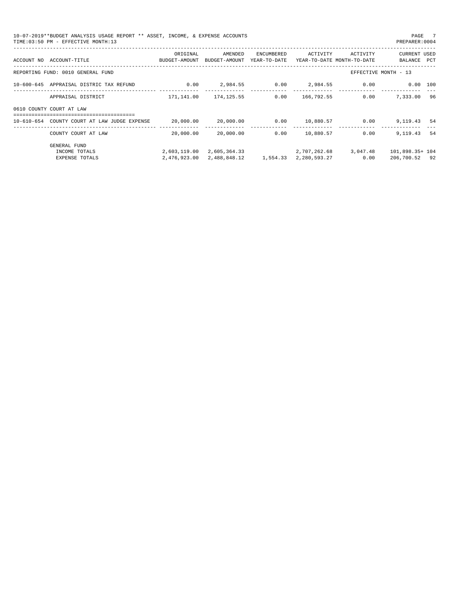| PAGE 7<br>10-07-2019**BUDGET ANALYSIS USAGE REPORT ** ASSET, INCOME, & EXPENSE ACCOUNTS<br>TIME: 03:50 PM - EFFECTIVE MONTH: 13<br>PREPARER: 0004 |                                                                     |                                                                                                               |                                     |                            |              |                                        |                                    |     |
|---------------------------------------------------------------------------------------------------------------------------------------------------|---------------------------------------------------------------------|---------------------------------------------------------------------------------------------------------------|-------------------------------------|----------------------------|--------------|----------------------------------------|------------------------------------|-----|
|                                                                                                                                                   | ACCOUNT NO ACCOUNT-TITLE SALE RESOLUTION AND RESOLUTION AND ACCOUNT | ORIGINAL                                                                                                      | AMENDED<br>BUDGET-AMOUNT            | ENCUMBERED<br>YEAR-TO-DATE | ACTIVITY     | ACTIVITY<br>YEAR-TO-DATE MONTH-TO-DATE | <b>CURRENT USED</b><br>BALANCE PCT |     |
|                                                                                                                                                   | REPORTING FUND: 0010 GENERAL FUND                                   |                                                                                                               |                                     |                            |              |                                        | EFFECTIVE MONTH - 13               |     |
|                                                                                                                                                   | 10-600-645 APPRAISAL DISTRIC TAX REFUND 0.00                        |                                                                                                               | $2,984.55$ $0.00$ $2,984.55$ $0.00$ |                            |              |                                        | $0.00$ 100                         |     |
|                                                                                                                                                   | APPRAISAL DISTRICT                                                  |                                                                                                               | 171,141.00 174,125.55               | 0.00                       | 166,792.55   | 0.00                                   | 7,333.00 96                        |     |
|                                                                                                                                                   | 0610 COUNTY COURT AT LAW                                            |                                                                                                               |                                     |                            |              |                                        |                                    |     |
|                                                                                                                                                   | 10-610-654 COUNTY COURT AT LAW JUDGE EXPENSE                        | $20\,,000\,.00\qquad \qquad 20\,,000\,.00\qquad \qquad 0\,.00\qquad \qquad 10\,,880\,.57\qquad \qquad 0\,.00$ |                                     |                            |              |                                        | 9,119.43 54                        |     |
|                                                                                                                                                   | COUNTY COURT AT LAW                                                 | 20,000.00                                                                                                     | 20,000.00                           | 0.00                       | 10,880.57    | 0.00                                   | 9,119.43                           | -54 |
|                                                                                                                                                   | <b>GENERAL FUND</b>                                                 |                                                                                                               |                                     |                            |              |                                        |                                    |     |
|                                                                                                                                                   | INCOME TOTALS                                                       |                                                                                                               | 2,603,119.00 2,605,364.33           |                            | 2,707,262.68 | 3,047.48                               | 101,898.35+ 104                    |     |
|                                                                                                                                                   | EXPENSE TOTALS                                                      | 2,476,923.00                                                                                                  |                                     |                            |              | 0.00                                   | 206,700.52 92                      |     |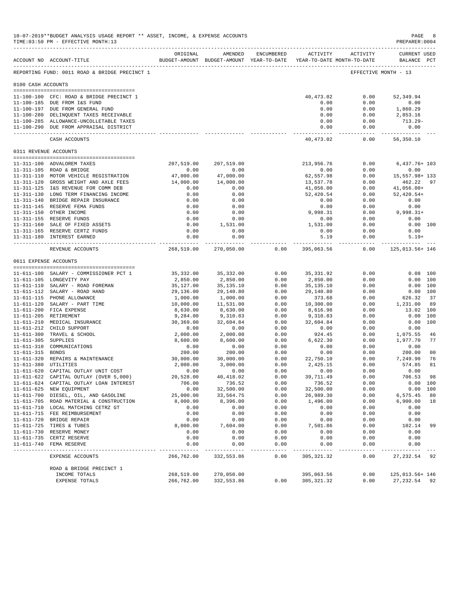|                     | TIME: 03:50 PM - EFFECTIVE MONTH: 13                                                   |                       |                         |               |                                                                     |                      | PREPARER: 0004                     |                |
|---------------------|----------------------------------------------------------------------------------------|-----------------------|-------------------------|---------------|---------------------------------------------------------------------|----------------------|------------------------------------|----------------|
|                     | ACCOUNT NO ACCOUNT-TITLE                                                               | ORIGINAL              | AMENDED                 | ENCUMBERED    | BUDGET-AMOUNT BUDGET-AMOUNT YEAR-TO-DATE YEAR-TO-DATE MONTH-TO-DATE | ACTIVITY ACTIVITY    | <b>CURRENT USED</b><br>BALANCE PCT |                |
|                     | -------------------------------------<br>REPORTING FUND: 0011 ROAD & BRIDGE PRECINCT 1 |                       |                         |               |                                                                     | EFFECTIVE MONTH - 13 |                                    |                |
| 0100 CASH ACCOUNTS  |                                                                                        |                       |                         |               |                                                                     |                      |                                    |                |
|                     |                                                                                        |                       |                         |               |                                                                     |                      |                                    |                |
|                     | 11-100-100 CFC: ROAD & BRIDGE PRECINCT 1                                               |                       |                         |               | 40,473.02                                                           | 0.00                 | 52,349.94                          |                |
|                     | 11-100-185 DUE FROM I&S FUND<br>11-100-197 DUE FROM GENERAL FUND                       |                       |                         |               | 0.00<br>0.00                                                        | 0.00<br>0.00         | 0.00<br>1,860.29                   |                |
|                     | 11-100-280 DELINQUENT TAXES RECEIVABLE                                                 |                       |                         |               | 0.00                                                                | 0.00                 | 2,853.16                           |                |
|                     | 11-100-285 ALLOWANCE-UNCOLLETABLE TAXES                                                |                       |                         |               | 0.00                                                                | 0.00                 | $713.29 -$                         |                |
|                     | 11-100-290 DUE FROM APPRAISAL DISTRICT                                                 |                       |                         |               | 0.00                                                                | 0.00                 | 0.00                               |                |
|                     | CASH ACCOUNTS                                                                          |                       |                         |               | -----------<br>40,473.02                                            | -----------<br>0.00  | -------------<br>56,350.10         |                |
|                     | 0311 REVENUE ACCOUNTS                                                                  |                       |                         |               |                                                                     |                      |                                    |                |
|                     | 11-311-100 ADVALOREM TAXES                                                             | 207,519.00            | 207,519.00              |               | 213,956.76                                                          | 0.00                 | $6,437.76+103$                     |                |
|                     | 11-311-105 ROAD & BRIDGE                                                               | 0.00                  | 0.00                    |               | 0.00                                                                | 0.00                 | 0.00                               |                |
|                     | 11-311-110 MOTOR VEHICLE REGISTRATION                                                  | 47,000.00             | 47,000.00               |               | 62,557.98                                                           | 0.00                 | 15,557.98+ 133                     |                |
|                     | 11-311-120 GROSS WEIGHT AND AXLE FEES                                                  | 14,000.00             | 14,000.00               |               | 13,537.78                                                           | 0.00                 | 462.22                             | 97             |
|                     | 11-311-125 I&S REVENUE FOR COMM DEB                                                    | 0.00                  | 0.00                    |               | 41,056.00                                                           | 0.00                 | 41,056.00+<br>$52,420.54+$         |                |
|                     | 11-311-130 LONG TERM FINANCING INCOME<br>11-311-140 BRIDGE REPAIR INSURANCE            | 0.00<br>0.00          | 0.00<br>0.00            |               | 52,420.54<br>0.00                                                   | 0.00<br>0.00         | 0.00                               |                |
|                     | 11-311-145 RESERVE FEMA FUNDS                                                          | 0.00                  | 0.00                    |               | 0.00                                                                | 0.00                 | 0.00                               |                |
|                     | 11-311-150 OTHER INCOME                                                                | 0.00                  | 0.00                    |               | 9,998.31                                                            | 0.00                 | 9,998.31+                          |                |
|                     | 11-311-155 RESERVE FUNDS                                                               | 0.00                  | 0.00                    |               | 0.00                                                                | 0.00                 | 0.00                               |                |
|                     | 11-311-160 SALE OF FIXED ASSETS                                                        | 0.00                  | 1,531.00                |               | 1,531.00                                                            | 0.00                 | 0.00 100                           |                |
|                     | 11-311-165 RESERVE CERTZ FUNDS                                                         | 0.00                  | 0.00                    |               | 0.00                                                                | 0.00                 | 0.00                               |                |
|                     | 11-311-180 INTEREST EARNED                                                             | 0.00<br>------------  | 0.00<br>------------    |               | 5.19<br>-------------                                               | 0.00<br>------------ | $5.19+$                            |                |
|                     | REVENUE ACCOUNTS                                                                       | 268,519.00            | 270,050.00              | 0.00          | 395,063.56                                                          | 0.00                 | 125,013.56+146                     |                |
|                     | 0611 EXPENSE ACCOUNTS                                                                  |                       |                         |               |                                                                     |                      |                                    |                |
|                     | 11-611-100 SALARY - COMMISSIONER PCT 1                                                 | 35,332.00             | 35,332.00               | 0.00          | 35, 331.92                                                          | 0.00                 | $0.08$ 100                         |                |
|                     | 11-611-105 LONGEVITY PAY                                                               | 2,850.00              | 2,850.00                | 0.00          | 2,850.00                                                            | 0.00                 | 0.00 100                           |                |
|                     | 11-611-110 SALARY - ROAD FOREMAN                                                       | 35,127.00             | 35,135.10               | 0.00          | 35, 135. 10                                                         | 0.00                 | 0.00 100                           |                |
|                     | 11-611-112 SALARY - ROAD HAND                                                          | 29,136.00             | 29,140.80               | 0.00          | 29,140.80                                                           | 0.00                 | 0.00 100                           |                |
|                     | 11-611-115 PHONE ALLOWANCE                                                             | 1,000.00              | 1,000.00                | 0.00          | 373.68                                                              | 0.00                 | 626.32                             | 37             |
|                     | 11-611-120 SALARY - PART TIME<br>11-611-200 FICA EXPENSE                               | 10,000.00<br>8,630.00 | 11,531.00<br>8,630.00   | 0.00<br>0.00  | 10,300.00<br>8,616.98                                               | 0.00<br>0.00         | 1,231.00<br>13.02 100              | 89             |
|                     | 11-611-205 RETIREMENT                                                                  | 9,284.00              | 9,310.83                | 0.00          | 9,310.83                                                            | 0.00                 | 0.00 100                           |                |
|                     | 11-611-210 MEDICAL INSURANCE                                                           | 30,369.00             | 32,604.84               | 0.00          | 32,604.84                                                           | 0.00                 | 0.00 100                           |                |
|                     | 11-611-212 CHILD SUPPORT                                                               | 0.00                  | 0.00                    | 0.00          | 0.00                                                                | 0.00                 | 0.00                               |                |
|                     | 11-611-300 TRAVEL & SCHOOL                                                             | 2,000.00              | 2,000.00                | 0.00          | 924.45                                                              | 0.00                 | 1,075.55                           | 46             |
| 11-611-305 SUPPLIES |                                                                                        | 8,600.00              | 8,600.00                | 0.00          | 6,622.30                                                            | 0.00                 | 1,977.70                           | 77             |
|                     | 11-611-310 COMMUNICATIONS                                                              | 0.00                  | 0.00                    | 0.00          | 0.00                                                                | 0.00                 | 0.00                               |                |
| 11-611-315 BONDS    |                                                                                        | 200.00                | 200.00                  | 0.00          | 0.00                                                                | 0.00                 | 200.00                             | 0 <sub>0</sub> |
|                     | 11-611-320 REPAIRS & MAINTENANCE<br>11-611-380 UTILITIES                               | 30,000.00<br>2,000.00 | 30,000.00               | 0.00<br>0.00  | 22,750.10                                                           | 0.00<br>0.00         | 7,249.90<br>574.85                 | 76<br>81       |
|                     | 11-611-620 CAPITAL OUTLAY UNIT COST                                                    | 0.00                  | 3,000.00<br>0.00        | 0.00          | 2,425.15<br>0.00                                                    | 0.00                 | 0.00                               |                |
|                     | 11-611-622 CAPITAL OUTLAY (OVER 5,000)                                                 | 20,528.00             | 40, 418.02              | 0.00          | 39,711.49                                                           | 0.00                 | 706.53                             | 98             |
|                     | 11-611-624 CAPITAL OUTLAY LOAN INTEREST                                                | 706.00                | 736.52                  | 0.00          | 736.52                                                              | 0.00                 | 0.00 100                           |                |
|                     | 11-611-625 NEW EQUIPMENT                                                               | 0.00                  | 32,500.00               | 0.00          | 32,500.00                                                           | 0.00                 | 0.00 100                           |                |
|                     | 11-611-700 DIESEL, OIL, AND GASOLINE                                                   | 25,000.00             | 33,564.75               | 0.00          | 26,989.30                                                           | 0.00                 | 6,575.45                           | 80             |
|                     | 11-611-705 ROAD MATERIAL & CONSTRUCTION                                                | 8,000.00              | 8,396.00                | 0.00          | 1,496.00                                                            | 0.00                 | 6,900.00                           | 18             |
|                     | 11-611-710 LOCAL MATCHING CETRZ GT                                                     | 0.00                  | 0.00                    | 0.00          | 0.00                                                                | 0.00                 | 0.00                               |                |
|                     | 11-611-715 FEE REIMBURSEMENT                                                           | 0.00                  | 0.00                    | 0.00          | 0.00                                                                | 0.00                 | 0.00                               |                |
|                     | 11-611-720 BRIDGE REPAIR<br>11-611-725 TIRES & TUBES                                   | 0.00<br>8,000.00      | 0.00<br>7,604.00        | 0.00<br>0.00  | 0.00<br>7,501.86                                                    | 0.00<br>0.00         | 0.00<br>102.14                     | 99             |
|                     | 11-611-730 RESERVE MONEY                                                               | 0.00                  | 0.00                    | 0.00          | 0.00                                                                | 0.00                 | 0.00                               |                |
|                     | 11-611-735 CERTZ RESERVE                                                               | 0.00                  | 0.00                    | 0.00          | 0.00                                                                | 0.00                 | 0.00                               |                |
|                     | 11-611-740 FEMA RESERVE                                                                | 0.00                  | 0.00                    | 0.00          | 0.00                                                                | 0.00                 | 0.00                               |                |
|                     | EXPENSE ACCOUNTS                                                                       | -----<br>266,762.00   | ---------<br>332,553.86 | $---$<br>0.00 | 305, 321.32                                                         | 0.00                 | --------<br>27,232.54              | 92             |
|                     | ROAD & BRIDGE PRECINCT 1                                                               |                       |                         |               |                                                                     |                      |                                    |                |
|                     | INCOME TOTALS                                                                          | 268,519.00            | 270,050.00              |               | 395,063.56                                                          | 0.00                 | 125,013.56+146                     |                |
|                     | EXPENSE TOTALS                                                                         | 266,762.00            | 332,553.86              | 0.00          | 305, 321.32                                                         | 0.00                 | 27, 232.54 92                      |                |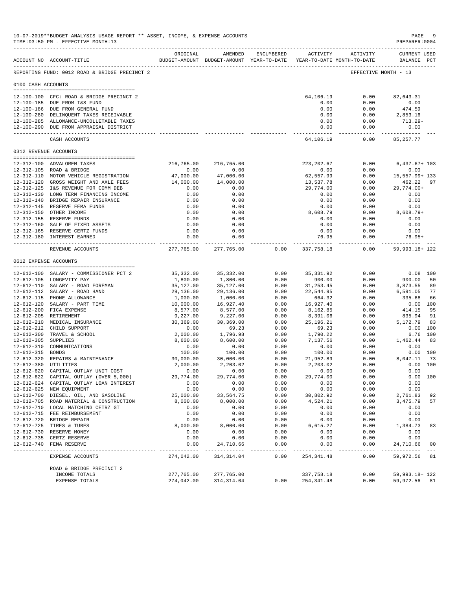|                       | 10-07-2019**BUDGET ANALYSIS USAGE REPORT ** ASSET, INCOME, & EXPENSE ACCOUNTS<br>TIME: 03:50 PM - EFFECTIVE MONTH: 13 |                       |                                                                                |                   |                       |                      | $\mathtt{PAGE}$<br>PREPARER:0004   | -9             |
|-----------------------|-----------------------------------------------------------------------------------------------------------------------|-----------------------|--------------------------------------------------------------------------------|-------------------|-----------------------|----------------------|------------------------------------|----------------|
|                       | ACCOUNT NO ACCOUNT-TITLE                                                                                              | ORIGINAL              | AMENDED<br>BUDGET-AMOUNT BUDGET-AMOUNT YEAR-TO-DATE YEAR-TO-DATE MONTH-TO-DATE | ENCUMBERED        |                       | ACTIVITY ACTIVITY    | <b>CURRENT USED</b><br>BALANCE PCT |                |
|                       | ------------------------------------<br>REPORTING FUND: 0012 ROAD & BRIDGE PRECINCT 2                                 |                       |                                                                                |                   |                       | EFFECTIVE MONTH - 13 |                                    |                |
| 0100 CASH ACCOUNTS    |                                                                                                                       |                       |                                                                                |                   |                       |                      |                                    |                |
|                       |                                                                                                                       |                       |                                                                                |                   |                       |                      |                                    |                |
|                       | 12-100-100 CFC: ROAD & BRIDGE PRECINCT 2                                                                              |                       |                                                                                |                   | 64,106.19             | 0.00                 | 82,643.31                          |                |
|                       | 12-100-185 DUE FROM I&S FUND<br>12-100-186 DUE FROM GENERAL FUND                                                      |                       |                                                                                |                   | 0.00<br>0.00          | 0.00<br>0.00         | 0.00<br>474.59                     |                |
|                       | 12-100-280 DELINQUENT TAXES RECEIVABLE                                                                                |                       |                                                                                |                   | 0.00                  | 0.00                 | 2,853.16                           |                |
|                       | 12-100-285 ALLOWANCE-UNCOLLETABLE TAXES                                                                               |                       |                                                                                |                   | 0.00                  | 0.00                 | 713.29-                            |                |
|                       | 12-100-290 DUE FROM APPRAISAL DISTRICT                                                                                |                       |                                                                                |                   | 0.00<br>-----------   | 0.00                 | 0.00<br>------------               |                |
|                       | CASH ACCOUNTS                                                                                                         |                       |                                                                                |                   | 64,106.19             | ----------<br>0.00   | 85, 257. 77                        |                |
| 0312 REVENUE ACCOUNTS |                                                                                                                       |                       |                                                                                |                   |                       |                      |                                    |                |
|                       | 12-312-100 ADVALOREM TAXES                                                                                            | 216,765.00            | 216,765.00                                                                     |                   | 223, 202.67           | 0.00                 | $6,437.67+103$                     |                |
|                       | 12-312-105 ROAD & BRIDGE                                                                                              | 0.00                  | 0.00                                                                           |                   | 0.00                  | 0.00                 | 0.00                               |                |
|                       | 12-312-110 MOTOR VEHICLE REGISTRATION                                                                                 | 47,000.00             | 47,000.00                                                                      |                   | 62,557.99             | 0.00                 | 15,557.99+ 133                     |                |
|                       | 12-312-120 GROSS WEIGHT AND AXLE FEES                                                                                 | 14,000.00             | 14,000.00                                                                      |                   | 13,537.78             | 0.00                 | 462.22<br>29,774.00+               | 97             |
|                       | 12-312-125 I&S REVENUE FOR COMM DEB<br>12-312-130 LONG TERM FINANCING INCOME                                          | 0.00<br>0.00          | 0.00<br>0.00                                                                   |                   | 29,774.00<br>0.00     | 0.00<br>0.00         | 0.00                               |                |
|                       | 12-312-140 BRIDGE REPAIR INSURANCE                                                                                    | 0.00                  | 0.00                                                                           |                   | 0.00                  | 0.00                 | 0.00                               |                |
|                       | 12-312-145 RESERVE FEMA FUNDS                                                                                         | 0.00                  | 0.00                                                                           |                   | 0.00                  | 0.00                 | 0.00                               |                |
|                       | 12-312-150 OTHER INCOME                                                                                               | 0.00                  | 0.00                                                                           |                   | 8,608.79              | 0.00                 | 8,608.79+                          |                |
|                       | 12-312-155 RESERVE FUNDS                                                                                              | 0.00                  | 0.00                                                                           |                   | 0.00                  | 0.00                 | 0.00                               |                |
|                       | 12-312-160 SALE OF FIXED ASSETS                                                                                       | 0.00                  | 0.00                                                                           |                   | 0.00                  | 0.00                 | 0.00                               |                |
|                       | 12-312-165 RESERVE CERTZ FUNDS                                                                                        | 0.00                  | 0.00                                                                           |                   | 0.00                  | 0.00                 | 0.00                               |                |
|                       | 12-312-180 INTEREST EARNED<br>--------------------                                                                    | 0.00<br>------------  | 0.00<br>------------                                                           |                   | 76.95<br>. <u>.</u>   | 0.00<br>-----------  | $76.95+$                           |                |
|                       | REVENUE ACCOUNTS                                                                                                      | 277,765.00            | 277,765.00                                                                     | 0.00              | 337,758.18            | 0.00                 | 59,993.18+ 122                     |                |
|                       | 0612 EXPENSE ACCOUNTS                                                                                                 |                       |                                                                                |                   |                       |                      |                                    |                |
|                       | 12-612-100 SALARY - COMMISSIONER PCT 2                                                                                | 35,332.00             | 35,332.00                                                                      | 0.00              | 35,331.92             | 0.00                 | $0.08$ 100                         |                |
|                       | 12-612-105 LONGEVITY PAY                                                                                              | 1,800.00              | 1,800.00                                                                       | 0.00              | 900.00                | 0.00                 | 900.00                             | 50             |
|                       | 12-612-110 SALARY - ROAD FOREMAN                                                                                      | 35,127.00             | 35,127.00                                                                      | 0.00              | 31, 253.45            | 0.00                 | 3,873.55                           | 89             |
|                       | 12-612-112 SALARY - ROAD HAND                                                                                         | 29,136.00             | 29,136.00                                                                      | 0.00              | 22,544.95             | 0.00                 | 6,591.05                           | 77             |
|                       | 12-612-115 PHONE ALLOWANCE                                                                                            | 1,000.00              | 1,000.00                                                                       | 0.00              | 664.32                | 0.00                 | 335.68                             | 66             |
|                       | 12-612-120 SALARY - PART TIME<br>12-612-200 FICA EXPENSE                                                              | 10,000.00<br>8,577.00 | 16,927.40<br>8,577.00                                                          | 0.00<br>0.00      | 16,927.40<br>8,162.85 | 0.00<br>0.00         | 0.00 100<br>414.15                 | 95             |
|                       | 12-612-205 RETIREMENT                                                                                                 | 9,227.00              | 9,227.00                                                                       | 0.00              | 8,391.06              | 0.00                 | 835.94                             | 91             |
|                       | 12-612-210 MEDICAL INSURANCE                                                                                          | 30,369.00             | 30,369.00                                                                      | 0.00              | 25, 196. 21           | 0.00                 | 5,172.79                           | 83             |
|                       | 12-612-212 CHILD SUPPORT                                                                                              | 0.00                  | 69.23                                                                          | 0.00              | 69.23                 | 0.00                 | 0.00 100                           |                |
|                       | 12-612-300 TRAVEL & SCHOOL                                                                                            | 2,000.00              | 1,796.98                                                                       | 0.00              | 1,790.22              | 0.00                 | 6.76 100                           |                |
| 12-612-305 SUPPLIES   |                                                                                                                       | 8,600.00              | 8,600.00                                                                       | 0.00              | 7,137.56              | 0.00                 | 1,462.44                           | 83             |
|                       | 12-612-310 COMMUNICATIONS                                                                                             | 0.00                  | 0.00                                                                           | 0.00              | 0.00                  | 0.00                 | 0.00                               |                |
| 12-612-315 BONDS      | 12-612-320 REPAIRS & MAINTENANCE                                                                                      | 100.00<br>30,000.00   | 100.00<br>30,000.00                                                            | 0.00<br>0.00      | 100.00<br>21,952.89   | 0.00<br>0.00         | 0.00 100<br>8,047.11               | 73             |
| 12-612-380 UTILITIES  |                                                                                                                       | 2,000.00              | 2,203.02                                                                       | 0.00              | 2,203.02              | 0.00                 | 0.00 100                           |                |
|                       | 12-612-620 CAPITAL OUTLAY UNIT COST                                                                                   | 0.00                  | 0.00                                                                           | 0.00              | 0.00                  | 0.00                 | 0.00                               |                |
|                       | 12-612-622 CAPITAL OUTLAY (OVER 5,000)                                                                                | 29,774.00             | 29,774.00                                                                      | 0.00              | 29,774.00             | 0.00                 | 0.00 100                           |                |
|                       | 12-612-624 CAPITAL OUTLAY LOAN INTEREST                                                                               | 0.00                  | 0.00                                                                           | 0.00              | 0.00                  | 0.00                 | 0.00                               |                |
|                       | 12-612-625 NEW EQUIPMENT                                                                                              | 0.00                  | 0.00                                                                           | 0.00              | 0.00                  | 0.00                 | 0.00                               |                |
|                       | 12-612-700 DIESEL, OIL, AND GASOLINE                                                                                  | 25,000.00             | 33,564.75                                                                      | 0.00              | 30,802.92             | 0.00                 | 2,761.83                           | 92             |
|                       | 12-612-705 ROAD MATERIAL & CONSTRUCTION                                                                               | 8,000.00              | 8,000.00                                                                       | 0.00              | 4,524.21              | 0.00                 | 3,475.79                           | 57             |
|                       | 12-612-710 LOCAL MATCHING CETRZ GT<br>12-612-715 FEE REIMBURSEMENT                                                    | 0.00                  | 0.00                                                                           | 0.00              | 0.00                  | 0.00                 | 0.00                               |                |
|                       | 12-612-720 BRIDGE REPAIR                                                                                              | 0.00<br>0.00          | 0.00<br>0.00                                                                   | 0.00<br>0.00      | 0.00<br>0.00          | 0.00<br>0.00         | 0.00<br>0.00                       |                |
|                       | 12-612-725 TIRES & TUBES                                                                                              | 8,000.00              | 8,000.00                                                                       | 0.00              | 6,615.27              | 0.00                 | 1,384.73                           | 83             |
|                       | 12-612-730 RESERVE MONEY                                                                                              | 0.00                  | 0.00                                                                           | 0.00              | 0.00                  | 0.00                 | 0.00                               |                |
|                       | 12-612-735 CERTZ RESERVE                                                                                              | 0.00                  | 0.00                                                                           | 0.00              | 0.00                  | 0.00                 | 0.00                               |                |
|                       | 12-612-740 FEMA RESERVE                                                                                               | 0.00<br>----------    | 24,710.66<br>------------                                                      | 0.00<br>$- - - -$ | 0.00<br>-------       | 0.00<br>$- - - - -$  | 24,710.66<br>____________          | 0 <sub>0</sub> |
|                       | EXPENSE ACCOUNTS                                                                                                      | 274,042.00            | 314, 314.04                                                                    | 0.00              | 254, 341.48           | 0.00                 | 59,972.56 81                       |                |
|                       | ROAD & BRIDGE PRECINCT 2                                                                                              |                       |                                                                                |                   |                       |                      |                                    |                |
|                       | INCOME TOTALS                                                                                                         | 277,765.00            | 277,765.00                                                                     |                   | 337,758.18            | 0.00                 | 59,993.18+ 122                     |                |
|                       | EXPENSE TOTALS                                                                                                        | 274,042.00            | 314, 314.04                                                                    | 0.00              | 254, 341.48           | 0.00                 | 59,972.56 81                       |                |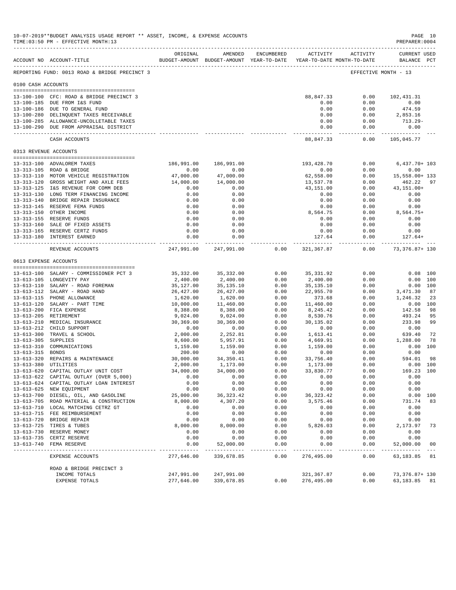|                       | 10-07-2019**BUDGET ANALYSIS USAGE REPORT ** ASSET, INCOME, & EXPENSE ACCOUNTS<br>TIME: 03:50 PM - EFFECTIVE MONTH: 13 |                         |                                                                                |                     |                          |                     | PREPARER: 0004                     | PAGE 10        |
|-----------------------|-----------------------------------------------------------------------------------------------------------------------|-------------------------|--------------------------------------------------------------------------------|---------------------|--------------------------|---------------------|------------------------------------|----------------|
|                       | ACCOUNT NO ACCOUNT-TITLE                                                                                              | ORIGINAL                | AMENDED<br>BUDGET-AMOUNT BUDGET-AMOUNT YEAR-TO-DATE YEAR-TO-DATE MONTH-TO-DATE | ENCUMBERED          |                          | ACTIVITY ACTIVITY   | <b>CURRENT USED</b><br>BALANCE PCT |                |
|                       | REPORTING FUND: 0013 ROAD & BRIDGE PRECINCT 3                                                                         |                         |                                                                                |                     |                          |                     | EFFECTIVE MONTH - 13               |                |
| 0100 CASH ACCOUNTS    |                                                                                                                       |                         |                                                                                |                     |                          |                     |                                    |                |
|                       | 13-100-100 CFC: ROAD & BRIDGE PRECINCT 3                                                                              |                         |                                                                                |                     | 88,847.33                | 0.00                | 102,431.31                         |                |
|                       | 13-100-185 DUE FROM I&S FUND                                                                                          |                         |                                                                                |                     | 0.00                     | 0.00                | 0.00                               |                |
|                       | 13-100-186 DUE TO GENERAL FUND                                                                                        |                         |                                                                                |                     | 0.00                     | 0.00                | 474.59                             |                |
|                       | 13-100-280 DELINQUENT TAXES RECEIVABLE                                                                                |                         |                                                                                |                     | 0.00                     | 0.00                | 2,853.16                           |                |
|                       | 13-100-285 ALLOWANCE-UNCOLLETABLE TAXES                                                                               |                         |                                                                                |                     | 0.00                     | 0.00                | $713.29-$                          |                |
|                       | 13-100-290 DUE FROM APPRAISAL DISTRICT                                                                                |                         |                                                                                |                     | 0.00<br>------------     | 0.00<br>----------- | 0.00<br>-------------              |                |
|                       | CASH ACCOUNTS                                                                                                         |                         |                                                                                |                     | 88,847.33                | 0.00                | 105,045.77                         |                |
| 0313 REVENUE ACCOUNTS |                                                                                                                       |                         |                                                                                |                     |                          |                     |                                    |                |
|                       | 13-313-100 ADVALOREM TAXES                                                                                            |                         | 186,991.00 186,991.00                                                          |                     | 193,428.70               | 0.00                | $6,437.70+103$                     |                |
|                       | 13-313-105 ROAD & BRIDGE                                                                                              | 0.00                    | 0.00                                                                           |                     | 0.00                     | 0.00                | 0.00                               |                |
|                       | 13-313-110 MOTOR VEHICLE REGISTRATION<br>13-313-120 GROSS WEIGHT AND AXLE FEES                                        | 47,000.00               | 47,000.00                                                                      |                     | 62,558.00                | 0.00                | 15,558.00+ 133                     |                |
|                       | 13-313-125 I&S REVENUE FOR COMM DEB                                                                                   | 14,000.00<br>0.00       | 14,000.00<br>0.00                                                              |                     | 13,537.78<br>43,151.00   | 0.00<br>0.00        | 462.22<br>43,151.00+               | 97             |
|                       | 13-313-130 LONG TERM FINANCING INCOME                                                                                 | 0.00                    | 0.00                                                                           |                     | 0.00                     | 0.00                | 0.00                               |                |
|                       | 13-313-140 BRIDGE REPAIR INSURANCE                                                                                    | 0.00                    | 0.00                                                                           |                     | 0.00                     | 0.00                | 0.00                               |                |
|                       | 13-313-145 RESERVE FEMA FUNDS                                                                                         | 0.00                    | 0.00                                                                           |                     | 0.00                     | 0.00                | 0.00                               |                |
|                       | 13-313-150 OTHER INCOME                                                                                               | 0.00                    | 0.00                                                                           |                     | 8,564.75                 | 0.00                | 8,564.75+                          |                |
|                       | 13-313-155 RESERVE FUNDS                                                                                              | 0.00                    | 0.00                                                                           |                     | 0.00                     | 0.00                | 0.00                               |                |
|                       | 13-313-160 SALE OF FIXED ASSETS                                                                                       | 0.00                    | 0.00                                                                           |                     | 0.00                     | 0.00                | 0.00                               |                |
|                       | 13-313-165 RESERVE CERTZ FUNDS                                                                                        | 0.00                    | 0.00                                                                           |                     | 0.00                     | 0.00                | 0.00                               |                |
|                       | 13-313-180 INTEREST EARNED                                                                                            | 0.00<br>-----------     | 0.00                                                                           |                     | 127.64<br>-------------- | 0.00<br>----------  | $127.64+$                          |                |
|                       | REVENUE ACCOUNTS                                                                                                      | 247,991.00              | 247,991.00                                                                     | 0.00                | 321,367.87               | 0.00                | 73,376.87+ 130                     |                |
|                       | 0613 EXPENSE ACCOUNTS                                                                                                 |                         |                                                                                |                     |                          |                     |                                    |                |
|                       | 13-613-100 SALARY - COMMISSIONER PCT 3                                                                                | 35,332.00               | 35,332.00                                                                      | 0.00                | 35,331.92                | 0.00                |                                    | $0.08$ 100     |
|                       | 13-613-105 LONGEVITY PAY                                                                                              | 2,400.00                | 2,400.00                                                                       | 0.00                | 2,400.00                 | 0.00                |                                    | 0.00 100       |
|                       | 13-613-110 SALARY - ROAD FOREMAN                                                                                      | 35,127.00               | 35,135.10                                                                      | 0.00                | 35,135.10                | 0.00                |                                    | 0.00 100       |
|                       | 13-613-112 SALARY - ROAD HAND                                                                                         | 26,427.00               | 26,427.00                                                                      | 0.00                | 22,955.70                | 0.00                | 3,471.30                           | 87             |
|                       | 13-613-115 PHONE ALLOWANCE                                                                                            | 1,620.00                | 1,620.00                                                                       | 0.00                | 373.68                   | 0.00                | 1,246.32                           | -23            |
|                       | 13-613-120 SALARY - PART TIME<br>13-613-200 FICA EXPENSE                                                              | 10,000.00               | 11,460.00                                                                      | 0.00<br>0.00        | 11,460.00                | 0.00<br>0.00        | 142.58                             | 0.00 100<br>98 |
|                       | 13-613-205 RETIREMENT                                                                                                 | 8,388.00<br>9,024.00    | 8,388.00<br>9,024.00                                                           | 0.00                | 8,245.42<br>8,530.76     | 0.00                | 493.24                             | 95             |
|                       | 13-613-210 MEDICAL INSURANCE                                                                                          | 30,369.00               | 30,369.00                                                                      | 0.00                | 30,135.02                | 0.00                | 233.98                             | 99             |
|                       | 13-613-212 CHILD SUPPORT                                                                                              | 0.00                    | 0.00                                                                           | 0.00                | 0.00                     | 0.00                | 0.00                               |                |
|                       | 13-613-300 TRAVEL & SCHOOL                                                                                            | 2,000.00                | 2,252.81                                                                       | 0.00                | 1,613.41                 | 0.00                | 639.40                             | 72             |
| 13-613-305 SUPPLIES   |                                                                                                                       | 8,600.00                | 5,957.91                                                                       | 0.00                | 4,669.91                 | 0.00                | 1,288.00                           | 78             |
|                       | 13-613-310 COMMUNICATIONS                                                                                             | 1,159.00                | 1,159.00                                                                       | 0.00                | 1,159.00                 | 0.00                |                                    | 0.00 100       |
| 13-613-315 BONDS      |                                                                                                                       | 200.00                  | 0.00                                                                           | 0.00                | 0.00                     | 0.00                | 0.00                               |                |
|                       | 13-613-320 REPAIRS & MAINTENANCE                                                                                      | 30,000.00               | 34,350.41                                                                      | 0.00                | 33,756.40                | 0.00                | 594.01                             | -98            |
|                       | 13-613-380 UTILITIES<br>13-613-620 CAPITAL OUTLAY UNIT COST                                                           | 2,000.00<br>34,000.00   | 1,173.00<br>34,000.00                                                          | 0.00<br>0.00        | 1,173.00<br>33,830.77    | 0.00<br>0.00        | $0.00$ 100<br>169.23 100           |                |
|                       | 13-613-622 CAPITAL OUTLAY (OVER 5,000)                                                                                | 0.00                    | 0.00                                                                           | 0.00                | 0.00                     | 0.00                | 0.00                               |                |
|                       | 13-613-624 CAPITAL OUTLAY LOAN INTEREST                                                                               | 0.00                    | 0.00                                                                           | 0.00                | 0.00                     | 0.00                | 0.00                               |                |
|                       | 13-613-625 NEW EQUIPMENT                                                                                              | 0.00                    | 0.00                                                                           | 0.00                | 0.00                     | 0.00                | 0.00                               |                |
|                       | 13-613-700 DIESEL, OIL, AND GASOLINE                                                                                  | 25,000.00               | 36, 323.42                                                                     | 0.00                | 36, 323.42               | 0.00                |                                    | 0.00 100       |
|                       | 13-613-705 ROAD MATERIAL & CONSTRUCTION                                                                               | 8,000.00                | 4,307.20                                                                       | 0.00                | 3,575.46                 | 0.00                | 731.74                             | 83             |
|                       | 13-613-710 LOCAL MATCHING CETRZ GT                                                                                    | 0.00                    | 0.00                                                                           | 0.00                | 0.00                     | 0.00                | 0.00                               |                |
|                       | 13-613-715 FEE REIMBURSEMENT                                                                                          | 0.00                    | 0.00                                                                           | 0.00                | 0.00                     | 0.00                | 0.00                               |                |
|                       | 13-613-720 BRIDGE REPAIR<br>13-613-725 TIRES & TUBES                                                                  | 0.00                    | 0.00                                                                           | 0.00                | 0.00                     | 0.00                | 0.00                               |                |
|                       | 13-613-730 RESERVE MONEY                                                                                              | 8,000.00<br>0.00        | 8,000.00<br>0.00                                                               | 0.00<br>0.00        | 5,826.03<br>0.00         | 0.00<br>0.00        | 2,173.97<br>0.00                   | 73             |
|                       | 13-613-735 CERTZ RESERVE                                                                                              | 0.00                    | 0.00                                                                           | 0.00                | 0.00                     | 0.00                | 0.00                               |                |
|                       | 13-613-740 FEMA RESERVE                                                                                               | 0.00                    | 52,000.00                                                                      | 0.00                | 0.00                     | 0.00                | 52,000.00                          | 00             |
|                       | EXPENSE ACCOUNTS                                                                                                      | ---------<br>277,646.00 | .<br>339,678.85                                                                | $- - - - -$<br>0.00 | ----------<br>276,495.00 | 0.00                | .<br>63, 183.85                    | 81             |
|                       | ROAD & BRIDGE PRECINCT 3                                                                                              |                         |                                                                                |                     |                          |                     |                                    |                |
|                       | INCOME TOTALS                                                                                                         | 247,991.00              | 247,991.00                                                                     |                     | 321,367.87               | 0.00                | 73,376.87+ 130                     |                |
|                       | EXPENSE TOTALS                                                                                                        | 277,646.00              | 339,678.85                                                                     | 0.00                | 276,495.00               | 0.00                | 63, 183. 85 81                     |                |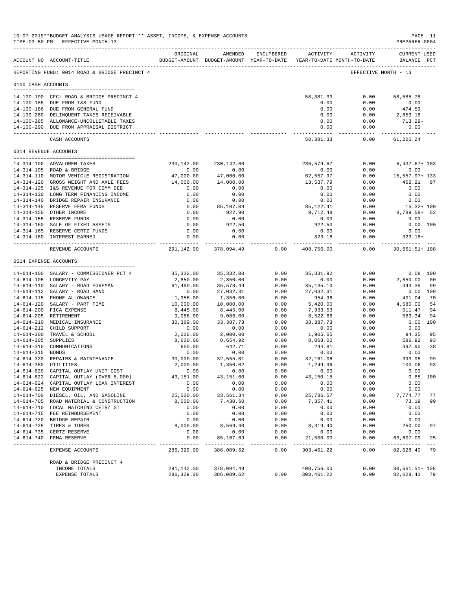|                     | 10-07-2019**BUDGET ANALYSIS USAGE REPORT ** ASSET, INCOME, & EXPENSE ACCOUNTS<br>TIME: 03:50 PM - EFFECTIVE MONTH: 13 |                                       |                                                                                |              |                         |                     | PREPARER: 0004                     | PAGE 11    |
|---------------------|-----------------------------------------------------------------------------------------------------------------------|---------------------------------------|--------------------------------------------------------------------------------|--------------|-------------------------|---------------------|------------------------------------|------------|
|                     | ACCOUNT NO ACCOUNT-TITLE                                                                                              | ORIGINAL                              | AMENDED<br>BUDGET-AMOUNT BUDGET-AMOUNT YEAR-TO-DATE YEAR-TO-DATE MONTH-TO-DATE | ENCUMBERED   |                         | ACTIVITY ACTIVITY   | <b>CURRENT USED</b><br>BALANCE PCT |            |
|                     | REPORTING FUND: 0014 ROAD & BRIDGE PRECINCT 4                                                                         |                                       |                                                                                |              |                         |                     | EFFECTIVE MONTH - 13               |            |
| 0100 CASH ACCOUNTS  |                                                                                                                       |                                       |                                                                                |              |                         |                     |                                    |            |
|                     | 14-100-100 CFC: ROAD & BRIDGE PRECINCT 4                                                                              |                                       |                                                                                |              | 58,381.33               | 0.00                | 58,585.78                          |            |
|                     | 14-100-185 DUE FROM I&S FUND                                                                                          |                                       |                                                                                |              | 0.00                    | 0.00                | 0.00                               |            |
|                     | 14-100-186 DUE FROM GENERAL FUND                                                                                      |                                       |                                                                                |              | 0.00                    | 0.00                | 474.59                             |            |
|                     | 14-100-280 DELINQUENT TAXES RECEIVABLE                                                                                |                                       |                                                                                |              | 0.00                    | 0.00                | 2,853.16                           |            |
|                     | 14-100-285 ALLOWANCE-UNCOLLETABLE TAXES                                                                               |                                       |                                                                                |              | 0.00                    | 0.00                | 713.29-                            |            |
|                     | 14-100-290 DUE FROM APPRAISAL DISTRICT                                                                                |                                       |                                                                                |              | 0.00<br>. <u>.</u>      | 0.00<br>$- - - - -$ | 0.00<br>------------               |            |
|                     | CASH ACCOUNTS                                                                                                         |                                       |                                                                                |              | 58,381.33               | 0.00                | 61,200.24                          |            |
|                     | 0314 REVENUE ACCOUNTS                                                                                                 |                                       |                                                                                |              |                         |                     |                                    |            |
|                     | --------------------------------------                                                                                |                                       |                                                                                |              |                         |                     |                                    |            |
|                     | 14-314-100 ADVALOREM TAXES<br>14-314-105 ROAD & BRIDGE                                                                | 230,142.00<br>0.00                    | 230,142.00<br>0.00                                                             |              | 236,579.67<br>0.00      | 0.00<br>0.00        | $6,437.67+103$<br>0.00             |            |
|                     | 14-314-110 MOTOR VEHICLE REGISTRATION                                                                                 | 47,000.00                             | 47,000.00                                                                      |              | 62,557.97               | 0.00                | 15,557.97+ 133                     |            |
|                     | 14-314-120 GROSS WEIGHT AND AXLE FEES                                                                                 | 14,000.00                             | 14,000.00                                                                      |              | 13,537.79               | 0.00                | 462.21                             | 97         |
|                     | 14-314-125 I&S REVENUE FOR COMM DEB                                                                                   | 0.00                                  | 0.00                                                                           |              | 0.00                    | 0.00                | 0.00                               |            |
|                     | 14-314-130 LONG TERM FINANCING INCOME                                                                                 | 0.00                                  | 0.00                                                                           |              | 0.00                    | 0.00                | 0.00                               |            |
|                     | 14-314-140 BRIDGE REPAIR INSURANCE                                                                                    | 0.00                                  | 0.00                                                                           |              | 0.00                    | 0.00                | 0.00                               |            |
|                     | 14-314-145 RESERVE FEMA FUNDS                                                                                         | 0.00                                  | 85,107.09                                                                      |              | 85,122.41               | 0.00                | $15.32 + 100$                      |            |
|                     | 14-314-150 OTHER INCOME                                                                                               | 0.00                                  | 922.90                                                                         |              | 9,712.48                | 0.00                | 8,789.58+ 52                       |            |
|                     | 14-314-155 RESERVE FUNDS                                                                                              | 0.00                                  | 0.00                                                                           |              | 0.00                    | 0.00                | 0.00                               |            |
|                     | 14-314-160 SALE OF FIXED ASSETS                                                                                       | 0.00                                  | 922.50                                                                         |              | 922.50                  | 0.00                | $0.00$ 100                         |            |
|                     | 14-314-165 RESERVE CERTZ FUNDS                                                                                        | 0.00                                  | 0.00                                                                           |              | 0.00                    | 0.00                | 0.00                               |            |
|                     | 14-314-180 INTEREST EARNED                                                                                            | 0.00<br>--------------- ------------- | 0.00<br>-----------                                                            |              | 323.18<br>_____________ | 0.00<br>-------     | $323.18+$                          |            |
|                     | REVENUE ACCOUNTS                                                                                                      | 291,142.00                            | 378,094.49                                                                     | 0.00         | 408,756.00              | 0.00                | 30,661.51+ 108                     |            |
|                     | 0614 EXPENSE ACCOUNTS                                                                                                 |                                       |                                                                                |              |                         |                     |                                    |            |
|                     | 14-614-100 SALARY - COMMISSIONER PCT 4                                                                                | 35,332.00                             | 35,332.00                                                                      | 0.00         | 35, 331.92              | 0.00                |                                    | $0.08$ 100 |
|                     | 14-614-105 LONGEVITY PAY                                                                                              | 2,850.00                              | 2,850.00                                                                       | 0.00         | 0.00                    | 0.00                | 2,850.00                           | 00         |
|                     | 14-614-110 SALARY - ROAD FOREMAN                                                                                      | 61,490.00                             | 35,578.49                                                                      | 0.00         | 35, 135. 10             | 0.00                | 443.39                             | 99         |
|                     | 14-614-112 SALARY - ROAD HAND                                                                                         | 0.00                                  | 27,032.31                                                                      | 0.00         | 27,032.31               | 0.00                | 0.00 100                           |            |
|                     | 14-614-115 PHONE ALLOWANCE                                                                                            | 1,356.00                              | 1,356.00                                                                       | 0.00         | 954.96                  | 0.00                | 401.04                             | 70         |
|                     | 14-614-120 SALARY - PART TIME                                                                                         | 10,000.00                             | 10,000.00                                                                      | 0.00         | 5,420.00                | 0.00                | 4,580.00                           | 54         |
|                     | 14-614-200 FICA EXPENSE                                                                                               | 8,445.00                              | 8,445.00                                                                       | 0.00         | 7,933.53                | 0.00                | 511.47                             | 94         |
|                     | 14-614-205 RETIREMENT                                                                                                 | 9,086.00                              | 9,086.00                                                                       | 0.00         | 8,522.66                | 0.00                | 563.34                             | 94         |
|                     | 14-614-210 MEDICAL INSURANCE                                                                                          | 30,369.00                             | 33, 387. 73                                                                    | 0.00         | 33, 387. 73             | 0.00                | 0.00 100                           |            |
|                     | 14-614-212 CHILD SUPPORT                                                                                              | 0.00                                  | 0.00                                                                           | 0.00         | 0.00                    | 0.00                | 0.00                               |            |
|                     | 14-614-300 TRAVEL & SCHOOL                                                                                            | 2,000.00                              | 2,000.00                                                                       | 0.00         | 1,905.65                | 0.00                | 94.35                              | 95         |
| 14-614-305 SUPPLIES |                                                                                                                       | 8,600.00                              | 8,654.92                                                                       | 0.00         | 8,068.00                | 0.00                | 586.92                             | 93         |
| 14-614-315 BONDS    | 14-614-310 COMMUNICATIONS                                                                                             | 650.00                                | 642.71                                                                         | 0.00<br>0.00 | 244.81                  | 0.00                | 397.90                             | 38         |
|                     | 14-614-320 REPAIRS & MAINTENANCE                                                                                      | 0.00<br>30,000.00                     | 0.00<br>32,555.01                                                              | 0.00         | 0.00<br>32,161.06       | 0.00<br>0.00        | 0.00<br>393.95                     | 99         |
|                     | 14-614-380 UTILITIES                                                                                                  | 2,000.00                              | 1,350.02                                                                       | 0.00         | 1,249.96                | 0.00                | 100.06                             | 93         |
|                     | 14-614-620 CAPITAL OUTLAY UNIT COST                                                                                   | 0.00                                  | 0.00                                                                           | 0.00         | 0.00                    | 0.00                | 0.00                               |            |
|                     | 14-614-622 CAPITAL OUTLAY (OVER 5,000)                                                                                | 43,151.00                             | 43, 151.00                                                                     | 0.00         | 43, 150. 15             | 0.00                | $0.85$ 100                         |            |
|                     | 14-614-624 CAPITAL OUTLAY LOAN INTEREST                                                                               | 0.00                                  | 0.00                                                                           | 0.00         | 0.00                    | 0.00                | 0.00                               |            |
|                     | 14-614-625 NEW EQUIPMENT                                                                                              | 0.00                                  | 0.00                                                                           | 0.00         | 0.00                    | 0.00                | 0.00                               |            |
|                     | 14-614-700 DIESEL, OIL, AND GASOLINE                                                                                  | 25,000.00                             | 33,561.34                                                                      | 0.00         | 25,786.57               | 0.00                | 7,774.77                           | 77         |
|                     | 14-614-705 ROAD MATERIAL & CONSTRUCTION                                                                               | 8,000.00                              | 7,430.60                                                                       | 0.00         | 7,357.41                | 0.00                | 73.19                              | 99         |
|                     | 14-614-710 LOCAL MATCHING CETRZ GT                                                                                    | 0.00                                  | 0.00                                                                           | 0.00         | 0.00                    | 0.00                | 0.00                               |            |
|                     | 14-614-715 FEE REIMBURSEMENT                                                                                          | 0.00                                  | 0.00                                                                           | 0.00         | 0.00                    | 0.00                | 0.00                               |            |
|                     | 14-614-720 BRIDGE REPAIR                                                                                              | 0.00                                  | 0.00                                                                           | 0.00         | 0.00                    | 0.00                | 0.00                               |            |
|                     | 14-614-725 TIRES & TUBES                                                                                              | 8,000.00                              | 8,569.40                                                                       | 0.00         | 8,319.40                | 0.00                | 250.00                             | 97         |
|                     | 14-614-735 CERTZ RESERVE                                                                                              | 0.00                                  | 0.00                                                                           | 0.00         | 0.00                    | 0.00                | 0.00                               |            |
|                     | 14-614-740 FEMA RESERVE                                                                                               | 0.00<br>-----------                   | 85,107.09<br>____________                                                      | 0.00<br>.    | 21,500.00<br>.          | 0.00<br>. <u>.</u>  | 63,607.09                          | 25         |
|                     | EXPENSE ACCOUNTS                                                                                                      | 286,329.00                            | 386,089.62                                                                     | 0.00         | 303,461.22              | 0.00                | 82,628.40 79                       |            |
|                     | ROAD & BRIDGE PRECINCT 4                                                                                              |                                       |                                                                                |              |                         |                     |                                    |            |
|                     | INCOME TOTALS                                                                                                         | 291,142.00                            | 378,094.49                                                                     |              | 408,756.00              | 0.00                | 30,661.51+ 108                     |            |
|                     | EXPENSE TOTALS                                                                                                        | 286,329.00                            | 386,089.62                                                                     |              | $0.00$ $303,461.22$     | 0.00                | 82,628.40 79                       |            |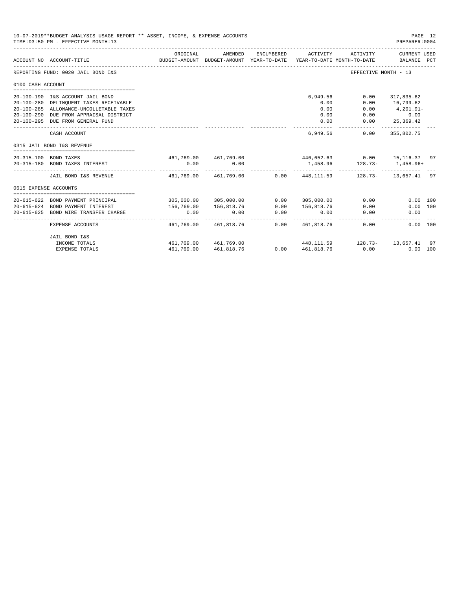|                       | 10-07-2019**BUDGET ANALYSIS USAGE REPORT ** ASSET, INCOME, & EXPENSE ACCOUNTS<br>TIME: 03:50 PM - EFFECTIVE MONTH: 13 |                                                                               |                                                     |                    |                  |                                                              | PREPARER: 0004              | PAGE 12 |
|-----------------------|-----------------------------------------------------------------------------------------------------------------------|-------------------------------------------------------------------------------|-----------------------------------------------------|--------------------|------------------|--------------------------------------------------------------|-----------------------------|---------|
|                       | ACCOUNT NO ACCOUNT-TITLE                                                                                              | ORIGINAL                                                                      | AMENDED<br>BUDGET-AMOUNT BUDGET-AMOUNT YEAR-TO-DATE | ENCUMBERED         | ACTIVITY         | ACTIVITY<br>YEAR-TO-DATE MONTH-TO-DATE                       | CURRENT USED<br>BALANCE PCT |         |
|                       | REPORTING FUND: 0020 JAIL BOND I&S                                                                                    |                                                                               |                                                     |                    |                  |                                                              | EFFECTIVE MONTH - 13        |         |
| 0100 CASH ACCOUNT     |                                                                                                                       |                                                                               |                                                     |                    |                  |                                                              |                             |         |
|                       |                                                                                                                       |                                                                               |                                                     |                    |                  |                                                              |                             |         |
|                       | 20-100-190 I&S ACCOUNT JAIL BOND                                                                                      |                                                                               |                                                     |                    | 6,949.56<br>0.00 | 0.00<br>0.00                                                 | 317,835.62<br>16,799.62     |         |
|                       | 20-100-280 DELINQUENT TAXES RECEIVABLE<br>20-100-285 ALLOWANCE-UNCOLLETABLE TAXES                                     |                                                                               |                                                     |                    | 0.00             | 0.00                                                         | 4,201.91-                   |         |
|                       | 20-100-290 DUE FROM APPRAISAL DISTRICT                                                                                |                                                                               |                                                     |                    | 0.00             |                                                              | $0.00$ 0.00                 |         |
|                       | 20-100-295 DUE FROM GENERAL FUND                                                                                      |                                                                               |                                                     |                    | 0.00             |                                                              | $0.00$ 25,369.42            |         |
|                       | CASH ACCOUNT                                                                                                          |                                                                               |                                                     |                    | 6,949.56         | 0.00                                                         | ------------<br>355,802.75  |         |
|                       | 0315 JAIL BOND I&S REVENUE                                                                                            |                                                                               |                                                     |                    |                  |                                                              |                             |         |
|                       | 20-315-100 BOND TAXES                                                                                                 |                                                                               |                                                     |                    |                  | $461,769.00$ $461,769.00$ $446,652.63$ $0.00$ $15,116.37$ 97 |                             |         |
|                       | 20-315-180 BOND TAXES INTEREST                                                                                        | 0.00                                                                          | 0.00                                                |                    |                  | 1,458.96 128.73- 1,458.96+                                   |                             |         |
|                       | JAIL BOND I&S REVENUE                                                                                                 | 461.769.00  461.769.00      0.00    448.111.59      128.73-    13.657.41   97 |                                                     |                    |                  |                                                              |                             |         |
| 0615 EXPENSE ACCOUNTS |                                                                                                                       |                                                                               |                                                     |                    |                  |                                                              |                             |         |
|                       |                                                                                                                       |                                                                               |                                                     |                    |                  |                                                              |                             |         |
|                       | 20-615-622 BOND PAYMENT PRINCIPAL                                                                                     |                                                                               | 305,000.00 305,000.00                               |                    | 0.0000305,000.00 | 0.00                                                         | 0.00 100                    |         |
|                       | 20-615-624 BOND PAYMENT INTEREST                                                                                      | 156,769.00                                                                    | 156,818.76                                          | 0.00               | 156,818.76       | 0.00                                                         | 0.00 100                    |         |
| 20-615-625            | BOND WIRE TRANSFER CHARGE                                                                                             | 0.00                                                                          | 0.00                                                | 0.00<br>---------- | 0.00             | 0.00                                                         | 0.00                        |         |
|                       | EXPENSE ACCOUNTS                                                                                                      |                                                                               | 461,769.00 461,818.76                               |                    | 0.00 461,818.76  | 0.00                                                         | 0.00 100                    |         |
|                       | JAIL BOND I&S                                                                                                         |                                                                               |                                                     |                    |                  |                                                              |                             |         |
|                       | INCOME TOTALS                                                                                                         | 461,769.00 461,769.00                                                         |                                                     |                    |                  | 448, 111.59 128.73- 13, 657.41 97                            |                             |         |
|                       | <b>EXPENSE TOTALS</b>                                                                                                 |                                                                               | 461,769.00 461,818.76                               |                    |                  | $0.00 \t 461,818.76 \t 0.00$                                 | $0.00$ 100                  |         |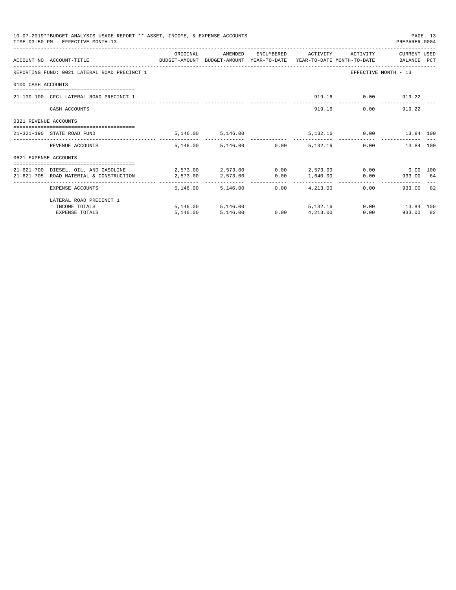|                       | 10-07-2019**BUDGET ANALYSIS USAGE REPORT ** ASSET, INCOME, & EXPENSE ACCOUNTS<br>TIME: 03:50 PM - EFFECTIVE MONTH: 13 |                                                                          |                        |      |                               |                    | PREPARER: 0004                 | PAGE 13 |
|-----------------------|-----------------------------------------------------------------------------------------------------------------------|--------------------------------------------------------------------------|------------------------|------|-------------------------------|--------------------|--------------------------------|---------|
|                       | ACCOUNT NO ACCOUNT-TITLE COMPUTE SUDGET-AMOUNT BUDGET-AMOUNT YEAR-TO-DATE YEAR-TO-DATE MONTH-TO-DATE BALANCE PCT      | ORIGINAL                                                                 | AMENDED                |      | ENCUMBERED ACTIVITY           | ACTIVITY           | CURRENT USED                   |         |
|                       | REPORTING FUND: 0021 LATERAL ROAD PRECINCT 1                                                                          |                                                                          |                        |      |                               |                    | EFFECTIVE MONTH - 13           |         |
| 0100 CASH ACCOUNTS    |                                                                                                                       |                                                                          |                        |      |                               |                    |                                |         |
|                       | 21-100-100 CFC: LATERAL ROAD PRECINCT 1                                                                               |                                                                          |                        |      |                               | 919.16 0.00 919.22 |                                |         |
|                       | CASH ACCOUNTS                                                                                                         |                                                                          |                        |      |                               | 919.16             | $0.00$ 919.22                  |         |
| 0321 REVENUE ACCOUNTS |                                                                                                                       |                                                                          |                        |      |                               |                    |                                |         |
|                       | 21-321-190 STATE ROAD FUND                                                                                            |                                                                          | 5,146.00 5,146.00      |      |                               |                    | 5,132.16   0.00   13.84   100  |         |
|                       | REVENUE ACCOUNTS                                                                                                      |                                                                          | 5,146.00 5,146.00 0.00 |      | 5, 132. 16                    |                    | 0.00<br>13.84 100              |         |
| 0621 EXPENSE ACCOUNTS |                                                                                                                       |                                                                          |                        |      |                               |                    |                                |         |
|                       | 21-621-700 DIESEL, OIL, AND GASOLINE<br>21-621-705 ROAD MATERIAL & CONSTRUCTION                                       | $2,573.00$ $2,573.00$ $0.00$ $2,573.00$ $0.00$ $0.00$ $0.00$<br>2,573.00 | 2,573.00               |      |                               |                    | $0.00$ 1,640.00 0.00 933.00 64 |         |
|                       | EXPENSE ACCOUNTS                                                                                                      |                                                                          | 5, 146, 00 5, 146, 00  | 0.00 | ---------------<br>4, 213, 00 |                    | 933.00 82<br>0.00              |         |
|                       | LATERAL ROAD PRECINCT 1                                                                                               |                                                                          |                        |      |                               |                    |                                |         |
|                       | INCOME TOTALS                                                                                                         |                                                                          | 5,146.00 5,146.00      |      | 5, 132, 16                    |                    | $0.00$ 13.84 100               |         |
|                       | <b>EXPENSE TOTALS</b>                                                                                                 | 5,146.00                                                                 | 5,146.00               | 0.00 | 4,213.00                      |                    | $0.00$ and $0.00$<br>933.00 82 |         |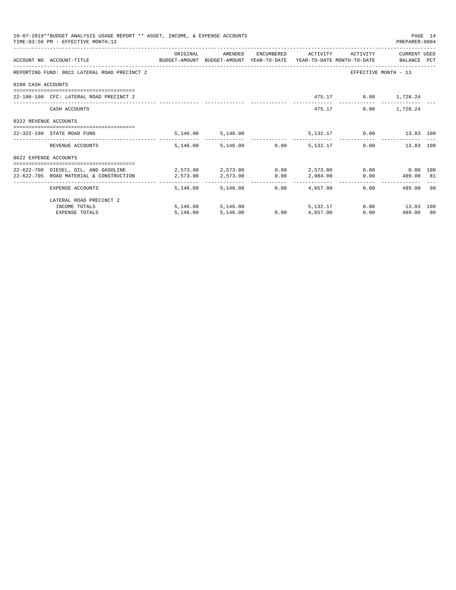|                       | 10-07-2019**BUDGET ANALYSIS USAGE REPORT ** ASSET, INCOME, & EXPENSE ACCOUNTS<br>TIME: 03:50 PM - EFFECTIVE MONTH: 13 |                                                                     |                        |      |                     |                         | PREPARER: 0004       | PAGE 14 |
|-----------------------|-----------------------------------------------------------------------------------------------------------------------|---------------------------------------------------------------------|------------------------|------|---------------------|-------------------------|----------------------|---------|
|                       |                                                                                                                       | ORIGINAL                                                            | AMENDED                |      | ENCUMBERED ACTIVITY | ACTIVITY                | CURRENT USED         |         |
|                       | ACCOUNT NO ACCOUNT-TITLE<br>BUDGET-AMOUNT BUDGET-AMOUNT YEAR-TO-DATE YEAR-TO-DATE MONTH-TO-DATE BALANCE PCT           |                                                                     |                        |      |                     |                         |                      |         |
|                       | REPORTING FUND: 0022 LATERAL ROAD PRECINCT 2                                                                          |                                                                     |                        |      |                     |                         | EFFECTIVE MONTH - 13 |         |
| 0100 CASH ACCOUNTS    |                                                                                                                       |                                                                     |                        |      |                     |                         |                      |         |
|                       | 22-100-100 CFC: LATERAL ROAD PRECINCT 2                                                                               |                                                                     |                        |      |                     | 475.17 0.00 1,728.24    |                      |         |
|                       | CASH ACCOUNTS                                                                                                         |                                                                     |                        |      |                     | 475.17                  | $0.00$ 1,728.24      |         |
| 0322 REVENUE ACCOUNTS |                                                                                                                       |                                                                     |                        |      |                     |                         |                      |         |
|                       | 22-322-190 STATE ROAD FUND                                                                                            |                                                                     | 5,146.00 5,146.00      |      |                     | 5,132.17 0.00 13.83 100 |                      |         |
|                       | REVENUE ACCOUNTS                                                                                                      |                                                                     | 5,146.00 5,146.00 0.00 |      | 5,132.17            |                         | 0.00<br>13.83 100    |         |
| 0622 EXPENSE ACCOUNTS |                                                                                                                       |                                                                     |                        |      |                     |                         |                      |         |
|                       | 22-622-700 DIESEL, OIL, AND GASOLINE                                                                                  | $2.573.00$ $2.573.00$ $0.00$ $2.573.00$ $0.00$ $0.00$ $0.00$ $0.00$ |                        |      |                     |                         |                      |         |
|                       | 22-622-705 ROAD MATERIAL & CONSTRUCTION                                                                               | 2,573.00                                                            | 2,573.00               | 0.00 | 2,084.00            |                         | $0.00$ 489.00 81     |         |
|                       | EXPENSE ACCOUNTS                                                                                                      |                                                                     | 5, 146.00 5, 146.00    | 0.00 | 4,657,00            |                         | 489.00 90<br>0.00    |         |
|                       | LATERAL ROAD PRECINCT 2                                                                                               |                                                                     |                        |      |                     |                         |                      |         |
|                       | INCOME TOTALS                                                                                                         |                                                                     | 5,146.00 5,146.00      |      |                     | 5, 132, 17              | $0.00$ 13.83 100     |         |
|                       | <b>EXPENSE TOTALS</b>                                                                                                 | 5,146.00                                                            | 5,146.00               | 0.00 | 4,657.00            |                         | 0.00<br>489.00 90    |         |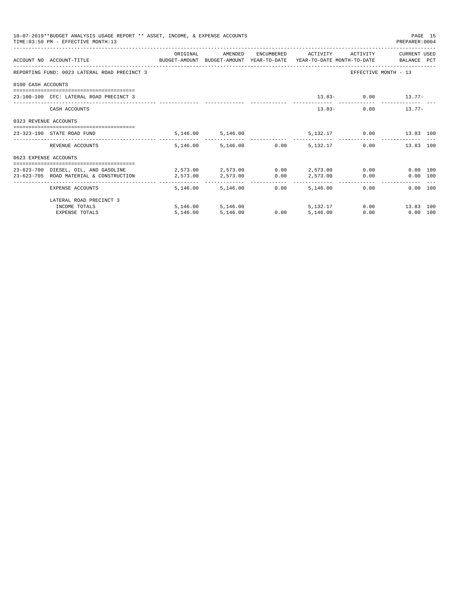|                       | 10-07-2019**BUDGET ANALYSIS USAGE REPORT ** ASSET, INCOME, & EXPENSE ACCOUNTS<br>TIME: 03:50 PM - EFFECTIVE MONTH: 13 |                                                |                        |      |                     |          | PREPARER: 0004                                                                                                                                                                                                                          | PAGE 15 |
|-----------------------|-----------------------------------------------------------------------------------------------------------------------|------------------------------------------------|------------------------|------|---------------------|----------|-----------------------------------------------------------------------------------------------------------------------------------------------------------------------------------------------------------------------------------------|---------|
|                       | ACCOUNT NO ACCOUNT-TITLE<br>BUDGET-AMOUNT BUDGET-AMOUNT YEAR-TO-DATE YEAR-TO-DATE MONTH-TO-DATE BALANCE PCT           | ORIGINAL                                       | AMENDED                |      | ENCUMBERED ACTIVITY | ACTIVITY | CURRENT USED                                                                                                                                                                                                                            |         |
|                       | REPORTING FUND: 0023 LATERAL ROAD PRECINCT 3                                                                          |                                                |                        |      |                     |          | EFFECTIVE MONTH - 13                                                                                                                                                                                                                    |         |
| 0100 CASH ACCOUNTS    |                                                                                                                       |                                                |                        |      |                     |          |                                                                                                                                                                                                                                         |         |
|                       |                                                                                                                       |                                                |                        |      |                     |          |                                                                                                                                                                                                                                         |         |
|                       | 23-100-100 CFC: LATERAL ROAD PRECINCT 3                                                                               |                                                |                        |      |                     |          | $13.83 - 0.00$ $13.77 -$                                                                                                                                                                                                                |         |
|                       | CASH ACCOUNTS                                                                                                         |                                                |                        |      |                     | $13.83-$ | $0.00$ 13.77-                                                                                                                                                                                                                           |         |
| 0323 REVENUE ACCOUNTS |                                                                                                                       |                                                |                        |      |                     |          |                                                                                                                                                                                                                                         |         |
|                       | 23-323-190 STATE ROAD FUND                                                                                            |                                                | 5,146.00 5,146.00      |      |                     |          | 5,132.17 0.00 13.83 100                                                                                                                                                                                                                 |         |
|                       | REVENUE ACCOUNTS                                                                                                      |                                                | 5,146.00 5,146.00 0.00 |      | 5, 132. 17          |          | 0.00<br>13.83 100                                                                                                                                                                                                                       |         |
| 0623 EXPENSE ACCOUNTS |                                                                                                                       |                                                |                        |      |                     |          |                                                                                                                                                                                                                                         |         |
|                       | 23-623-700 DIESEL, OIL, AND GASOLINE                                                                                  | $2.573.00$ $2.573.00$ $0.00$ $2.573.00$ $0.00$ |                        |      |                     |          | $0.00$ 100                                                                                                                                                                                                                              |         |
|                       | 23-623-705 ROAD MATERIAL & CONSTRUCTION                                                                               | 2,573.00                                       | 2,573.00               | 0.00 | 2,573.00            |          | $0.00$ and $0.00$ and $0.00$ and $0.00$ and $0.00$ and $0.00$ and $0.00$ and $0.00$ and $0.00$ and $0.00$ and $0.00$ and $0.00$ and $0.00$ and $0.00$ and $0.00$ and $0.00$ and $0.00$ and $0.00$ and $0.00$ and $0.00$ and<br>0.00 100 |         |
|                       | EXPENSE ACCOUNTS                                                                                                      |                                                | 5, 146.00 5, 146.00    | 0.00 | 5,146,00            |          | 0.00<br>$0.00$ 100                                                                                                                                                                                                                      |         |
|                       | LATERAL ROAD PRECINCT 3                                                                                               |                                                |                        |      |                     |          |                                                                                                                                                                                                                                         |         |
|                       | INCOME TOTALS                                                                                                         |                                                | 5,146.00 5,146.00      |      | 5, 132, 17          |          | $0.00$ 13.83 100                                                                                                                                                                                                                        |         |
|                       | <b>EXPENSE TOTALS</b>                                                                                                 | 5,146.00                                       | 5,146.00               | 0.00 | 5.146.00            | 0.00     | $0.00$ 100                                                                                                                                                                                                                              |         |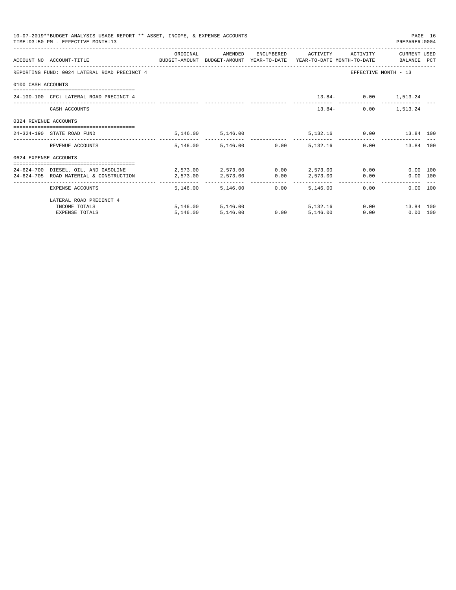|                       | 10-07-2019**BUDGET ANALYSIS USAGE REPORT ** ASSET, INCOME, & EXPENSE ACCOUNTS<br>TIME: 03:50 PM - EFFECTIVE MONTH: 13 |                                                |                        |      |                     |                                                                                                                                                                                                                             | PAGE 16<br>PREPARER: 0004 |  |
|-----------------------|-----------------------------------------------------------------------------------------------------------------------|------------------------------------------------|------------------------|------|---------------------|-----------------------------------------------------------------------------------------------------------------------------------------------------------------------------------------------------------------------------|---------------------------|--|
|                       | ACCOUNT NO ACCOUNT-TITLE COMPUTE SUDGET-AMOUNT BUDGET-AMOUNT YEAR-TO-DATE YEAR-TO-DATE MONTH-TO-DATE BALANCE PCT      | ORIGINAL                                       | AMENDED                |      | ENCUMBERED ACTIVITY | ACTIVITY                                                                                                                                                                                                                    | CURRENT USED              |  |
|                       | REPORTING FUND: 0024 LATERAL ROAD PRECINCT 4                                                                          |                                                |                        |      |                     | EFFECTIVE MONTH - 13                                                                                                                                                                                                        |                           |  |
| 0100 CASH ACCOUNTS    |                                                                                                                       |                                                |                        |      |                     |                                                                                                                                                                                                                             |                           |  |
|                       | 24-100-100 CFC: LATERAL ROAD PRECINCT 4                                                                               |                                                |                        |      |                     | $13.84 - 0.00$ $1,513.24$                                                                                                                                                                                                   |                           |  |
|                       | CASH ACCOUNTS                                                                                                         |                                                |                        |      | $13.84-$            |                                                                                                                                                                                                                             | $0.00$ 1,513.24           |  |
| 0324 REVENUE ACCOUNTS |                                                                                                                       |                                                |                        |      |                     |                                                                                                                                                                                                                             |                           |  |
|                       | 24-324-190 STATE ROAD FUND                                                                                            |                                                | 5,146.00 5,146.00      |      |                     | 5,132.16   0.00   13.84   100                                                                                                                                                                                               |                           |  |
|                       | REVENUE ACCOUNTS                                                                                                      |                                                | 5,146.00 5,146.00 0.00 |      | 5, 132. 16          | 0.00                                                                                                                                                                                                                        | 13.84 100                 |  |
| 0624 EXPENSE ACCOUNTS |                                                                                                                       |                                                |                        |      |                     |                                                                                                                                                                                                                             |                           |  |
|                       | 24-624-700 DIESEL, OIL, AND GASOLINE                                                                                  | $2,573.00$ $2,573.00$ $0.00$ $2,573.00$ $0.00$ |                        |      |                     |                                                                                                                                                                                                                             | 0.00 100                  |  |
|                       | 24-624-705 ROAD MATERIAL & CONSTRUCTION                                                                               | 2,573.00                                       | 2,573.00               | 0.00 | 2,573.00            | $0.00$ and $0.00$ and $0.00$ and $0.00$ and $0.00$ and $0.00$ and $0.00$ and $0.00$ and $0.00$ and $0.00$ and $0.00$ and $0.00$ and $0.00$ and $0.00$ and $0.00$ and $0.00$ and $0.00$ and $0.00$ and $0.00$ and $0.00$ and | 0.00 100                  |  |
|                       | EXPENSE ACCOUNTS                                                                                                      |                                                | 5, 146, 00 5, 146, 00  | 0.00 | 5,146.00            | 0.00                                                                                                                                                                                                                        | $0.00$ 100                |  |
|                       | LATERAL ROAD PRECINCT 4                                                                                               |                                                |                        |      |                     |                                                                                                                                                                                                                             |                           |  |
|                       | INCOME TOTALS                                                                                                         |                                                | 5,146.00 5,146.00      |      | 5, 132, 16          |                                                                                                                                                                                                                             | $0.00$ 13.84 100          |  |
|                       | <b>EXPENSE TOTALS</b>                                                                                                 | 5,146.00                                       | 5,146.00               | 0.00 | 5.146.00            | 0.00                                                                                                                                                                                                                        | $0.00$ 100                |  |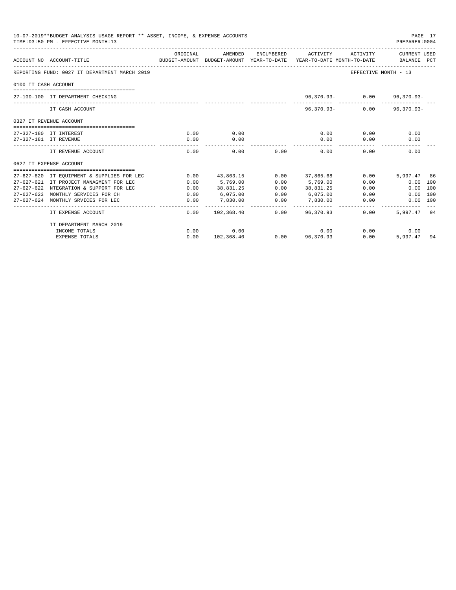|                      | 10-07-2019**BUDGET ANALYSIS USAGE REPORT ** ASSET, INCOME, & EXPENSE ACCOUNTS<br>TIME: 03:50 PM - EFFECTIVE MONTH: 13 |              |                          |      |                              |                            | PAGE 17<br>PREPARER: 0004 |  |
|----------------------|-----------------------------------------------------------------------------------------------------------------------|--------------|--------------------------|------|------------------------------|----------------------------|---------------------------|--|
|                      | ACCOUNT NO ACCOUNT-TITLE<br>BUDGET-AMOUNT BUDGET-AMOUNT YEAR-TO-DATE YEAR-TO-DATE MONTH-TO-DATE BALANCE PCT           | ORIGINAL     | AMENDED                  |      | ENCUMBERED ACTIVITY          | ACTIVITY                   | CURRENT USED              |  |
|                      | REPORTING FUND: 0027 IT DEPARTMENT MARCH 2019                                                                         |              |                          |      |                              | EFFECTIVE MONTH - 13       |                           |  |
| 0100 IT CASH ACCOUNT |                                                                                                                       |              |                          |      |                              |                            |                           |  |
|                      | 27-100-100 IT DEPARTMENT CHECKING                                                                                     |              |                          |      |                              | 96,370.93- 0.00 96,370.93- |                           |  |
|                      | IT CASH ACCOUNT                                                                                                       |              |                          |      |                              | $96,370.93 - 0.00$         | $96,370.93 -$             |  |
|                      | 0327 IT REVENUE ACCOUNT                                                                                               |              |                          |      |                              |                            |                           |  |
|                      | ==================================<br>27-327-180 IT INTEREST                                                          | 0.00         | 0.00                     |      | 0.00                         | 0.00                       | 0.00                      |  |
|                      | 27-327-181 IT REVENUE                                                                                                 | 0.00         | 0.00                     |      | 0.00                         | 0.00                       | 0.00                      |  |
|                      | IT REVENUE ACCOUNT                                                                                                    | 0.00         | -------------<br>0.00    | 0.00 | --------------<br>0.00       | 0.00                       | 0.00                      |  |
|                      | 0627 IT EXPENSE ACCOUNT                                                                                               |              |                          |      |                              |                            |                           |  |
|                      |                                                                                                                       |              |                          |      |                              |                            |                           |  |
|                      | 27-627-620 IT EQUIPMENT & SUPPLIES FOR LEC                                                                            | 0.00         | 43,863.15                |      | $0.00$ 37,865.68             | 0.00                       | 5,997.47 86               |  |
|                      | 27-627-621 IT PROJECT MANAGMENT FOR LEC                                                                               | 0.00         | 5,769.00                 | 0.00 | 5,769.00                     | 0.00                       | $0.00$ 100                |  |
|                      | 27-627-622 NTEGRATION & SUPPORT FOR LEC<br>27-627-623 MONTHLY SERVICES FOR CH                                         | 0.00<br>0.00 | 38,831.25<br>6,075,00    | 0.00 | 38,831.25<br>$0.00$ 6.075.00 | 0.00<br>0.00               | 0.00 100<br>0.00 100      |  |
|                      | 27-627-624 MONTHLY SRVICES FOR LEC                                                                                    | 0.00         | 7,830.00                 | 0.00 | 7,830.00                     | 0.00                       | 0.00 100                  |  |
|                      | IT EXPENSE ACCOUNT                                                                                                    | 0.00         | . <u>.</u><br>102,368.40 |      | .<br>$0.00$ 96,370.93        | 0.00                       | 5.997.47 94               |  |
|                      | IT DEPARTMENT MARCH 2019                                                                                              |              |                          |      |                              |                            |                           |  |
|                      | INCOME TOTALS                                                                                                         | 0.00         | 0.00                     |      | 0.00                         |                            | 0.00<br>0.00              |  |
|                      | <b>EXPENSE TOTALS</b>                                                                                                 | 0.00         | 102,368.40               |      | $0.00$ 96,370.93             | 0.00                       | 5,997.47 94               |  |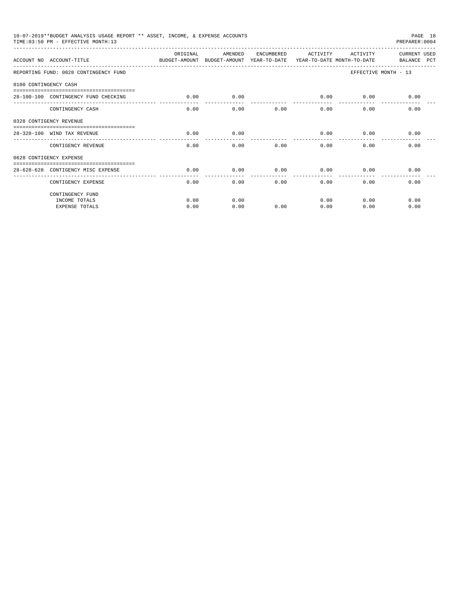|                       | 10-07-2019**BUDGET ANALYSIS USAGE REPORT ** ASSET, INCOME, & EXPENSE ACCOUNTS<br>TIME: 03:50 PM - EFFECTIVE MONTH: 13 |          |         |            |          |             | PAGE 18<br>PREPARER: 0004   |
|-----------------------|-----------------------------------------------------------------------------------------------------------------------|----------|---------|------------|----------|-------------|-----------------------------|
|                       | ACCOUNT NO ACCOUNT-TITLE CONTROL BUDGET-AMOUNT BUDGET-AMOUNT YEAR-TO-DATE YEAR-TO-DATE MONTH-TO-DATE                  | ORIGINAL | AMENDED | ENCUMBERED | ACTIVITY | ACTIVITY    | CURRENT USED<br>BALANCE PCT |
|                       | REPORTING FUND: 0028 CONTINGENCY FUND                                                                                 |          |         |            |          |             | EFFECTIVE MONTH - 13        |
| 0100 CONTINGENCY CASH |                                                                                                                       |          |         |            |          |             |                             |
|                       | 28-100-100 CONTINGENCY FUND CHECKING                                                                                  | 0.00     | 0.00    |            | -------  | $0.00$ 0.00 | 0.00                        |
|                       | CONTINGENCY CASH                                                                                                      | 0.00     | 0.00    | 0.00       | 0.00     | 0.00        | 0.00                        |
|                       | 0328 CONTIGENCY REVENUE                                                                                               |          |         |            |          |             |                             |
|                       | 28-328-100 WIND TAX REVENUE                                                                                           | 0.00     | 0.00    |            | 0.00     | 0.00        | 0.00                        |
|                       | CONTIGENCY REVENUE                                                                                                    | 0.00     | 0.00    | 0.00       | 0.00     | 0.00        | 0.00                        |
|                       | 0628 CONTIGENCY EXPENSE                                                                                               |          |         |            |          |             |                             |
|                       | 28-628-628 CONTIGENCY MISC EXPENSE                                                                                    | 0.00     | 0.00    | 0.00       | 0.00     | 0.00        | 0.00                        |
|                       | CONTIGENCY EXPENSE                                                                                                    | 0.00     | 0.00    | 0.00       | 0.00     | 0.00        | 0.00                        |
|                       | CONTINGENCY FUND                                                                                                      |          |         |            |          |             |                             |
|                       | INCOME TOTALS                                                                                                         | 0.00     | 0.00    |            | 0.00     | 0.00        | 0.00                        |
|                       | <b>EXPENSE TOTALS</b>                                                                                                 | 0.00     | 0.00    | 0.00       | 0.00     | 0.00        | 0.00                        |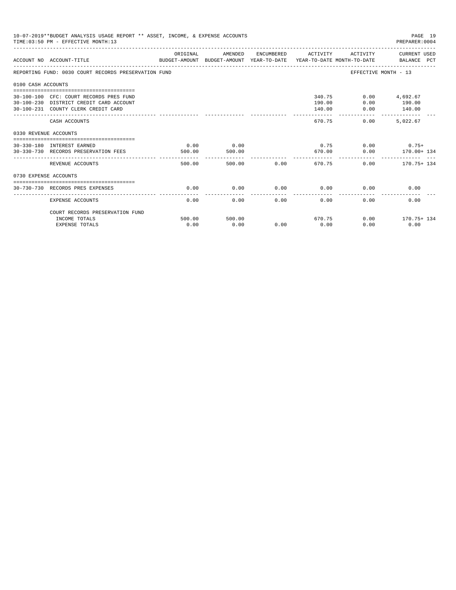|                       | 10-07-2019**BUDGET ANALYSIS USAGE REPORT ** ASSET, INCOME, & EXPENSE ACCOUNTS<br>TIME: 03:50 PM - EFFECTIVE MONTH: 13     |                |                |        |                        |                | PAGE 19<br>PREPARER: 0004                        |
|-----------------------|---------------------------------------------------------------------------------------------------------------------------|----------------|----------------|--------|------------------------|----------------|--------------------------------------------------|
|                       | ACCOUNT NO ACCOUNT-TITLE COMPUTE SUDGET-AMOUNT BUDGET-AMOUNT YEAR-TO-DATE YEAR-TO-DATE MONTH-TO-DATE BALANCE PCT          | ORIGINAL       | AMENDED        |        |                        |                | ENCUMBERED ACTIVITY ACTIVITY CURRENT USED        |
|                       | REPORTING FUND: 0030 COURT RECORDS PRESERVATION FUND                                                                      |                |                |        |                        |                | EFFECTIVE MONTH - 13                             |
| 0100 CASH ACCOUNTS    |                                                                                                                           |                |                |        |                        |                |                                                  |
|                       | 30-100-100 CFC: COURT RECORDS PRES FUND<br>30-100-230 DISTRICT CREDIT CARD ACCOUNT<br>30-100-231 COUNTY CLERK CREDIT CARD |                |                |        | 190.00<br>140.00       | 340.75<br>0.00 | $0.00$ 4,692.67<br>190.00<br>$0.00$ 140.00       |
|                       | CASH ACCOUNTS                                                                                                             |                |                |        | ------------<br>670.75 | 0.00           | -----------------------------<br>5.022.67        |
| 0330 REVENUE ACCOUNTS |                                                                                                                           |                |                |        |                        |                |                                                  |
|                       | -----------------------------------<br>30-330-180 INTEREST EARNED<br>30-330-730 RECORDS PRESERVATION FEES                 | 0.00<br>500.00 | 0.00<br>500.00 |        |                        |                | $0.75$ 0.00 0.75+<br>670.00   0.00   170.00+ 134 |
|                       | REVENUE ACCOUNTS                                                                                                          | 500.00         |                | 500.00 | 0.00                   | 670.75         | $0.00$ 170.75+ 134                               |
| 0730 EXPENSE ACCOUNTS |                                                                                                                           |                |                |        |                        |                |                                                  |
|                       | 30-730-730 RECORDS PRES EXPENSES                                                                                          | 0.00           | 0.00           | 0.00   | 0.00                   | 0.00           | 0.00                                             |
|                       | <b>EXPENSE ACCOUNTS</b>                                                                                                   | 0.00           | 0.00           | 0.00   | 0.00                   | 0.00           | 0.00                                             |
|                       | COURT RECORDS PRESERVATION FUND                                                                                           |                |                |        |                        |                |                                                  |
|                       | INCOME TOTALS<br><b>EXPENSE TOTALS</b>                                                                                    | 500.00<br>0.00 | 500.00<br>0.00 | 0.00   | 0.00                   | 670.75<br>0.00 | $0.00$ 170.75+ 134<br>0.00                       |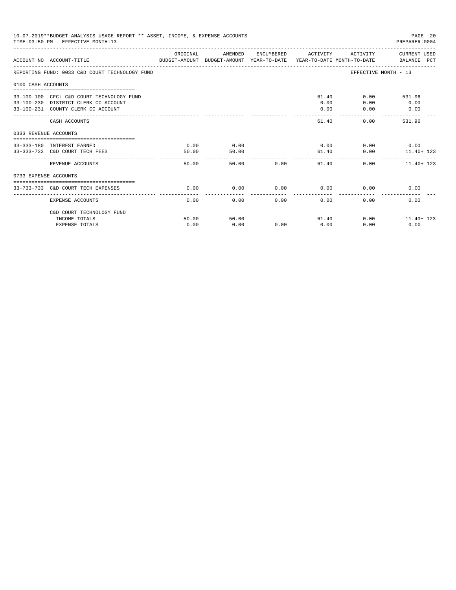|                       | 10-07-2019**BUDGET ANALYSIS USAGE REPORT ** ASSET, INCOME, & EXPENSE ACCOUNTS<br>TIME: 03:50 PM - EFFECTIVE MONTH: 13   |               |               |               |                      |                             | PAGE 20<br>PREPARER: 0004                    |
|-----------------------|-------------------------------------------------------------------------------------------------------------------------|---------------|---------------|---------------|----------------------|-----------------------------|----------------------------------------------|
|                       | ACCOUNT NO ACCOUNT-TITLE<br>BUDGET-AMOUNT BUDGET-AMOUNT YEAR-TO-DATE YEAR-TO-DATE MONTH-TO-DATE     BALANCE PCT         | ORIGINAL      | AMENDED       |               | ENCUMBERED ACTIVITY  |                             | ACTIVITY CURRENT USED                        |
|                       | REPORTING FUND: 0033 C&D COURT TECHNOLOGY FUND                                                                          |               |               |               |                      |                             | EFFECTIVE MONTH - 13                         |
| 0100 CASH ACCOUNTS    |                                                                                                                         |               |               |               |                      |                             |                                              |
|                       | 33-100-100 CFC: C&D COURT TECHNOLOGY FUND<br>33-100-230 DISTRICT CLERK CC ACCOUNT<br>33-100-231 COUNTY CLERK CC ACCOUNT |               |               |               | 0.00<br>0.00         | 61.40<br>0.00<br>0.00       | 0.00 531.96<br>0.00<br>0.00<br>------------- |
|                       | CASH ACCOUNTS                                                                                                           |               |               |               | 61.40                |                             | 0.00<br>531.96                               |
| 0333 REVENUE ACCOUNTS |                                                                                                                         |               |               |               |                      |                             |                                              |
|                       | 33-333-180 INTEREST EARNED<br>33-333-733 C&D COURT TECH FEES                                                            | 0.00<br>50.00 | 0.00<br>50.00 |               |                      | $0.00$ $0.00$ $0.00$ $0.00$ | 61.40   0.00   11.40+ 123                    |
|                       | REVENUE ACCOUNTS                                                                                                        | 50.00         |               | 50.00 0.00    | ---------------      | 61.40                       | $0.00$ 11.40 + 123                           |
| 0733 EXPENSE ACCOUNTS |                                                                                                                         |               |               |               |                      |                             |                                              |
|                       | 33-733-733 C&D COURT TECH EXPENSES                                                                                      | 0.00          | 0.00          | $0.00$ 0.00   |                      |                             | 0.00<br>0.00                                 |
|                       | EXPENSE ACCOUNTS                                                                                                        | 0.00          | 0.00          | ------------- | ------------<br>0.00 | 0.00<br>0.00                | 0.00                                         |
|                       | C&D COURT TECHNOLOGY FUND                                                                                               |               |               |               |                      |                             |                                              |
|                       | INCOME TOTALS<br><b>EXPENSE TOTALS</b>                                                                                  | 50.00<br>0.00 | 50.00<br>0.00 | 0.00          | 0.00                 | 61.40<br>0.00               | $0.00$ 11.40+ 123<br>0.00                    |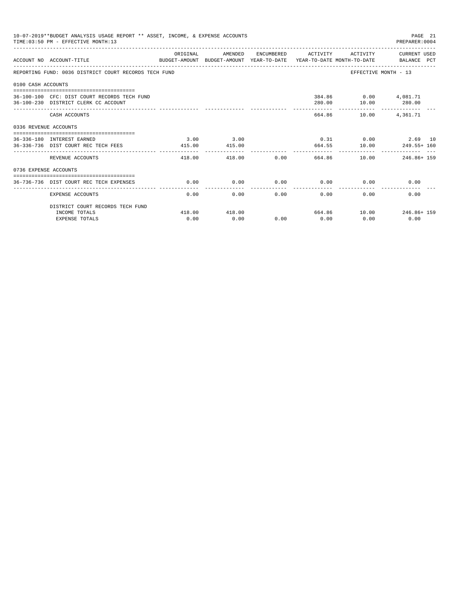|                       | 10-07-2019**BUDGET ANALYSIS USAGE REPORT ** ASSET, INCOME, & EXPENSE ACCOUNTS<br>TIME: 03:50 PM - EFFECTIVE MONTH: 13 |                        |                |                             |                      |                          | PAGE 21<br>PREPARER: 0004                            |
|-----------------------|-----------------------------------------------------------------------------------------------------------------------|------------------------|----------------|-----------------------------|----------------------|--------------------------|------------------------------------------------------|
|                       | BUDGET-AMOUNT BUDGET-AMOUNT YEAR-TO-DATE YEAR-TO-DATE MONTH-TO-DATE     BALANCE PCT<br>ACCOUNT NO ACCOUNT-TITLE       | ORIGINAL               | AMENDED        |                             |                      |                          | ENCUMBERED ACTIVITY ACTIVITY CURRENT USED            |
|                       | REPORTING FUND: 0036 DISTRICT COURT RECORDS TECH FUND                                                                 |                        |                |                             |                      |                          | EFFECTIVE MONTH - 13                                 |
| 0100 CASH ACCOUNTS    |                                                                                                                       |                        |                |                             |                      |                          |                                                      |
|                       | 36-100-100 CFC: DIST COURT RECORDS TECH FUND<br>36-100-230 DISTRICT CLERK CC ACCOUNT                                  |                        |                |                             | 280.00               | 384.86   0.00   4,081.71 | 10.00 280.00                                         |
|                       | CASH ACCOUNTS                                                                                                         |                        |                |                             |                      | 664.86 10.00 4,361.71    |                                                      |
| 0336 REVENUE ACCOUNTS |                                                                                                                       |                        |                |                             |                      |                          |                                                      |
|                       | 36-336-180 INTEREST EARNED<br>36-336-736 DIST COURT REC TECH FEES                                                     | 3.00<br>415.00         | 3.00<br>415.00 |                             |                      |                          | $0.31$ $0.00$ $2.69$ $10$<br>664.55 10.00 249.55+160 |
|                       | REVENUE ACCOUNTS                                                                                                      | ------------<br>418.00 |                |                             |                      | . <u>.</u>               | 418.00 0.00 664.86 10.00 246.86 159                  |
| 0736 EXPENSE ACCOUNTS |                                                                                                                       |                        |                |                             |                      |                          |                                                      |
|                       | 36-736-736 DIST COURT REC TECH EXPENSES                                                                               | 0.00                   | 0.00           | $0.00$ $0.00$ $0.00$ $0.00$ |                      |                          | 0.00                                                 |
|                       | <b>EXPENSE ACCOUNTS</b>                                                                                               | 0.00                   | 0.00           | 0.00                        | ------------<br>0.00 | 0.00                     | 0.00                                                 |
|                       | DISTRICT COURT RECORDS TECH FUND                                                                                      |                        |                |                             |                      |                          |                                                      |
|                       | INCOME TOTALS                                                                                                         | 418.00                 | 418.00         |                             |                      |                          | 664.86 10.00 246.86+159                              |
|                       | <b>EXPENSE TOTALS</b>                                                                                                 | 0.00                   | 0.00           | 0.00                        | 0.00                 | 0.00                     | 0.00                                                 |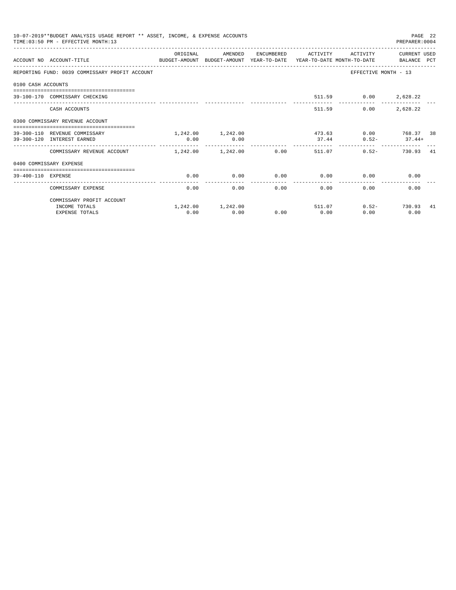|                    | 10-07-2019**BUDGET ANALYSIS USAGE REPORT ** ASSET, INCOME, & EXPENSE ACCOUNTS<br>TIME: 03:50 PM - EFFECTIVE MONTH: 13 |                       |                           |                      |                 |                      | PAGE 22<br>PREPARER: 0004          |     |
|--------------------|-----------------------------------------------------------------------------------------------------------------------|-----------------------|---------------------------|----------------------|-----------------|----------------------|------------------------------------|-----|
|                    | ACCOUNT NO ACCOUNT-TITLE<br>BUDGET-AMOUNT BUDGET-AMOUNT YEAR-TO-DATE YEAR-TO-DATE MONTH-TO-DATE     BALANCE PCT       | OR TGTNAL             | AMENDED                   | ENCUMBERED           | ACTIVITY        | ACTIVITY             | CURRENT USED                       |     |
|                    | REPORTING FUND: 0039 COMMISSARY PROFIT ACCOUNT                                                                        |                       |                           |                      |                 |                      | EFFECTIVE MONTH - 13               |     |
| 0100 CASH ACCOUNTS |                                                                                                                       |                       |                           |                      |                 |                      |                                    |     |
|                    | 39-100-170 COMMISSARY CHECKING                                                                                        |                       |                           |                      |                 | 511.59 0.00 2,628.22 |                                    |     |
|                    | CASH ACCOUNTS                                                                                                         |                       |                           |                      | 511.59          | 0.00                 | 2,628.22                           |     |
|                    | 0300 COMMISSARY REVENUE ACCOUNT                                                                                       |                       |                           |                      |                 |                      |                                    |     |
|                    | 39-300-110 REVENUE COMMISSARY<br>39-300-120 INTEREST EARNED                                                           | 0.00                  | 1,242.00 1,242.00<br>0.00 |                      | 473.63<br>37.44 |                      | 0.00 768.37 38<br>$0.52 - 37.44 +$ |     |
|                    | COMMISSARY REVENUE ACCOUNT                                                                                            | $1.242.00$ $1.242.00$ |                           | 0.00                 |                 | 511.07               | $0.52 -$<br>730.93 41              |     |
|                    | 0400 COMMISSARY EXPENSE                                                                                               |                       |                           |                      |                 |                      |                                    |     |
| 39-400-110 EXPENSE |                                                                                                                       | 0.00                  | 0.00                      | 0.00                 | 0.00            |                      | 0.00<br>0.00                       |     |
|                    | COMMISSARY EXPENSE                                                                                                    | 0.00                  | 0.00                      | ------------<br>0.00 | ------------    | 0.00<br>0.00         | 0.00                               |     |
|                    | COMMISSARY PROFIT ACCOUNT                                                                                             |                       |                           |                      |                 |                      |                                    |     |
|                    | INCOME TOTALS                                                                                                         |                       | 1,242.00 1,242.00         |                      |                 | 511.07               | $0.52 - 730.93$                    | -41 |
|                    | <b>EXPENSE TOTALS</b>                                                                                                 | 0.00                  | 0.00                      | 0.00                 | 0.00            | 0.00                 | 0.00                               |     |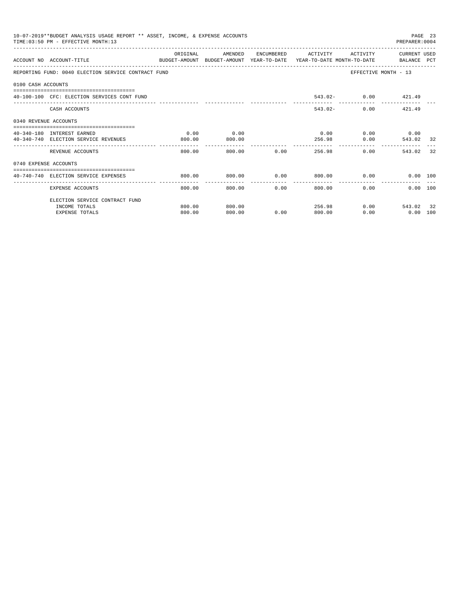|                       | 10-07-2019**BUDGET ANALYSIS USAGE REPORT ** ASSET, INCOME, & EXPENSE ACCOUNTS<br>TIME: 03:50 PM - EFFECTIVE MONTH: 13 |          |         |                                                        |                              |                     | PREPARER: 0004              | PAGE 23 |
|-----------------------|-----------------------------------------------------------------------------------------------------------------------|----------|---------|--------------------------------------------------------|------------------------------|---------------------|-----------------------------|---------|
|                       | ACCOUNT NO ACCOUNT-TITLE<br>BUDGET-AMOUNT BUDGET-AMOUNT YEAR-TO-DATE YEAR-TO-DATE MONTH-TO-DATE BALANCE PCT           | ORIGINAL | AMENDED |                                                        | ENCUMBERED ACTIVITY ACTIVITY |                     | CURRENT USED                |         |
|                       | REPORTING FUND: 0040 ELECTION SERVICE CONTRACT FUND                                                                   |          |         |                                                        |                              |                     | EFFECTIVE MONTH - 13        |         |
| 0100 CASH ACCOUNTS    |                                                                                                                       |          |         |                                                        |                              |                     |                             |         |
|                       | 40-100-100 CFC: ELECTION SERVICES CONT FUND                                                                           |          |         |                                                        |                              | 543.02- 0.00 421.49 |                             |         |
|                       | CASH ACCOUNTS                                                                                                         |          |         |                                                        |                              | $543.02 -$          | $0.00$ $421.49$             |         |
| 0340 REVENUE ACCOUNTS |                                                                                                                       |          |         |                                                        |                              |                     |                             |         |
|                       | 40-340-180 INTEREST EARNED                                                                                            | 0.00     | 0.00    |                                                        |                              |                     | $0.00$ $0.00$ $0.00$ $0.00$ |         |
|                       | 40-340-740 ELECTION SERVICE REVENUES                                                                                  | 800.00   | 800.00  |                                                        |                              | 256.98 0.00         | 543.02                      | -32     |
|                       | REVENUE ACCOUNTS                                                                                                      | 800.00   |         | 800.00 0.00                                            |                              | 256.98              | 0.00<br>543.02              | 32      |
| 0740 EXPENSE ACCOUNTS |                                                                                                                       |          |         |                                                        |                              |                     |                             |         |
|                       |                                                                                                                       |          |         |                                                        |                              |                     |                             |         |
|                       | 40-740-740 ELECTION SERVICE EXPENSES                                                                                  | 800.00   | 800.00  | $0.00$ 800.00 0.00<br>________________________________ | ----------------             |                     | 0.00 100<br>----------      |         |
|                       | EXPENSE ACCOUNTS                                                                                                      | 800.00   | 800.00  | 0.00                                                   |                              | 800.00              | 0.00<br>0.00 100            |         |
|                       | ELECTION SERVICE CONTRACT FUND                                                                                        |          |         |                                                        |                              |                     |                             |         |
|                       | INCOME TOTALS                                                                                                         | 800.00   | 800.00  |                                                        |                              | 256.98              | $0.00$ 543.02 32            |         |
|                       | <b>EXPENSE TOTALS</b>                                                                                                 | 800.00   | 800.00  | 0.00                                                   | 800.00                       | 0.00                | $0.00$ 100                  |         |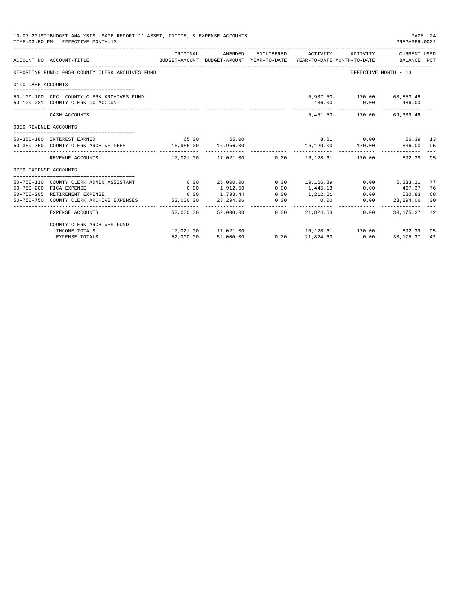|                       | 10-07-2019**BUDGET ANALYSIS USAGE REPORT ** ASSET, INCOME, & EXPENSE ACCOUNTS<br>TIME: 03:50 PM - EFFECTIVE MONTH: 13                              |                                   |                                                                   |                                               |                                             |                                                  | PAGE 24<br>PREPARER: 0004                                  |                      |
|-----------------------|----------------------------------------------------------------------------------------------------------------------------------------------------|-----------------------------------|-------------------------------------------------------------------|-----------------------------------------------|---------------------------------------------|--------------------------------------------------|------------------------------------------------------------|----------------------|
|                       | BUDGET-AMOUNT BUDGET-AMOUNT YEAR-TO-DATE YEAR-TO-DATE MONTH-TO-DATE BALANCE PCT<br>ACCOUNT NO ACCOUNT-TITLE<br>----------------------------------- | ORIGINAL                          | AMENDED                                                           |                                               | ENCUMBERED ACTIVITY                         | ACTIVITY                                         | CURRENT USED                                               |                      |
|                       | REPORTING FUND: 0050 COUNTY CLERK ARCHIVES FUND                                                                                                    |                                   |                                                                   |                                               |                                             |                                                  | EFFECTIVE MONTH - 13                                       |                      |
| 0100 CASH ACCOUNTS    |                                                                                                                                                    |                                   |                                                                   |                                               |                                             |                                                  |                                                            |                      |
|                       | 50-100-100 CFC: COUNTY CLERK ARCHIVES FUND<br>50-100-231 COUNTY CLERK CC ACCOUNT                                                                   |                                   |                                                                   |                                               |                                             | 5,937.50- 170.00 68,853.46<br>486.00 0.00 486.00 |                                                            |                      |
|                       | CASH ACCOUNTS                                                                                                                                      |                                   |                                                                   |                                               |                                             | 5,451.50- 170.00 69,339.46                       |                                                            |                      |
| 0350 REVENUE ACCOUNTS |                                                                                                                                                    |                                   |                                                                   |                                               |                                             |                                                  |                                                            |                      |
|                       | 50-350-180 INTEREST EARNED<br>50-350-750 COUNTY CLERK ARCHIVE FEES 16,956.00                                                                       |                                   | 65.00 65.00<br>16,956.00                                          |                                               | 16,120.00                                   | 8.61 0.00 56.39 13<br>170.00                     | 836.00 95                                                  |                      |
|                       | REVENUE ACCOUNTS                                                                                                                                   |                                   | 17,021.00    17,021.00                                            |                                               |                                             | $0.00$ 16,128.61 170.00                          | 892.39                                                     | 95                   |
| 0750 EXPENSE ACCOUNTS |                                                                                                                                                    |                                   |                                                                   |                                               |                                             |                                                  |                                                            |                      |
|                       | 50-750-110 COUNTY CLERK ADMIN ASSISTANT<br>50-750-200 FICA EXPENSE<br>50-750-205 RETIREMENT EXPENSE<br>50-750-750 COUNTY CLERK ARCHIVE EXPENSES    | 0.00<br>0.00<br>0.00<br>52,000.00 | 25,000.00<br>1,912.50<br>1,793.44<br>23, 294.06<br>______________ | 0.00<br>0.00<br>0.00<br>0.00<br>_____________ | 19,166.89<br>1,445.13<br>1, 212, 61<br>0.00 | 0.00<br>0.00                                     | $0.00$ 5.833.11<br>467.37<br>0.00<br>580.83<br>23, 294, 06 | 77<br>76<br>68<br>00 |
|                       | <b>EXPENSE ACCOUNTS</b>                                                                                                                            | 52,000.00                         | 52,000.00                                                         | 0.00                                          | 21,824,63                                   | 0.00                                             | _____________________________<br>30,175.37                 | 42                   |
|                       | COUNTY CLERK ARCHIVES FUND<br>INCOME TOTALS<br><b>EXPENSE TOTALS</b>                                                                               | 52,000.00                         | 17,021.00 17,021.00<br>52,000.00                                  | 0.00                                          | 21,824.63                                   | 16,128.61 170.00 892.39<br>0.00                  | 30,175.37                                                  | 95<br>42             |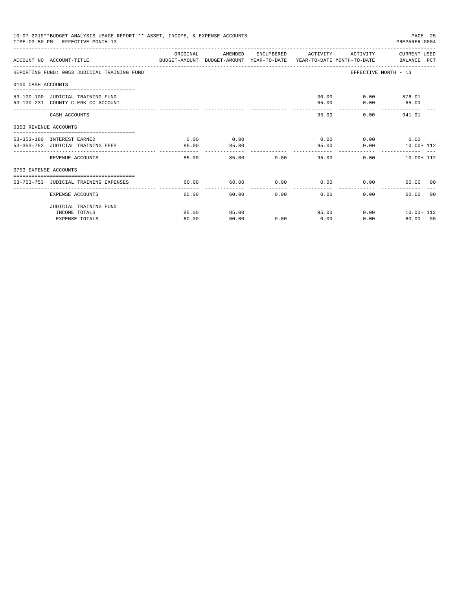|                       | 10-07-2019**BUDGET ANALYSIS USAGE REPORT ** ASSET, INCOME, & EXPENSE ACCOUNTS<br>TIME: 03:50 PM - EFFECTIVE MONTH: 13 |          |         |       |                             |          | PAGE 25<br>PREPARER: 0004 |       |
|-----------------------|-----------------------------------------------------------------------------------------------------------------------|----------|---------|-------|-----------------------------|----------|---------------------------|-------|
|                       | ACCOUNT NO ACCOUNT-TITLE COMPUTER ANOUNT BUDGET-AMOUNT HEAR-TO-DATE YEAR-TO-DATE MONTH-TO-DATE BALANCE PCT            | ORIGINAL | AMENDED |       | ENCUMBERED ACTIVITY         |          | ACTIVITY CURRENT USED     |       |
|                       | REPORTING FUND: 0053 JUDICIAL TRAINING FUND                                                                           |          |         |       |                             |          | EFFECTIVE MONTH - 13      |       |
| 0100 CASH ACCOUNTS    |                                                                                                                       |          |         |       |                             |          |                           |       |
|                       |                                                                                                                       |          |         |       |                             |          | 30.00   0.00   876.01     |       |
|                       | 53-100-100 JUDICIAL TRAINING FUND                                                                                     |          |         |       |                             |          |                           |       |
|                       | 53-100-231 COUNTY CLERK CC ACCOUNT                                                                                    |          |         |       | 65.00                       | 0.00     | 65.00                     |       |
|                       | CASH ACCOUNTS                                                                                                         |          |         |       | 95.00                       |          | 0.00<br>941.01            |       |
| 0353 REVENUE ACCOUNTS |                                                                                                                       |          |         |       |                             |          |                           |       |
|                       | 53-353-180 INTEREST EARNED                                                                                            | 0.00     | 0.00    |       | $0.00$ $0.00$ $0.00$ $0.00$ |          |                           |       |
|                       | 53-353-753 JUDICIAL TRAINING FEES                                                                                     | 85.00    | 85.00   |       |                             | 95.00    | $0.00$ $10.00+112$        |       |
|                       |                                                                                                                       | -------  |         |       | _____________               |          |                           |       |
|                       | REVENUE ACCOUNTS                                                                                                      | 85.00    |         | 85.00 | 0.00                        | 95.00    | 0.00<br>$10.00 + 112$     |       |
| 0753 EXPENSE ACCOUNTS |                                                                                                                       |          |         |       |                             |          |                           |       |
|                       |                                                                                                                       |          |         |       |                             |          |                           |       |
|                       | 53-753-753 JUDICIAL TRAINING EXPENSES                                                                                 | 60.00    | 60.00   |       | $0.00$ $0.00$ $0.00$        |          | 60.00 00                  |       |
|                       | EXPENSE ACCOUNTS                                                                                                      | 60.00    | 60.00   | 0.00  | $0.00 -$                    | $0.00 -$ | 60.00                     | - 0.0 |
|                       | JUDICIAL TRAINING FUND                                                                                                |          |         |       |                             |          |                           |       |
|                       | INCOME TOTALS                                                                                                         | 85.00    | 85.00   |       | 95.00                       |          | $0.00$ 10.00+ 112         |       |
|                       | <b>EXPENSE TOTALS</b>                                                                                                 | 60.00    | 60.00   | 0.00  | 0.00                        | 0.00     | 60.00 00                  |       |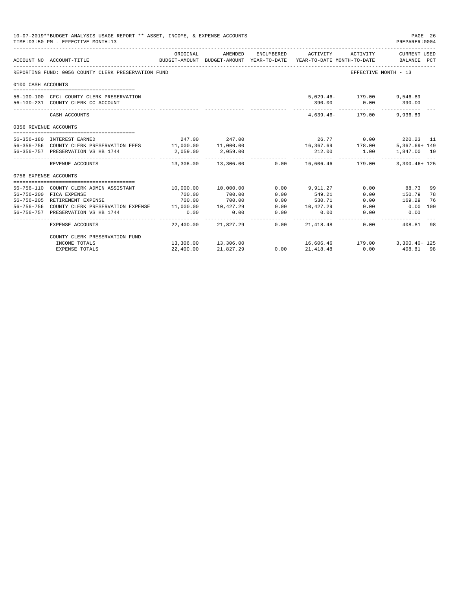|                       | 10-07-2019**BUDGET ANALYSIS USAGE REPORT ** ASSET, INCOME, & EXPENSE ACCOUNTS<br>TIME: 03:50 PM - EFFECTIVE MONTH: 13 |             |                                                                                |      |                     |                           | PAGE 26<br>PREPARER: 0004      |     |
|-----------------------|-----------------------------------------------------------------------------------------------------------------------|-------------|--------------------------------------------------------------------------------|------|---------------------|---------------------------|--------------------------------|-----|
|                       | ACCOUNT NO ACCOUNT-TITLE                                                                                              | ORIGINAL    | AMENDED<br>BUDGET-AMOUNT BUDGET-AMOUNT YEAR-TO-DATE YEAR-TO-DATE MONTH-TO-DATE |      | ENCUMBERED ACTIVITY | ACTIVITY                  | CURRENT USED<br>BALANCE PCT    |     |
|                       | REPORTING FUND: 0056 COUNTY CLERK PRESERVATION FUND                                                                   |             |                                                                                |      |                     |                           | EFFECTIVE MONTH - 13           |     |
| 0100 CASH ACCOUNTS    |                                                                                                                       |             |                                                                                |      |                     |                           |                                |     |
|                       |                                                                                                                       |             |                                                                                |      |                     |                           |                                |     |
|                       | 56-100-100 CFC: COUNTY CLERK PRESERVATION                                                                             |             |                                                                                |      |                     | 5,029.46- 179.00 9,546.89 |                                |     |
|                       | 56-100-231 COUNTY CLERK CC ACCOUNT                                                                                    |             |                                                                                |      |                     | 390.00 0.00 390.00        |                                |     |
|                       | CASH ACCOUNTS                                                                                                         |             |                                                                                |      |                     | 4.639.46- 179.00 9.936.89 |                                |     |
| 0356 REVENUE ACCOUNTS |                                                                                                                       |             |                                                                                |      |                     |                           |                                |     |
|                       | 56-356-180 INTEREST EARNED                                                                                            |             | 247.00 247.00                                                                  |      |                     |                           | 26.77 0.00 220.23 11           |     |
|                       | 56-356-756 COUNTY CLERK PRESERVATION FEES 11,000.00 11,000.00                                                         |             |                                                                                |      |                     | 16, 367.69 178.00         | $5.367.69 + 149$               |     |
|                       | 56-356-757 PRESERVATION VS HB 1744                                                                                    | 2,059.00    | 2,059.00                                                                       |      | 212.00              | 1.00                      | 1,847.00 10                    |     |
|                       | REVENUE ACCOUNTS                                                                                                      | ----------- | -------------<br>$13,306.00$ $13,306.00$ $0.00$ $16,606.46$ $179.00$           |      | . <u>.</u>          |                           | $3,300.46+125$                 |     |
| 0756 EXPENSE ACCOUNTS |                                                                                                                       |             |                                                                                |      |                     |                           |                                |     |
|                       |                                                                                                                       |             |                                                                                |      |                     |                           |                                |     |
|                       | 56-756-110 COUNTY CLERK ADMIN ASSISTANT                                                                               | 10.000.00   | 10,000.00                                                                      | 0.00 | 9,911,27            |                           | $0.00$ 88.73                   | -99 |
|                       | 56-756-200 FICA EXPENSE                                                                                               | 700.00      | 700.00                                                                         | 0.00 | 549.21              |                           | $0.00$ 150.79                  | 78  |
|                       | 56-756-205 RETIREMENT EXPENSE                                                                                         | 700.00      | 700.00                                                                         | 0.00 | 530.71              | 0.00                      | 169.29                         | 76  |
|                       | 56-756-756 COUNTY CLERK PRESERVATION EXPENSE 11,000.00 10,427.29                                                      |             |                                                                                |      | $0.00$ 10,427.29    |                           | $0.00$ $0.00$ 100              |     |
|                       | 56-756-757 PRESERVATION VS HB 1744                                                                                    | 0.00        | 0.00                                                                           | 0.00 | 0.00                | 0.00                      | 0.00                           |     |
|                       | EXPENSE ACCOUNTS                                                                                                      |             | 22,400.00 21,827.29                                                            | 0.00 | 21,418.48           |                           | -------<br>0.00 408.81 98      |     |
|                       | COUNTY CLERK PRESERVATION FUND                                                                                        |             |                                                                                |      |                     |                           |                                |     |
|                       | INCOME TOTALS                                                                                                         |             | 13,306.00 13,306.00                                                            |      |                     |                           | 16,606.46 179.00 3,300.46+ 125 |     |
|                       | <b>EXPENSE TOTALS</b>                                                                                                 | 22,400.00   | 21,827.29                                                                      | 0.00 | 21,418.48           | 0.00                      | 408.81 98                      |     |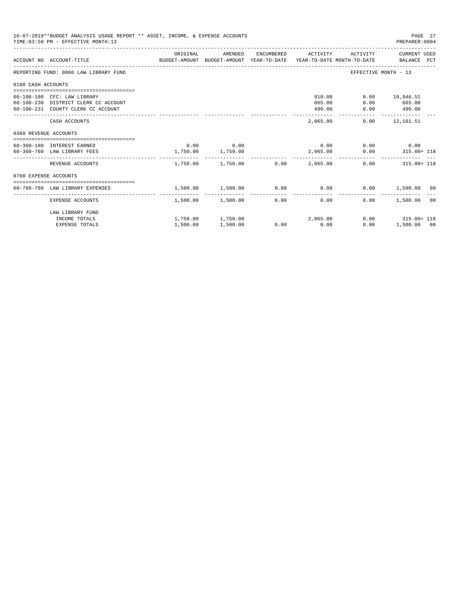|                       | 10-07-2019**BUDGET ANALYSIS USAGE REPORT ** ASSET, INCOME, & EXPENSE ACCOUNTS<br>TIME: 03:50 PM - EFFECTIVE MONTH: 13 |                   |                            |                                         |                      | PAGE 27<br>PREPARER: 0004    |
|-----------------------|-----------------------------------------------------------------------------------------------------------------------|-------------------|----------------------------|-----------------------------------------|----------------------|------------------------------|
|                       | ACCOUNT NO ACCOUNT-TITLE COMPUTER SUDGET-AMOUNT BUDGET-AMOUNT YEAR-TO-DATE YEAR-TO-DATE MONTH-TO-DATE BALANCE PCT     | ORIGINAL          | AMENDED                    | ENCUMBERED ACTIVITY                     |                      | ACTIVITY CURRENT USED        |
|                       | REPORTING FUND: 0060 LAW LIBRARY FUND                                                                                 |                   |                            |                                         | EFFECTIVE MONTH - 13 |                              |
| 0100 CASH ACCOUNTS    |                                                                                                                       |                   |                            |                                         |                      |                              |
|                       | 60-100-100 CFC: LAW LIBRARY                                                                                           |                   |                            | 910.00                                  |                      | $0.00$ 10,946.51             |
|                       | 60-100-230 DISTRICT CLERK CC ACCOUNT                                                                                  |                   |                            | 665.00                                  | 0.00                 | 665.00                       |
|                       | 60-100-231 COUNTY CLERK CC ACCOUNT                                                                                    |                   |                            | 490.00                                  |                      | $0.00$ 490.00                |
|                       | CASH ACCOUNTS                                                                                                         |                   |                            | 2,065.00                                |                      | $0.00$ 12,101.51             |
| 0360 REVENUE ACCOUNTS |                                                                                                                       |                   |                            |                                         |                      |                              |
|                       | 60-360-180 INTEREST EARNED                                                                                            |                   | $0.00$ 0.00                |                                         | $0.00$ 0.00 0.00     |                              |
|                       | 60-360-760 LAW LIBRARY FEES                                                                                           | 1,750.00 1,750.00 |                            |                                         |                      | $2,065.00$ 0.00 315.00 + 118 |
|                       | REVENUE ACCOUNTS                                                                                                      |                   |                            | $1.750.00$ $1.750.00$ $0.00$ $2.065.00$ |                      | $0.00$ $315.00 + 118$        |
| 0760 EXPENSE ACCOUNTS |                                                                                                                       |                   |                            |                                         |                      |                              |
|                       |                                                                                                                       |                   |                            |                                         |                      |                              |
|                       | 60-760-760 LAW LIBRARY EXPENSES                                                                                       | 1,500.00 1,500.00 |                            | $0.00$ 0.00                             |                      | $0.00$ 1,500.00 00           |
|                       | EXPENSE ACCOUNTS                                                                                                      |                   | $1.500.00$ $1.500.00$ 0.00 | 0.00                                    | $0.00 -$             | 1,500.00<br>0 <sup>0</sup>   |
|                       | LAW LIBRARY FUND                                                                                                      |                   |                            |                                         |                      |                              |
|                       | INCOME TOTALS                                                                                                         |                   |                            | $1,750.00$ $1,750.00$ $2,065.00$        |                      | $0.00$ $315.00+118$          |
|                       | <b>EXPENSE TOTALS</b>                                                                                                 | 1,500.00          | 1,500.00                   | $0.00$ 0.00                             | 0.00                 | 1,500.00 00                  |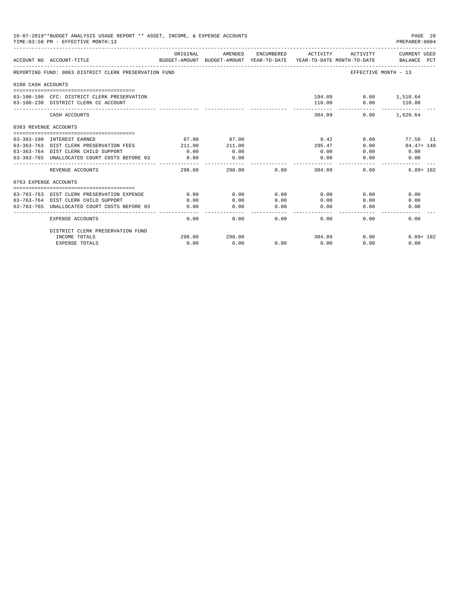|                       | 10-07-2019**BUDGET ANALYSIS USAGE REPORT ** ASSET, INCOME, & EXPENSE ACCOUNTS<br>TIME: 03:50 PM - EFFECTIVE MONTH: 13 |          |                                                     |            |          |                                        | PAGE 28<br>PREPARER: 0004   |
|-----------------------|-----------------------------------------------------------------------------------------------------------------------|----------|-----------------------------------------------------|------------|----------|----------------------------------------|-----------------------------|
|                       | ACCOUNT NO ACCOUNT-TITLE                                                                                              | ORIGINAL | AMENDED<br>BUDGET-AMOUNT BUDGET-AMOUNT YEAR-TO-DATE | ENCUMBERED | ACTIVITY | ACTIVITY<br>YEAR-TO-DATE MONTH-TO-DATE | CURRENT USED<br>BALANCE PCT |
|                       | REPORTING FUND: 0063 DISTRICT CLERK PRESERVATION FUND                                                                 |          |                                                     |            |          |                                        | EFFECTIVE MONTH - 13        |
| 0100 CASH ACCOUNTS    |                                                                                                                       |          |                                                     |            |          |                                        |                             |
|                       | 63-100-100 CFC: DISTRICT CLERK PRESERVATION<br>63-100-230 DISTRICT CLERK CC ACCOUNT                                   |          |                                                     |            | 110.00   | 194.89<br>0.00                         | $0.00$ 1,510.64<br>110.00   |
|                       | CASH ACCOUNTS                                                                                                         |          |                                                     |            | 304.89   | 0.00                                   | 1,620.64                    |
| 0363 REVENUE ACCOUNTS |                                                                                                                       |          |                                                     |            |          |                                        |                             |
|                       |                                                                                                                       |          |                                                     |            |          |                                        |                             |
|                       | 63-363-180 INTEREST EARNED                                                                                            | 87.00    | 87.00                                               |            | 9.42     | 0.00                                   | 77.58 11                    |
|                       | 63-363-763 DIST CLERK PRESERVATION FEES                                                                               | 211.00   | 211.00                                              |            | 295.47   | 0.00                                   | $84.47 + 140$               |
|                       | 63-363-764 DIST CLERK CHILD SUPPORT                                                                                   | 0.00     | 0.00                                                |            | 0.00     | 0.00                                   | 0.00                        |
|                       | 63-363-765 UNALLOCATED COURT COSTS BEFORE 03                                                                          | 0.00     | 0.00                                                |            | 0.00     | 0.00                                   | 0.00                        |
|                       | REVENUE ACCOUNTS                                                                                                      | 298.00   | 298.00                                              | 0.00       | 304.89   | 0.00                                   | $6.89 + 102$                |
| 0763 EXPENSE ACCOUNTS |                                                                                                                       |          |                                                     |            |          |                                        |                             |
|                       |                                                                                                                       |          |                                                     |            |          |                                        |                             |
|                       | 63-763-763 DIST CLERK PRESERVATION EXPENSE                                                                            | 0.00     | 0.00                                                | 0.00       | 0.00     | 0.00                                   | 0.00                        |
|                       | 63-763-764 DIST CLERK CHILD SUPPORT                                                                                   | 0.00     | 0.00                                                | 0.00       | 0.00     | 0.00                                   | 0.00                        |
|                       | 63-763-765 UNALLOCATED COURT COSTS BEFORE 03                                                                          | 0.00     | 0.00                                                | 0.00       | 0.00     | 0.00                                   | 0.00                        |
|                       | EXPENSE ACCOUNTS                                                                                                      | 0.00     | 0.00                                                | 0.00       | 0.00     | 0.00                                   | 0.00                        |
|                       | DISTRICT CLERK PRESERVATION FUND                                                                                      |          |                                                     |            |          |                                        |                             |
|                       | INCOME TOTALS                                                                                                         | 298.00   | 298.00                                              |            | 304.89   | 0.00                                   | $6.89 + 102$                |
|                       | <b>EXPENSE TOTALS</b>                                                                                                 | 0.00     | 0.00                                                | 0.00       | 0.00     | 0.00                                   | 0.00                        |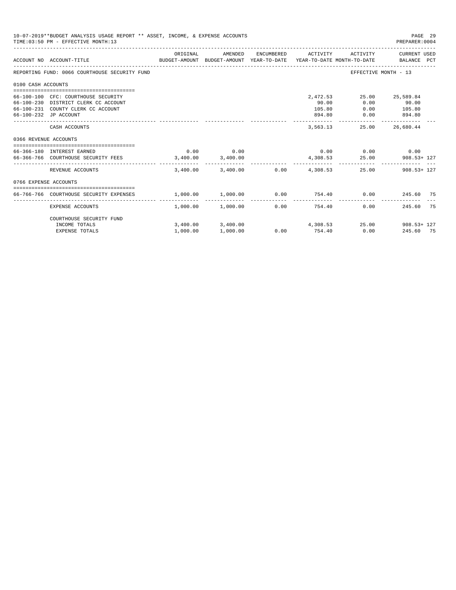|                       | 10-07-2019**BUDGET ANALYSIS USAGE REPORT ** ASSET, INCOME, & EXPENSE ACCOUNTS<br>TIME: 03:50 PM - EFFECTIVE MONTH: 13                      |          |                       |            |                                       |                       | PAGE 29<br>PREPARER: 0004                     |
|-----------------------|--------------------------------------------------------------------------------------------------------------------------------------------|----------|-----------------------|------------|---------------------------------------|-----------------------|-----------------------------------------------|
|                       | BUDGET-AMOUNT BUDGET-AMOUNT YEAR-TO-DATE YEAR-TO-DATE_MONTH-TO-DATE<br>ACCOUNT NO ACCOUNT-TITLE                                            | ORIGINAL | AMENDED               | ENCUMBERED | ACTIVITY                              | ACTIVITY              | CURRENT USED<br>BALANCE PCT                   |
|                       | REPORTING FUND: 0066 COURTHOUSE SECURITY FUND                                                                                              |          |                       |            |                                       |                       | EFFECTIVE MONTH - 13                          |
| 0100 CASH ACCOUNTS    |                                                                                                                                            |          |                       |            |                                       |                       |                                               |
|                       | 66-100-100 CFC: COURTHOUSE SECURITY<br>66-100-230 DISTRICT CLERK CC ACCOUNT<br>66-100-231 COUNTY CLERK CC ACCOUNT<br>66-100-232 JP ACCOUNT |          |                       |            | 2,472.53<br>90.00<br>105.80<br>894.80 | 0.00<br>0.00<br>0.00  | 25.00 25,589.84<br>90.00<br>105.80<br>894.80  |
|                       | CASH ACCOUNTS                                                                                                                              |          |                       |            | -------------<br>3,563.13             | ------------<br>25.00 | _____________<br>26,680.44                    |
|                       |                                                                                                                                            |          |                       |            |                                       |                       |                                               |
| 0366 REVENUE ACCOUNTS | 66-366-180 INTEREST EARNED<br>66-366-766 COURTHOUSE SECURITY FEES 3,400.00                                                                 | 0.00     | 0.00<br>3,400.00      |            | 4,308.53                              | 25.00                 | $0.00$ $0.00$ $0.00$ $0.00$<br>$908.53 + 127$ |
|                       | REVENUE ACCOUNTS                                                                                                                           | 3,400.00 | 3,400.00              |            | $0.00$ 4,308.53                       |                       | 25.00 908.53+ 127                             |
| 0766 EXPENSE ACCOUNTS |                                                                                                                                            |          |                       |            |                                       |                       |                                               |
|                       | 66-766-766 COURTHOUSE SECURITY EXPENSES                                                                                                    | 1,000.00 | 1,000.00              | 0.00       | 754.40                                | 0.00                  | 245.60 75                                     |
|                       | <b>EXPENSE ACCOUNTS</b>                                                                                                                    |          | $1.000.00$ $1.000.00$ | 0.00       | 754.40                                |                       | 0.00<br>245.60<br>75                          |
|                       | COURTHOUSE SECURITY FUND<br>INCOME TOTALS                                                                                                  |          |                       |            | $3,400.00$ $3,400.00$ $4,308.53$      |                       | 25.00 908.53+ 127                             |
|                       | <b>EXPENSE TOTALS</b>                                                                                                                      | 1,000.00 | 1,000.00              | 0.00       | 754.40                                | 0.00                  | 245.60 75                                     |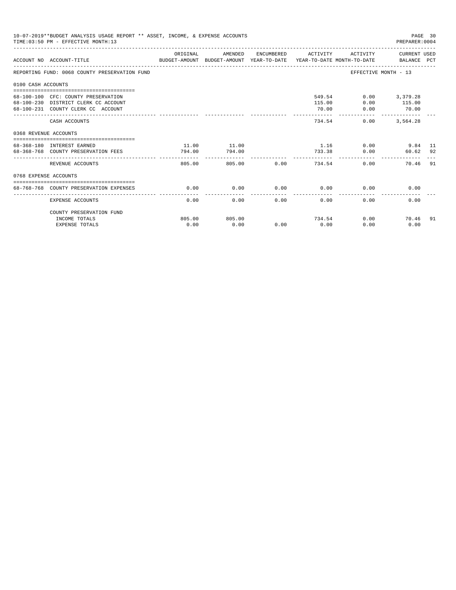|                       | 10-07-2019**BUDGET ANALYSIS USAGE REPORT ** ASSET, INCOME, & EXPENSE ACCOUNTS<br>TIME: 03:50 PM - EFFECTIVE MONTH: 13 |                 |                 |             |                     |                               | PAGE 30<br>PREPARER: 0004          |    |
|-----------------------|-----------------------------------------------------------------------------------------------------------------------|-----------------|-----------------|-------------|---------------------|-------------------------------|------------------------------------|----|
|                       | BUDGET-AMOUNT BUDGET-AMOUNT YEAR-TO-DATE  YEAR-TO-DATE MONTH-TO-DATE     BALANCE PCT<br>ACCOUNT NO ACCOUNT-TITLE      | ORIGINAL        | AMENDED         |             | ENCUMBERED ACTIVITY |                               | ACTIVITY CURRENT USED              |    |
|                       | REPORTING FUND: 0068 COUNTY PRESERVATION FUND                                                                         |                 |                 |             |                     |                               | EFFECTIVE MONTH - 13               |    |
| 0100 CASH ACCOUNTS    |                                                                                                                       |                 |                 |             |                     |                               |                                    |    |
|                       | 68-100-100 CFC: COUNTY PRESERVATION<br>68-100-230 DISTRICT CLERK CC ACCOUNT<br>68-100-231 COUNTY CLERK CC ACCOUNT     |                 |                 |             | 115.00<br>70.00     | 549.54<br>0.00<br>0.00        | $0.00$ 3,379.28<br>115.00<br>70.00 |    |
|                       | CASH ACCOUNTS                                                                                                         |                 |                 |             |                     | 734.54<br>0.00                | -------------<br>3,564.28          |    |
| 0368 REVENUE ACCOUNTS |                                                                                                                       |                 |                 |             |                     |                               |                                    |    |
|                       | 68-368-180 INTEREST EARNED<br>68-368-768 COUNTY PRESERVATION FEES                                                     | 11.00<br>794.00 | 11.00<br>794.00 |             |                     | $1.16$ 0.00<br>733.38<br>0.00 | 9.84 11<br>60.62 92                |    |
|                       | REVENUE ACCOUNTS                                                                                                      | 805.00          |                 | 805.00 0.00 |                     | 734.54                        | 0.00<br>70.46 91                   |    |
| 0768 EXPENSE ACCOUNTS |                                                                                                                       |                 |                 |             |                     |                               |                                    |    |
|                       | 68-768-768 COUNTY PRESERVATION EXPENSES                                                                               | 0.00            | 0.00            | $0.00$ 0.00 |                     |                               | 0.00<br>0.00                       |    |
|                       | EXPENSE ACCOUNTS                                                                                                      | 0.00            | 0.00            |             | 0.00<br>0.00        | 0.00                          | 0.00                               |    |
|                       | COUNTY PRESERVATION FUND                                                                                              |                 |                 |             |                     |                               |                                    |    |
|                       | INCOME TOTALS<br><b>EXPENSE TOTALS</b>                                                                                | 805.00<br>0.00  | 805.00<br>0.00  | 0.00        | 0.00                | 734.54<br>0.00                | 0.00<br>70.46<br>0.00              | 91 |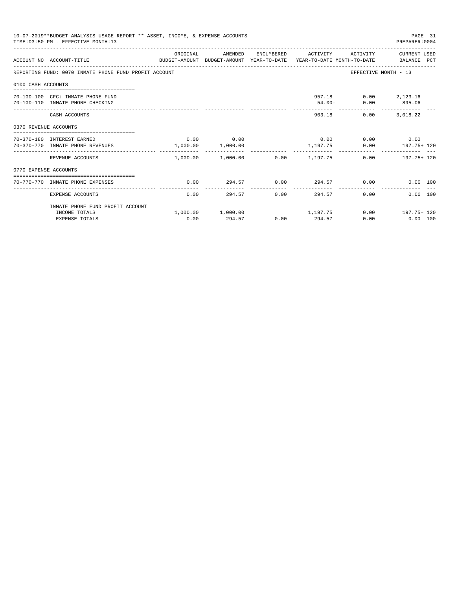|                       | 10-07-2019**BUDGET ANALYSIS USAGE REPORT ** ASSET, INCOME, & EXPENSE ACCOUNTS<br>TIME: 03:50 PM - EFFECTIVE MONTH: 13 |           |                                            |             |               |                                            | PAGE 31<br>PREPARER: 0004                                   |
|-----------------------|-----------------------------------------------------------------------------------------------------------------------|-----------|--------------------------------------------|-------------|---------------|--------------------------------------------|-------------------------------------------------------------|
|                       | ACCOUNT NO ACCOUNT-TITLE<br>BUDGET-AMOUNT BUDGET-AMOUNT YEAR-TO-DATE YEAR-TO-DATE MONTH-TO-DATE BALANCE PCT           | ORIGINAL  |                                            |             |               |                                            | AMENDED ENCUMBERED ACTIVITY ACTIVITY CURRENT_USED           |
|                       | REPORTING FUND: 0070 INMATE PHONE FUND PROFIT ACCOUNT                                                                 |           |                                            |             |               |                                            | EFFECTIVE MONTH - 13                                        |
| 0100 CASH ACCOUNTS    |                                                                                                                       |           |                                            |             |               |                                            |                                                             |
|                       | 70-100-100 CFC: INMATE PHONE FUND<br>70-100-110 INMATE PHONE CHECKING                                                 |           |                                            |             |               | 957.18 0.00 2,123.16<br>54.00- 0.00 895.06 |                                                             |
|                       | CASH ACCOUNTS                                                                                                         |           |                                            |             |               | 0.00<br>903.18                             | 3,018.22                                                    |
| 0370 REVENUE ACCOUNTS |                                                                                                                       |           |                                            |             |               |                                            |                                                             |
|                       | ----------------------------------<br>70-370-180 INTEREST EARNED<br>70-370-770 INMATE PHONE REVENUES                  |           | $0.00$ 0.00<br>1,000.00 1,000.00           |             |               | $0.00$ 0.00 0.00                           | 1,197.75 0.00 197.75+120                                    |
|                       | REVENUE ACCOUNTS                                                                                                      | --------- | -------------                              |             | .             |                                            | $1,000.00$ $1,000.00$ $0.00$ $1,197.75$ $0.00$ $197.75+120$ |
| 0770 EXPENSE ACCOUNTS |                                                                                                                       |           |                                            |             |               |                                            |                                                             |
|                       | 70-770-770 INMATE PHONE EXPENSES                                                                                      | 0.00      |                                            |             |               |                                            | $294.57$ $0.00$ $294.57$ $0.00$ $0.00$ $0.00$               |
|                       | EXPENSE ACCOUNTS                                                                                                      | 0.00      |                                            | 294.57 0.00 |               | 294.57<br>0.00                             | $0.00$ 100                                                  |
|                       | INMATE PHONE FUND PROFIT ACCOUNT                                                                                      |           |                                            |             |               |                                            |                                                             |
|                       | INCOME TOTALS<br><b>EXPENSE TOTALS</b>                                                                                | 0.00      | $1,000.00$ $1,000.00$ $1,197.75$<br>294.57 |             | $0.00$ 294.57 | 0.00                                       | $0.00$ 197.75+ 120<br>$0.00$ 100                            |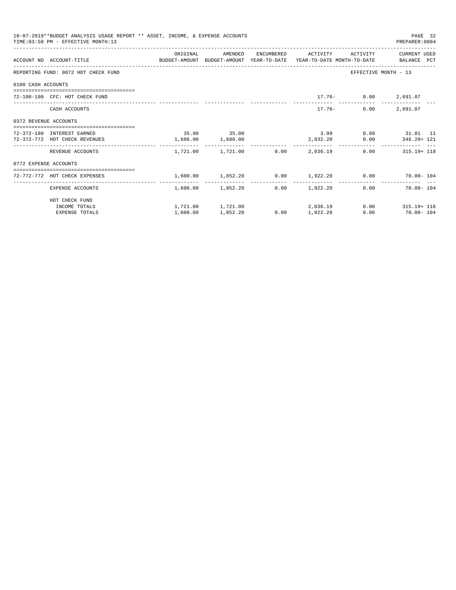| 10-07-2019**BUDGET ANALYSIS USAGE REPORT ** ASSET, INCOME, & EXPENSE ACCOUNTS<br>TIME: 03:50 PM - EFFECTIVE MONTH: 13 |                                                                                                                  |                   |                                         |  |                 |                         | PAGE 32<br>PREPARER: 0004                                    |
|-----------------------------------------------------------------------------------------------------------------------|------------------------------------------------------------------------------------------------------------------|-------------------|-----------------------------------------|--|-----------------|-------------------------|--------------------------------------------------------------|
|                                                                                                                       | ACCOUNT NO ACCOUNT-TITLE COMPUTE BUDGET-AMOUNT BUDGET-AMOUNT YEAR-TO-DATE YEAR-TO-DATE MONTH-TO-DATE BALANCE PCT | ORIGINAL          | AMENDED ENCUMBERED ACTIVITY ACTIVITY    |  |                 |                         | CURRENT USED                                                 |
|                                                                                                                       | REPORTING FUND: 0072 HOT CHECK FUND                                                                              |                   |                                         |  |                 |                         | EFFECTIVE MONTH - 13                                         |
| 0100 CASH ACCOUNTS                                                                                                    |                                                                                                                  |                   |                                         |  |                 |                         |                                                              |
|                                                                                                                       | 72-100-100 CFC: HOT CHECK FUND                                                                                   |                   |                                         |  |                 | $17.76 - 0.00$ 2,691.07 |                                                              |
|                                                                                                                       | CASH ACCOUNTS                                                                                                    |                   |                                         |  |                 | $17.76 -$               | $0.00$ 2,691.07                                              |
| 0372 REVENUE ACCOUNTS                                                                                                 |                                                                                                                  |                   |                                         |  |                 |                         |                                                              |
|                                                                                                                       | 72-372-180 INTEREST EARNED                                                                                       |                   | 35.00 35.00                             |  |                 |                         | 3.99 0.00 31.01 11                                           |
|                                                                                                                       | 72-372-772 HOT CHECK REVENUES                                                                                    | 1,686.00 1,686.00 |                                         |  |                 |                         | 2,032.20   0.00   346.20+ 121                                |
|                                                                                                                       | REVENUE ACCOUNTS                                                                                                 |                   | $1.721.00$ $1.721.00$ $0.00$ $2.036.19$ |  |                 |                         | $0.00$ $315.19 + 118$                                        |
| 0772 EXPENSE ACCOUNTS                                                                                                 |                                                                                                                  |                   |                                         |  |                 |                         |                                                              |
|                                                                                                                       | --------------------------------------<br>72-772-772 HOT CHECK EXPENSES                                          |                   |                                         |  |                 |                         | $1,600.00$ $1,852.20$ $0.00$ $1,922.20$ $0.00$ $70.00 - 104$ |
|                                                                                                                       | EXPENSE ACCOUNTS                                                                                                 |                   | $1,600.00$ $1,852.20$ $0.00$ $1,922.20$ |  |                 |                         | -----------<br>0.00<br>$70.00 - 104$                         |
|                                                                                                                       | HOT CHECK FUND                                                                                                   |                   |                                         |  |                 |                         |                                                              |
|                                                                                                                       | INCOME TOTALS                                                                                                    |                   |                                         |  | 2,036.19        |                         | $0.00$ $315.19 + 118$                                        |
|                                                                                                                       | <b>EXPENSE TOTALS</b>                                                                                            | 1,600.00          | 1,852.20                                |  | $0.00$ 1,922.20 |                         | $0.00$ 70.00 - 104                                           |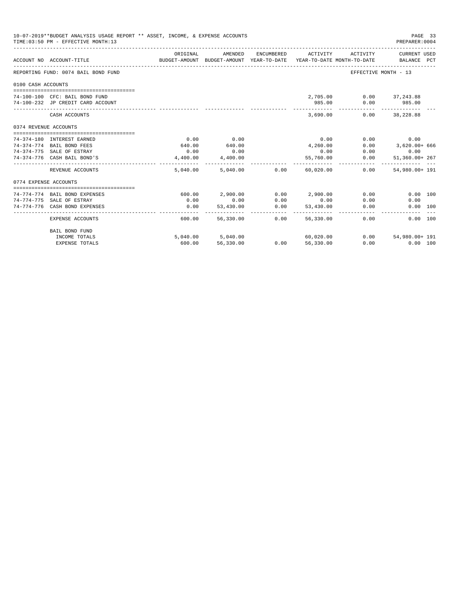|                       | 10-07-2019**BUDGET ANALYSIS USAGE REPORT ** ASSET, INCOME, & EXPENSE ACCOUNTS<br>TIME: 03:50 PM - EFFECTIVE MONTH: 13 |                |                                                                                |                  |                             |                                 | PAGE 33<br>PREPARER: 0004   |  |
|-----------------------|-----------------------------------------------------------------------------------------------------------------------|----------------|--------------------------------------------------------------------------------|------------------|-----------------------------|---------------------------------|-----------------------------|--|
|                       | ACCOUNT NO ACCOUNT-TITLE                                                                                              | ORIGINAL       | AMENDED<br>BUDGET-AMOUNT BUDGET-AMOUNT YEAR-TO-DATE YEAR-TO-DATE MONTH-TO-DATE | ENCUMBERED       | ACTIVITY                    | ACTIVITY                        | CURRENT USED<br>BALANCE PCT |  |
|                       | REPORTING FUND: 0074 BAIL BOND FUND                                                                                   |                |                                                                                |                  |                             |                                 | EFFECTIVE MONTH - 13        |  |
| 0100 CASH ACCOUNTS    |                                                                                                                       |                |                                                                                |                  |                             |                                 |                             |  |
|                       | 74-100-100 CFC: BAIL BOND FUND<br>74-100-232 JP CREDIT CARD ACCOUNT                                                   |                |                                                                                |                  | 985.00                      | 2,705.00 0.00 37,243.88<br>0.00 | 985.00                      |  |
|                       | CASH ACCOUNTS                                                                                                         |                |                                                                                |                  | 3,690.00                    |                                 | $0.00$ 38,228.88            |  |
| 0374 REVENUE ACCOUNTS |                                                                                                                       |                |                                                                                |                  |                             |                                 |                             |  |
|                       |                                                                                                                       |                |                                                                                |                  |                             |                                 |                             |  |
|                       | 74-374-180 INTEREST EARNED                                                                                            | 0.00           | 0.00                                                                           |                  | 0.00                        | 0.00                            | 0.00                        |  |
|                       | 74-374-774 BAIL BOND FEES<br>74-374-775 SALE OF ESTRAY                                                                | 640.00<br>0.00 | 640.00<br>0.00                                                                 |                  | 4,260.00<br>0.00            | 0.00<br>0.00                    | 3,620.00+ 666               |  |
|                       |                                                                                                                       |                |                                                                                |                  |                             |                                 | 0.00                        |  |
|                       | 74-374-776 CASH BAIL BOND'S                                                                                           | 4,400.00       | 4,400.00<br>-------------                                                      |                  | 55,760.00<br>-------------- | 0.00                            | 51,360.00+ 267              |  |
|                       | REVENUE ACCOUNTS                                                                                                      |                | 5,040.00 5,040.00 0.00                                                         |                  | 60,020.00                   | 0.00                            | 54,980.00+ 191              |  |
| 0774 EXPENSE ACCOUNTS |                                                                                                                       |                |                                                                                |                  |                             |                                 |                             |  |
|                       |                                                                                                                       |                |                                                                                |                  |                             |                                 |                             |  |
|                       | 74-774-774 BAIL BOND EXPENSES                                                                                         |                | 600.00 2.900.00                                                                |                  | $0.00$ 2.900.00             | 0.00                            | 0.00 100                    |  |
|                       | 74-774-775 SALE OF ESTRAY                                                                                             | 0.00           | 0.00                                                                           | 0.00             | 0.00                        | 0.00                            | 0.00                        |  |
|                       | 74-774-776 CASH BOND EXPENSES                                                                                         | 0.00           | 53,430.00<br>------------                                                      | 0.00<br>-------  | 53,430.00<br>-------------- | 0.00                            | 0.00 100                    |  |
|                       | <b>EXPENSE ACCOUNTS</b>                                                                                               | 600.00         | 56,330.00                                                                      | 0.00             | 56,330,00                   | 0.00                            | 0.00 100                    |  |
|                       | BAIL BOND FUND                                                                                                        |                |                                                                                |                  |                             |                                 |                             |  |
|                       | INCOME TOTALS                                                                                                         |                | 5,040.00 5,040.00                                                              |                  | 60,020.00                   | 0.00                            | 54,980.00+ 191              |  |
|                       | <b>EXPENSE TOTALS</b>                                                                                                 | 600.00         | 56,330.00                                                                      | $0.00$ 56,330.00 |                             | 0.00                            | $0.00$ 100                  |  |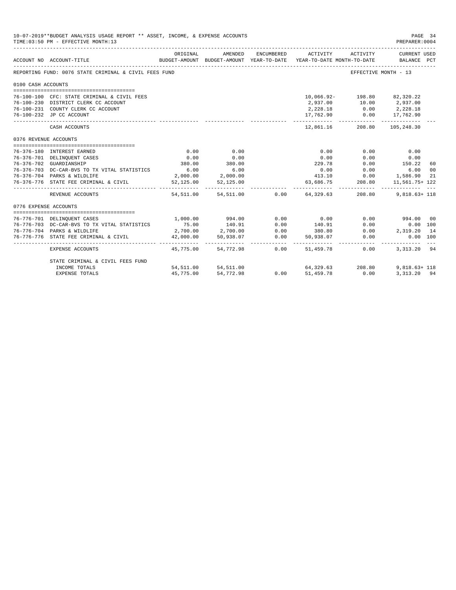|                       | 10-07-2019**BUDGET ANALYSIS USAGE REPORT ** ASSET, INCOME, & EXPENSE ACCOUNTS<br>TIME: 03:50 PM - EFFECTIVE MONTH: 13 |                |                                                                                                                       |            |                                                                                             |                      | PAGE 34<br>PREPARER:0004        |                |
|-----------------------|-----------------------------------------------------------------------------------------------------------------------|----------------|-----------------------------------------------------------------------------------------------------------------------|------------|---------------------------------------------------------------------------------------------|----------------------|---------------------------------|----------------|
|                       | ACCOUNT NO ACCOUNT-TITLE                                                                                              | ORIGINAL       | AMENDED                                                                                                               | ENCUMBERED | ACTIVITY<br>BUDGET-AMOUNT BUDGET-AMOUNT YEAR-TO-DATE YEAR-TO-DATE MONTH-TO-DATE BALANCE PCT | ACTIVITY             | CURRENT USED                    |                |
|                       | REPORTING FUND: 0076 STATE CRIMINAL & CIVIL FEES FUND                                                                 |                |                                                                                                                       |            |                                                                                             | EFFECTIVE MONTH - 13 |                                 |                |
| 0100 CASH ACCOUNTS    |                                                                                                                       |                |                                                                                                                       |            |                                                                                             |                      |                                 |                |
|                       |                                                                                                                       |                |                                                                                                                       |            |                                                                                             |                      |                                 |                |
|                       | 76-100-100 CFC: STATE CRIMINAL & CIVIL FEES                                                                           |                |                                                                                                                       |            | 10,066.92- 198.80 82,320.22                                                                 |                      |                                 |                |
|                       | 76-100-230 DISTRICT CLERK CC ACCOUNT                                                                                  |                |                                                                                                                       |            |                                                                                             |                      |                                 |                |
|                       | 76-100-231 COUNTY CLERK CC ACCOUNT                                                                                    |                |                                                                                                                       |            | 2,228.18 0.00 2,228.18                                                                      |                      |                                 |                |
|                       | 76-100-232 JP CC ACCOUNT                                                                                              |                |                                                                                                                       |            | 17,762.90   0.00   17,762.90                                                                |                      |                                 |                |
|                       | CASH ACCOUNTS                                                                                                         |                |                                                                                                                       |            |                                                                                             |                      | 12,861.16 208.80 105,248.30     |                |
| 0376 REVENUE ACCOUNTS |                                                                                                                       |                |                                                                                                                       |            |                                                                                             |                      |                                 |                |
|                       |                                                                                                                       |                |                                                                                                                       |            |                                                                                             |                      |                                 |                |
|                       | 76-376-180 INTEREST EARNED                                                                                            | 0.00           | 0.00                                                                                                                  |            | 0.00                                                                                        | 0.00                 | 0.00                            |                |
|                       | 76-376-701 DELINQUENT CASES                                                                                           | 0.00<br>380.00 | 0.00<br>380.00                                                                                                        |            | 0.00<br>229.78                                                                              | 0.00                 | 0.00<br>150.22                  |                |
|                       | 76-376-702 GUARDIANSHIP                                                                                               | 6.00           | 6.00                                                                                                                  |            |                                                                                             | 0.00<br>$0.00$ 0.00  | 6.00                            | 60             |
|                       | 76-376-703 DC-CAR-BVS TO TX VITAL STATISTICS<br>76-376-704 PARKS & WILDLIFE                                           |                | 2,000.00 2,000.00                                                                                                     |            |                                                                                             |                      |                                 | 0 <sup>0</sup> |
|                       | 76-376-776 STATE FEE CRIMINAL & CIVIL                                                                                 |                | 52,125.00 52,125.00                                                                                                   |            |                                                                                             |                      | 63,686.75 208.80 11,561.75+ 122 | 21             |
|                       | REVENUE ACCOUNTS                                                                                                      |                |                                                                                                                       |            | 54,511.00 54,511.00 0.00 64,329.63 208.80 9,818.63+ 118                                     |                      |                                 |                |
| 0776 EXPENSE ACCOUNTS |                                                                                                                       |                |                                                                                                                       |            |                                                                                             |                      |                                 |                |
|                       |                                                                                                                       | 1,000.00       |                                                                                                                       |            | 0.00                                                                                        |                      | $0.00$ 994.00                   | 00             |
|                       | 76-776-701 DELINQUENT CASES<br>76-776-703 DC-CAR-BVS TO TX VITAL STATISTICS                                           |                | 994.00                                                                                                                | 0.00       |                                                                                             | 0.00                 | 0.00 100                        |                |
|                       | 76-776-704 PARKS & WILDLIFE                                                                                           |                | $\begin{array}{cccc} 75.00 & 140.91 & 0.00 \\ 2,700.00 & 2,700.00 & 0.00 \\ 42,000.00 & 50,938.07 & 0.00 \end{array}$ |            | 140.91                                                                                      |                      | $0.00$ 2, 319.20 14             |                |
|                       | 76-776-776 STATE FEE CRIMINAL & CIVIL                                                                                 |                |                                                                                                                       |            | $380.80$<br>50,938.07                                                                       | 0.00                 | 0.00 100                        |                |
|                       |                                                                                                                       |                |                                                                                                                       |            |                                                                                             |                      |                                 |                |
|                       | EXPENSE ACCOUNTS                                                                                                      |                | 45.775.00 54.772.98 0.00                                                                                              |            | 51,459.78                                                                                   | 0.00                 | 3, 313, 20 94                   |                |
|                       | STATE CRIMINAL & CIVIL FEES FUND                                                                                      |                |                                                                                                                       |            |                                                                                             |                      |                                 |                |
|                       | INCOME TOTALS                                                                                                         |                | 54,511.00 54,511.00                                                                                                   | 0.00       | $64,329.63$ 208.80 9,818.63+ 118                                                            |                      |                                 |                |
|                       | <b>EXPENSE TOTALS</b>                                                                                                 | 45,775.00      | 54,772.98                                                                                                             | 0.00       | 51,459.78                                                                                   | 0.00                 | 3, 313, 20 94                   |                |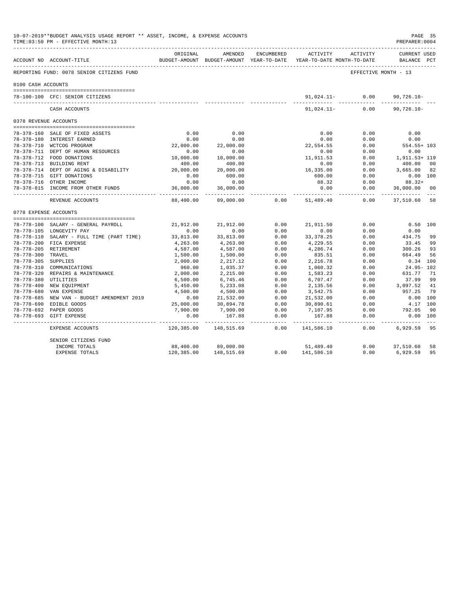|                                          | 10-07-2019**BUDGET ANALYSIS USAGE REPORT ** ASSET, INCOME, & EXPENSE ACCOUNTS<br>TIME: 03:50 PM - EFFECTIVE MONTH: 13 |                          |                                                     |                      |                                        |                      | PAGE 35<br>PREPARER: 0004          |                |
|------------------------------------------|-----------------------------------------------------------------------------------------------------------------------|--------------------------|-----------------------------------------------------|----------------------|----------------------------------------|----------------------|------------------------------------|----------------|
|                                          | ACCOUNT NO ACCOUNT-TITLE                                                                                              | ORIGINAL                 | AMENDED<br>BUDGET-AMOUNT BUDGET-AMOUNT YEAR-TO-DATE | ENCUMBERED           | ACTIVITY<br>YEAR-TO-DATE MONTH-TO-DATE | ACTIVITY             | <b>CURRENT USED</b><br>BALANCE PCT |                |
|                                          | REPORTING FUND: 0078 SENIOR CITIZENS FUND                                                                             |                          |                                                     |                      |                                        | EFFECTIVE MONTH - 13 |                                    |                |
| 0100 CASH ACCOUNTS                       |                                                                                                                       |                          |                                                     |                      |                                        |                      |                                    |                |
|                                          | 78-100-100 CFC: SENIOR CITIZENS                                                                                       |                          |                                                     |                      |                                        | $91,024.11-$ 0.00    | $90,726.10 -$                      |                |
|                                          | CASH ACCOUNTS                                                                                                         |                          |                                                     |                      | 91,024.11-                             | 0.00                 | $90,726.10 -$                      |                |
| 0378 REVENUE ACCOUNTS                    |                                                                                                                       |                          |                                                     |                      |                                        |                      |                                    |                |
|                                          | 78-378-160 SALE OF FIXED ASSETS                                                                                       | 0.00                     | 0.00                                                |                      | 0.00                                   | 0.00                 | 0.00                               |                |
|                                          | 78-378-180 INTEREST EARNED                                                                                            | 0.00                     | 0.00                                                |                      | 0.00                                   | 0.00                 | 0.00                               |                |
|                                          | 78-378-710 WCTCOG PROGRAM                                                                                             | 22,000.00                | 22,000.00                                           |                      | 22,554.55                              | 0.00                 | $554.55 + 103$                     |                |
|                                          | 78-378-711 DEPT OF HUMAN RESOURCES                                                                                    | 0.00                     | 0.00                                                |                      | 0.00                                   | 0.00                 | 0.00                               |                |
|                                          | 78-378-712 FOOD DONATIONS                                                                                             | 10,000.00                | 10,000.00                                           |                      | 11,911.53                              | 0.00                 | 1,911.53+ 119                      |                |
|                                          | 78-378-713 BUILDING RENT                                                                                              | 400.00                   | 400.00                                              |                      | 0.00                                   | 0.00                 | 400.00                             | 0 <sub>0</sub> |
|                                          | 78-378-714 DEPT OF AGING & DISABILITY                                                                                 | 20,000.00                | 20,000.00                                           |                      | 16,335.00                              | 0.00                 | 3,665.00                           | 82             |
|                                          | 78-378-715 GIFT DONATIONS                                                                                             | 0.00                     | 600.00                                              |                      | 600.00                                 | 0.00                 | $0.00$ 100                         |                |
|                                          | 78-378-716 OTHER INCOME                                                                                               | 0.00                     | 0.00                                                |                      | 88.32                                  | 0.00                 | 88.32+                             |                |
|                                          | 78-378-815 INCOME FROM OTHER FUNDS<br>-----------------------------                                                   | 36,000.00<br>----------- | 36,000.00<br>------------                           |                      | 0.00                                   | 0.00<br>.            | 36,000.00                          | 00             |
|                                          | REVENUE ACCOUNTS                                                                                                      | 88,400.00                | 89,000.00                                           | 0.00                 | 51,489.40                              | 0.00                 | 37,510.60 58                       |                |
| 0778 EXPENSE ACCOUNTS                    |                                                                                                                       |                          |                                                     |                      |                                        |                      |                                    |                |
|                                          |                                                                                                                       |                          |                                                     |                      |                                        |                      |                                    |                |
|                                          | 78-778-100 SALARY - GENERAL PAYROLL                                                                                   | 21,912.00                | 21,912.00                                           | 0.00                 | 21,911.50                              | 0.00                 | 0.50 100                           |                |
|                                          | 78-778-105 LONGEVITY PAY                                                                                              | 0.00                     | 0.00                                                | 0.00                 | 0.00                                   | 0.00                 | 0.00                               |                |
|                                          | 78-778-110 SALARY - FULL TIME (PART TIME)                                                                             | 33,813.00                | 33,813.00                                           | 0.00                 | 33, 378.25                             | 0.00                 | 434.75                             | 99             |
|                                          | 78-778-200 FICA EXPENSE                                                                                               | 4,263.00                 | 4,263.00                                            | 0.00                 | 4,229.55                               | 0.00                 | 33.45                              | 99             |
|                                          | 78-778-205 RETIREMENT                                                                                                 | 4,587.00                 | 4,587.00                                            | 0.00                 | 4,286.74                               | 0.00                 | 300.26                             | 93             |
| 78-778-300 TRAVEL<br>78-778-305 SUPPLIES |                                                                                                                       | 1,500.00                 | 1,500.00                                            | 0.00                 | 835.51                                 | 0.00                 | 664.49                             | 56             |
|                                          | 78-778-310 COMMUNICATIONS                                                                                             | 2,000.00<br>960.00       | 2, 217.12                                           | 0.00<br>0.00         | 2,216.78                               | 0.00<br>0.00         | $0.34$ 100<br>$24.95 - 102$        |                |
|                                          | 78-778-320 REPAIRS & MAINTENANCE                                                                                      | 2,000.00                 | 1,035.37<br>2,215.00                                | 0.00                 | 1,060.32<br>1,583.23                   | 0.00                 | 631.77                             | 71             |
| 78-778-380 UTILITIES                     |                                                                                                                       | 6,500.00                 | 6,745.46                                            | 0.00                 | 6,707.47                               | 0.00                 | 37.99                              | 99             |
|                                          | 78-778-400 NEW EQUIPMENT                                                                                              | 5,450.00                 | 5,233.08                                            | 0.00                 | 2,135.56                               | 0.00                 | 3,097.52                           | 41             |
|                                          | 78-778-680 VAN EXPENSE                                                                                                | 4,500.00                 | 4,500.00                                            | 0.00                 | 3,542.75                               | 0.00                 | 957.25                             | 79             |
|                                          | 78-778-685 NEW VAN - BUDGET AMENDMENT 2019                                                                            | 0.00                     | 21,532.00                                           | 0.00                 | 21,532.00                              | 0.00                 | $0.00$ 100                         |                |
|                                          | 78-778-690 EDIBLE GOODS                                                                                               | 25,000.00                | 30,894.78                                           | 0.00                 | 30,890.61                              | 0.00                 | 4.17 100                           |                |
|                                          | 78-778-692 PAPER GOODS                                                                                                | 7,900.00                 | 7,900.00                                            | 0.00                 | 7,107.95                               | 0.00                 | 792.05                             | 90             |
|                                          | 78-778-693 GIFT EXPENSE                                                                                               | 0.00                     | 167.88                                              | 0.00                 | 167.88                                 | 0.00                 | 0.00 100                           |                |
|                                          | EXPENSE ACCOUNTS                                                                                                      | 120,385.00               | -------------<br>148,515.69                         | ------------<br>0.00 | --------------<br>141,586.10           | ------------<br>0.00 | 6,929.59                           | $- - -$<br>95  |
|                                          | SENIOR CITIZENS FUND                                                                                                  |                          |                                                     |                      |                                        |                      |                                    |                |
|                                          | INCOME TOTALS                                                                                                         | 88,400.00                | 89,000.00                                           |                      | 51,489.40                              | 0.00                 | 37,510.60                          | 58             |
|                                          | <b>EXPENSE TOTALS</b>                                                                                                 | 120,385.00               | 148,515.69                                          | 0.00                 | 141,586.10                             | 0.00                 | 6,929.59                           | 95             |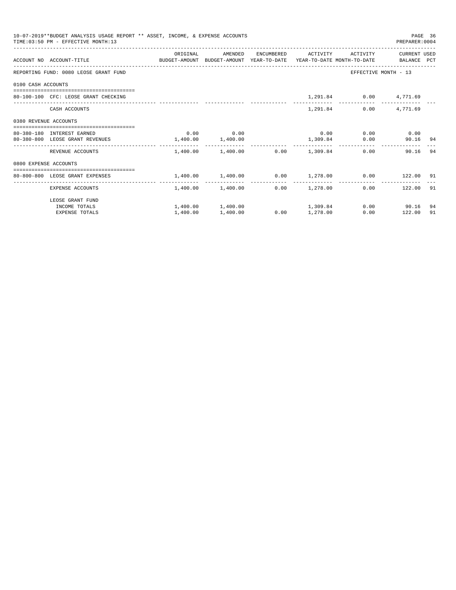| 10-07-2019**BUDGET ANALYSIS USAGE REPORT ** ASSET, INCOME, & EXPENSE ACCOUNTS<br>PAGE 36<br>TIME: 03:50 PM - EFFECTIVE MONTH: 13<br>PREPARER: 0004<br>ORIGINAL<br>ENCUMBERED ACTIVITY ACTIVITY<br>CURRENT USED<br>AMENDED<br>ACCOUNT NO ACCOUNT-TITLE COMPUTE BUDGET-AMOUNT BUDGET-AMOUNT YEAR-TO-DATE YEAR-TO-DATE MONTH-TO-DATE BALANCE PCT<br>REPORTING FUND: 0080 LEOSE GRANT FUND<br>EFFECTIVE MONTH - 13<br>0100 CASH ACCOUNTS<br>1,291.84 0.00 4,771.69<br>80-100-100 CFC: LEOSE GRANT CHECKING<br>1,291.84<br>$0.00$ 4,771.69<br>CASH ACCOUNTS<br>0380 REVENUE ACCOUNTS<br>$0.00$ 0.00<br>$0.00$ $0.00$ $0.00$ $0.00$<br>80-380-180 INTEREST EARNED<br>$1,400.00$ $1,400.00$<br>1,309.84<br>0.00<br>80-380-800 LEOSE GRANT REVENUES<br>90.16 94<br>$1,400.00$ $1,400.00$ $0.00$ $1,309.84$<br>90.16 94<br>REVENUE ACCOUNTS<br>0.00<br>0800 EXPENSE ACCOUNTS<br>-------------------------------------<br>$1,400.00$ $1,400.00$ $0.00$ $1,278.00$ $0.00$ $122.00$ 91<br>80-800-800 LEOSE GRANT EXPENSES<br>$1,400.00$ $1,400.00$ $0.00$ $1,278.00$<br>$0.00$ 122.00 91<br>EXPENSE ACCOUNTS |          |                                  |                 |  |                |     |
|--------------------------------------------------------------------------------------------------------------------------------------------------------------------------------------------------------------------------------------------------------------------------------------------------------------------------------------------------------------------------------------------------------------------------------------------------------------------------------------------------------------------------------------------------------------------------------------------------------------------------------------------------------------------------------------------------------------------------------------------------------------------------------------------------------------------------------------------------------------------------------------------------------------------------------------------------------------------------------------------------------------------------------------------------------------------------------------------------|----------|----------------------------------|-----------------|--|----------------|-----|
|                                                                                                                                                                                                                                                                                                                                                                                                                                                                                                                                                                                                                                                                                                                                                                                                                                                                                                                                                                                                                                                                                                  |          |                                  |                 |  |                |     |
|                                                                                                                                                                                                                                                                                                                                                                                                                                                                                                                                                                                                                                                                                                                                                                                                                                                                                                                                                                                                                                                                                                  |          |                                  |                 |  |                |     |
|                                                                                                                                                                                                                                                                                                                                                                                                                                                                                                                                                                                                                                                                                                                                                                                                                                                                                                                                                                                                                                                                                                  |          |                                  |                 |  |                |     |
|                                                                                                                                                                                                                                                                                                                                                                                                                                                                                                                                                                                                                                                                                                                                                                                                                                                                                                                                                                                                                                                                                                  |          |                                  |                 |  |                |     |
|                                                                                                                                                                                                                                                                                                                                                                                                                                                                                                                                                                                                                                                                                                                                                                                                                                                                                                                                                                                                                                                                                                  |          |                                  |                 |  |                |     |
|                                                                                                                                                                                                                                                                                                                                                                                                                                                                                                                                                                                                                                                                                                                                                                                                                                                                                                                                                                                                                                                                                                  |          |                                  |                 |  |                |     |
|                                                                                                                                                                                                                                                                                                                                                                                                                                                                                                                                                                                                                                                                                                                                                                                                                                                                                                                                                                                                                                                                                                  |          |                                  |                 |  |                |     |
|                                                                                                                                                                                                                                                                                                                                                                                                                                                                                                                                                                                                                                                                                                                                                                                                                                                                                                                                                                                                                                                                                                  |          |                                  |                 |  |                |     |
|                                                                                                                                                                                                                                                                                                                                                                                                                                                                                                                                                                                                                                                                                                                                                                                                                                                                                                                                                                                                                                                                                                  |          |                                  |                 |  |                |     |
|                                                                                                                                                                                                                                                                                                                                                                                                                                                                                                                                                                                                                                                                                                                                                                                                                                                                                                                                                                                                                                                                                                  |          |                                  |                 |  |                |     |
|                                                                                                                                                                                                                                                                                                                                                                                                                                                                                                                                                                                                                                                                                                                                                                                                                                                                                                                                                                                                                                                                                                  |          |                                  |                 |  |                |     |
|                                                                                                                                                                                                                                                                                                                                                                                                                                                                                                                                                                                                                                                                                                                                                                                                                                                                                                                                                                                                                                                                                                  |          |                                  |                 |  |                |     |
| LEOSE GRANT FUND                                                                                                                                                                                                                                                                                                                                                                                                                                                                                                                                                                                                                                                                                                                                                                                                                                                                                                                                                                                                                                                                                 |          |                                  |                 |  |                |     |
| INCOME TOTALS                                                                                                                                                                                                                                                                                                                                                                                                                                                                                                                                                                                                                                                                                                                                                                                                                                                                                                                                                                                                                                                                                    |          | $1,400.00$ $1,400.00$ $1,309.84$ |                 |  | $0.00$ 90.16   | -94 |
| <b>EXPENSE TOTALS</b>                                                                                                                                                                                                                                                                                                                                                                                                                                                                                                                                                                                                                                                                                                                                                                                                                                                                                                                                                                                                                                                                            | 1,400.00 | 1,400.00                         | $0.00$ 1,278.00 |  | 0.00<br>122.00 | 91  |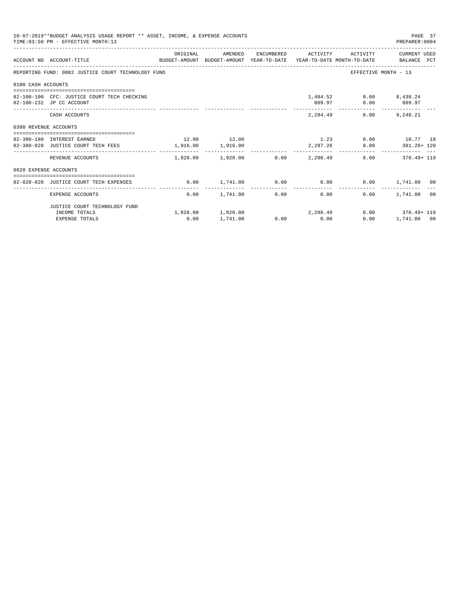| 10-07-2019**BUDGET ANALYSIS USAGE REPORT ** ASSET, INCOME, & EXPENSE ACCOUNTS<br>PAGE 37<br>TIME: 03:50 PM - EFFECTIVE MONTH: 13<br>PREPARER: 0004 |                                                                                                                              |             |                                  |  |                |                                              |                                                               |  |
|----------------------------------------------------------------------------------------------------------------------------------------------------|------------------------------------------------------------------------------------------------------------------------------|-------------|----------------------------------|--|----------------|----------------------------------------------|---------------------------------------------------------------|--|
|                                                                                                                                                    | ACCOUNT NO ACCOUNT-TITLE CONTROL SUDGET-AMOUNT BUDGET-AMOUNT YEAR-TO-DATE YEAR-TO-DATE MONTH-TO-DATE BALANCE PCT             | ORIGINAL    |                                  |  |                |                                              | AMENDED ENCUMBERED ACTIVITY ACTIVITY CURRENTUSED              |  |
|                                                                                                                                                    | REPORTING FUND: 0082 JUSTICE COURT TECHNOLOGY FUND                                                                           |             |                                  |  |                |                                              | EFFECTIVE MONTH - 13                                          |  |
| 0100 CASH ACCOUNTS                                                                                                                                 |                                                                                                                              |             |                                  |  |                |                                              |                                                               |  |
|                                                                                                                                                    | 82-100-100 CFC: JUSTICE COURT TECH CHECKING<br>82-100-232 JP CC ACCOUNT                                                      |             |                                  |  |                | 1,484.52 8.00 8,438.24<br>809.97 0.00 809.97 |                                                               |  |
|                                                                                                                                                    | CASH ACCOUNTS                                                                                                                |             |                                  |  |                | 2,294.49<br>8.00                             | 9,248.21                                                      |  |
| 0380 REVENUE ACCOUNTS                                                                                                                              |                                                                                                                              |             |                                  |  |                |                                              |                                                               |  |
|                                                                                                                                                    | --------------------------------------<br>82-380-180 INTEREST EARNED<br>82-380-820 JUSTICE COURT TECH FEES 1,916.00 1,916.00 | 12.00 12.00 |                                  |  |                |                                              | $1.23$ 0.00 $10.77$ 10<br>2,297.26 8.00 381.26+120            |  |
|                                                                                                                                                    | REVENUE ACCOUNTS                                                                                                             |             | --------------                   |  | -------------- |                                              | $1.928.00$ $1.928.00$ $0.00$ $2.298.49$ $8.00$ $370.49 + 119$ |  |
| 0820 EXPENSE ACCOUNTS                                                                                                                              |                                                                                                                              |             |                                  |  |                |                                              |                                                               |  |
|                                                                                                                                                    | 82-820-820 JUSTICE COURT TECH EXPENSES                                                                                       |             |                                  |  |                |                                              | $0.00$ $1.741.00$ $0.00$ $0.00$ $0.00$ $1.741.00$ $00$        |  |
|                                                                                                                                                    | EXPENSE ACCOUNTS                                                                                                             | 0.00        | 1,741.00                         |  | .<br>0.00      | 0.00                                         | 1,741.00 00<br>0.00                                           |  |
|                                                                                                                                                    | JUSTICE COURT TECHNOLOGY FUND                                                                                                |             |                                  |  |                |                                              |                                                               |  |
|                                                                                                                                                    | INCOME TOTALS                                                                                                                |             | $1,928.00$ $1,928.00$ $2,298.49$ |  |                |                                              | 8.00 370.49+119                                               |  |
|                                                                                                                                                    | <b>EXPENSE TOTALS</b>                                                                                                        | 0.00        | 1,741.00                         |  | $0.00$ 0.00    | 0.00                                         | 1,741.00 00                                                   |  |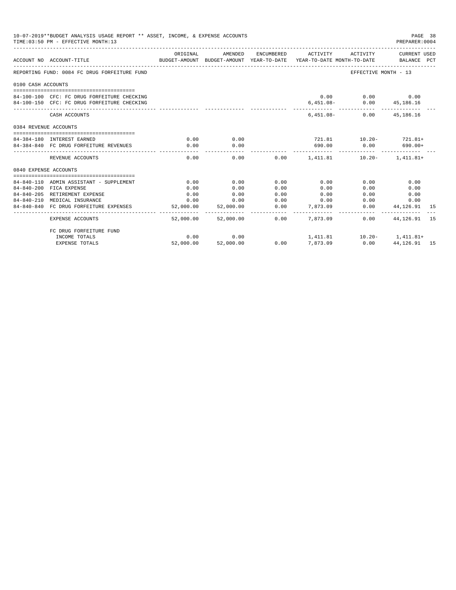| 10-07-2019**BUDGET ANALYSIS USAGE REPORT ** ASSET, INCOME, & EXPENSE ACCOUNTS<br>TIME: 03:50 PM - EFFECTIVE MONTH: 13 |                                              |                        |           |                        |                                                                                                                 |                                 | PAGE 38<br>PREPARER: 0004 |     |
|-----------------------------------------------------------------------------------------------------------------------|----------------------------------------------|------------------------|-----------|------------------------|-----------------------------------------------------------------------------------------------------------------|---------------------------------|---------------------------|-----|
|                                                                                                                       | ACCOUNT NO ACCOUNT-TITLE                     | ORIGINAL               | AMENDED   |                        | ENCUMBERED ACTIVITY ACTIVITY<br>BUDGET-AMOUNT BUDGET-AMOUNT YEAR-TO-DATE YEAR-TO-DATE MONTH-TO-DATE BALANCE PCT |                                 | CURRENT USED              |     |
|                                                                                                                       | REPORTING FUND: 0084 FC DRUG FORFEITURE FUND |                        |           |                        |                                                                                                                 | EFFECTIVE MONTH - 13            |                           |     |
| 0100 CASH ACCOUNTS                                                                                                    |                                              |                        |           |                        |                                                                                                                 |                                 |                           |     |
|                                                                                                                       | 84-100-100 CFC: FC DRUG FORFEITURE CHECKING  |                        |           |                        |                                                                                                                 | $0.00$ $0.00$ $0.00$ $0.00$     |                           |     |
|                                                                                                                       | 84-100-150 CFC: FC DRUG FORFEITURE CHECKING  |                        |           |                        | $6,451.08-$                                                                                                     |                                 | $0.00$ $45,186.16$        |     |
|                                                                                                                       | CASH ACCOUNTS                                |                        |           |                        |                                                                                                                 | $6.451.08 - 0.00$ $45.186.16$   |                           |     |
| 0384 REVENUE ACCOUNTS                                                                                                 |                                              |                        |           |                        |                                                                                                                 |                                 |                           |     |
|                                                                                                                       | 84-384-180 INTEREST EARNED                   | 0.00                   | 0.00      |                        | $721.81$ $10.20 - 721.81 +$                                                                                     |                                 |                           |     |
|                                                                                                                       | 84-384-840 FC DRUG FORFEITURE REVENUES       | 0.00                   | 0.00      |                        | 690.00                                                                                                          | $0.00$ 690.00+                  |                           |     |
|                                                                                                                       | REVENUE ACCOUNTS                             | 0.00                   | 0.00      |                        | ------------<br>$0.00$ 1,411.81 10.20- 1,411.81+                                                                | -------------                   |                           |     |
| 0840 EXPENSE ACCOUNTS                                                                                                 |                                              |                        |           |                        |                                                                                                                 |                                 |                           |     |
|                                                                                                                       | 84-840-110 ADMIN ASSISTANT - SUPPLEMENT      | 0.00                   | 0.00      | 0.00                   | 0.00                                                                                                            | 0.00                            | 0.00                      |     |
|                                                                                                                       | 84-840-200 FICA EXPENSE                      | 0.00                   | 0.00      | 0.00                   | 0.00                                                                                                            | 0.00                            | 0.00                      |     |
|                                                                                                                       | 84-840-205 RETIREMENT EXPENSE                | 0.00                   | 0.00      | 0.00                   | 0.00                                                                                                            | 0.00                            | 0.00                      |     |
|                                                                                                                       | 84-840-210 MEDICAL INSURANCE                 | 0.00                   | 0.00      | 0.00                   | 0.00                                                                                                            | 0.00                            | 0.00                      |     |
|                                                                                                                       | 84-840-840 FC DRUG FORFEITURE EXPENSES       | 52,000.00              | 52,000.00 | 0.00                   | 7,873,09                                                                                                        | 0.00                            | 44,126.91                 | -15 |
|                                                                                                                       | <b>EXPENSE ACCOUNTS</b>                      | ---------<br>52,000.00 | 52,000.00 | --------------<br>0.00 | 7.873.09                                                                                                        | 0.00                            | 44, 126, 91 15            |     |
|                                                                                                                       | FC DRUG FORFEITURE FUND                      |                        |           |                        |                                                                                                                 |                                 |                           |     |
|                                                                                                                       | INCOME TOTALS                                | 0.00                   | 0.00      |                        |                                                                                                                 | 1,411.81    10.20-    1,411.81+ |                           |     |
|                                                                                                                       | <b>EXPENSE TOTALS</b>                        | 52,000.00              | 52,000.00 | 0.00                   | 7,873,09                                                                                                        | 0.00                            | 44, 126. 91 15            |     |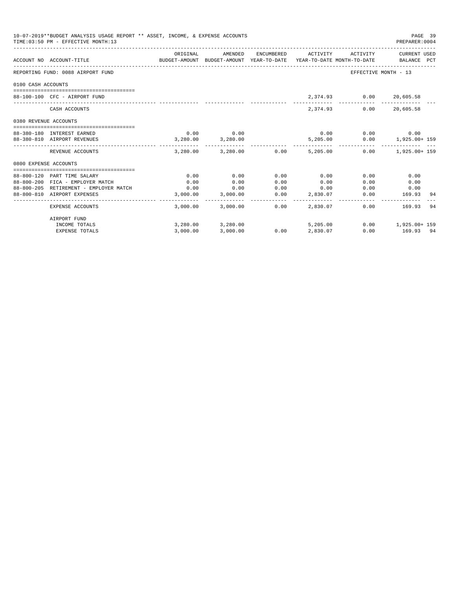| 10-07-2019**BUDGET ANALYSIS USAGE REPORT ** ASSET, INCOME, & EXPENSE ACCOUNTS<br>TIME: 03:50 PM - EFFECTIVE MONTH: 13 |                                                                            |              |                                         |              |                  |                         | PAGE 39<br>PREPARER: 0004                                                                                                            |
|-----------------------------------------------------------------------------------------------------------------------|----------------------------------------------------------------------------|--------------|-----------------------------------------|--------------|------------------|-------------------------|--------------------------------------------------------------------------------------------------------------------------------------|
|                                                                                                                       | ACCOUNT NO ACCOUNT-TITLE                                                   | ORIGINAL     |                                         |              |                  |                         | AMENDED ENCUMBERED ACTIVITY ACTIVITY CURRENT USED<br>BUDGET-AMOUNT BUDGET-AMOUNT YEAR-TO-DATE YEAR-TO-DATE MONTH-TO-DATE BALANCE PCT |
|                                                                                                                       | REPORTING FUND: 0088 AIRPORT FUND                                          |              |                                         |              |                  |                         | EFFECTIVE MONTH - 13                                                                                                                 |
| 0100 CASH ACCOUNTS                                                                                                    |                                                                            |              |                                         |              |                  |                         |                                                                                                                                      |
|                                                                                                                       |                                                                            |              |                                         |              |                  |                         |                                                                                                                                      |
|                                                                                                                       | 88-100-100 CFC - AIRPORT FUND                                              |              |                                         |              |                  | 2,374.93 0.00 20,605.58 |                                                                                                                                      |
|                                                                                                                       | CASH ACCOUNTS                                                              |              |                                         |              |                  | 2,374.93 0.00 20,605.58 |                                                                                                                                      |
| 0380 REVENUE ACCOUNTS                                                                                                 |                                                                            |              |                                         |              |                  |                         |                                                                                                                                      |
|                                                                                                                       | 88-380-180 INTEREST EARNED                                                 |              | $0.00$ 0.00                             |              | 0.00             |                         | $0.00$ 0.00                                                                                                                          |
|                                                                                                                       | 88-380-810 AIRPORT REVENUES                                                |              | 3,280.00 3,280.00                       |              |                  | 5,205.00                | $0.00$ 1,925.00+ 159                                                                                                                 |
|                                                                                                                       | REVENUE ACCOUNTS                                                           |              | $3,280.00$ $3,280.00$ $0.00$ $5,205.00$ |              |                  |                         | $0.00$ 1,925.00+ 159                                                                                                                 |
| 0800 EXPENSE ACCOUNTS                                                                                                 |                                                                            |              |                                         |              |                  |                         |                                                                                                                                      |
|                                                                                                                       |                                                                            |              |                                         |              |                  |                         |                                                                                                                                      |
|                                                                                                                       | 88-800-120 PART TIME SALARY                                                | 0.00         | 0.00                                    | 0.00         | 0.00             | 0.00                    | 0.00                                                                                                                                 |
|                                                                                                                       | 88-800-200 FICA - EMPLOYER MATCH<br>88-800-205 RETIREMENT - EMPLOYER MATCH | 0.00<br>0.00 | 0.00<br>0.00                            | 0.00<br>0.00 | 0.00             | 0.00                    | 0.00<br>$0.00$ 0.00                                                                                                                  |
|                                                                                                                       | 88-800-810 AIRPORT EXPENSES                                                |              | 3,000.00 3,000.00                       | 0.00         | 0.00<br>2,830.07 | 0.00                    | 169.93<br>-94                                                                                                                        |
|                                                                                                                       | EXPENSE ACCOUNTS                                                           |              | 3,000.00 3,000.00                       | 0.00         | 2.830.07         |                         | $0.00$ 169.93<br>-94                                                                                                                 |
|                                                                                                                       | AIRPORT FUND                                                               |              |                                         |              |                  |                         |                                                                                                                                      |
|                                                                                                                       | INCOME TOTALS                                                              |              | 3,280.00 3,280.00                       |              | 5,205.00         |                         | $0.00$ 1,925.00+ 159                                                                                                                 |
|                                                                                                                       | <b>EXPENSE TOTALS</b>                                                      | 3.000.00     | 3,000.00                                |              | $0.00$ 2,830.07  |                         | $0.00$ 169.93 94                                                                                                                     |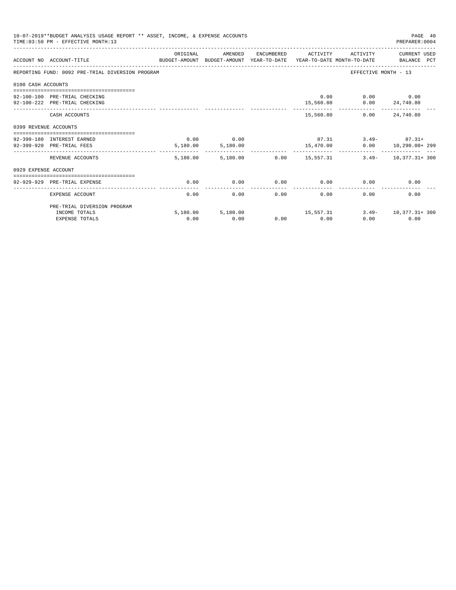|                       | 10-07-2019**BUDGET ANALYSIS USAGE REPORT ** ASSET, INCOME, & EXPENSE ACCOUNTS<br>TIME: 03:50 PM - EFFECTIVE MONTH: 13 |          |                                    |      |                     |                                        | PAGE 40<br>PREPARER: 0004            |
|-----------------------|-----------------------------------------------------------------------------------------------------------------------|----------|------------------------------------|------|---------------------|----------------------------------------|--------------------------------------|
|                       | ACCOUNT NO ACCOUNT-TITLE CONTROL SUDGET-AMOUNT BUDGET-AMOUNT YEAR-TO-DATE YEAR-TO-DATE MONTH-TO-DATE BALANCE PCT      | ORIGINAL | AMENDED                            |      | ENCUMBERED ACTIVITY | ACTIVITY                               | CURRENT USED                         |
|                       | REPORTING FUND: 0092 PRE-TRIAL DIVERSION PROGRAM                                                                      |          |                                    |      |                     | EFFECTIVE MONTH - 13                   |                                      |
| 0100 CASH ACCOUNTS    |                                                                                                                       |          |                                    |      |                     |                                        |                                      |
|                       |                                                                                                                       |          |                                    |      |                     |                                        |                                      |
|                       | 92-100-100 PRE-TRIAL CHECKING<br>92-100-222 PRE-TRIAL CHECKING                                                        |          |                                    |      |                     | 0.00<br>$15,560.80$ $0.00$ $24,740.80$ | $0.00$ 0.00                          |
|                       |                                                                                                                       |          |                                    |      |                     |                                        |                                      |
|                       | CASH ACCOUNTS                                                                                                         |          |                                    |      | 15,560.80           |                                        | $0.00$ 24,740.80                     |
| 0399 REVENUE ACCOUNTS |                                                                                                                       |          |                                    |      |                     |                                        |                                      |
|                       |                                                                                                                       |          |                                    |      |                     |                                        |                                      |
|                       | 92-399-180 INTEREST EARNED                                                                                            |          | $0.00$ 0.00                        |      |                     |                                        | $87.31$ $3.49 87.31+$                |
|                       | 92-399-920 PRE-TRIAL FEES                                                                                             | -------- | 5,180.00 5,180.00<br>------------- |      | .                   |                                        | 15,470.00   0.00   10,290.00+ 299    |
|                       | REVENUE ACCOUNTS                                                                                                      |          | 5,180.00 5,180.00                  |      |                     |                                        | $0.00$ 15,557.31 3.49- 10,377.31+300 |
| 0929 EXPENSE ACCOUNT  |                                                                                                                       |          |                                    |      |                     |                                        |                                      |
|                       |                                                                                                                       |          |                                    |      |                     |                                        |                                      |
|                       | 92-929-929 PRE-TRIAL EXPENSE                                                                                          | 0.00     | 0.00                               | 0.00 | 0.00                | 0.00                                   | 0.00                                 |
|                       | EXPENSE ACCOUNT                                                                                                       | 0.00     | 0.00                               | 0.00 | 0.00                | 0.00                                   | 0.00                                 |
|                       | PRE-TRIAL DIVERSION PROGRAM                                                                                           |          |                                    |      |                     |                                        |                                      |
|                       | INCOME TOTALS                                                                                                         |          | 5,180.00 5,180.00                  |      | 15,557.31           |                                        | $3.49 - 10.377.31 + 300$             |
|                       | <b>EXPENSE TOTALS</b>                                                                                                 | 0.00     | 0.00                               |      | $0.00$ 0.00         |                                        | 0.00<br>0.00                         |